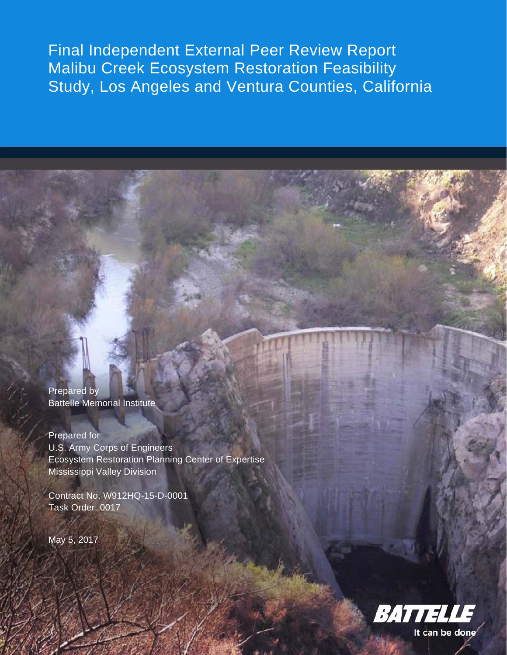Final Independent External Peer Review Report Malibu Creek Ecosystem Restoration Feasibility Study, Los Angeles and Ventura Counties, California

Prepared by Battelle Memorial Institute

Prepared for U.S. Army Corps of Engineers Ecosystem Restoration Planning Center of Expertise Mississippi Valley Division

Contract No. W912HQ-15-D-0001 Task Order: 0017

May 5, 2017

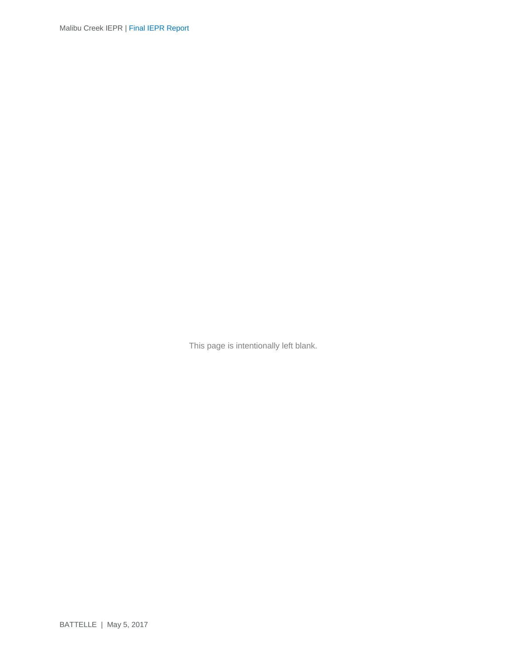This page is intentionally left blank.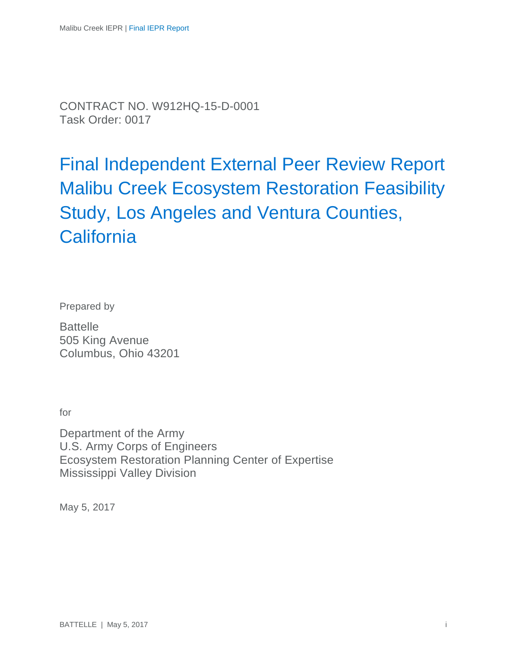CONTRACT NO. W912HQ-15-D-0001 Task Order: 0017

Final Independent External Peer Review Report Malibu Creek Ecosystem Restoration Feasibility Study, Los Angeles and Ventura Counties, **California** 

Prepared by

**Battelle** 505 King Avenue Columbus, Ohio 43201

for

Department of the Army U.S. Army Corps of Engineers Ecosystem Restoration Planning Center of Expertise Mississippi Valley Division

May 5, 2017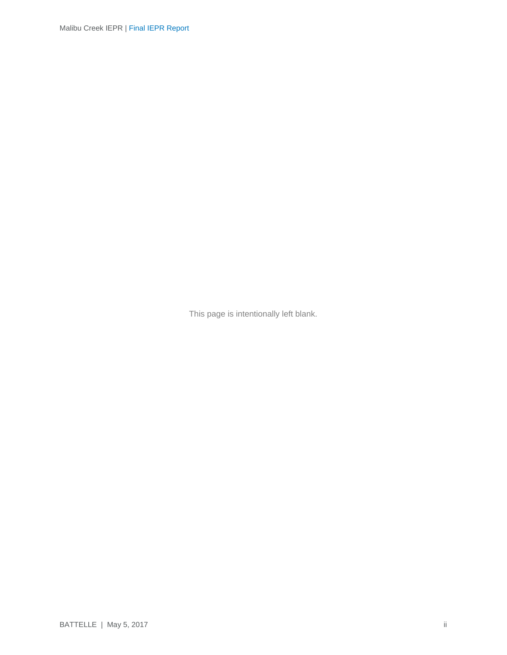This page is intentionally left blank.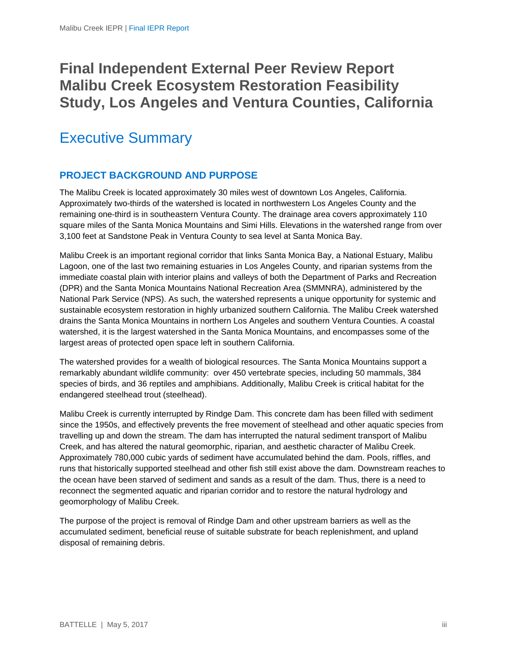# **Final Independent External Peer Review Report Malibu Creek Ecosystem Restoration Feasibility Study, Los Angeles and Ventura Counties, California**

# Executive Summary

# **PROJECT BACKGROUND AND PURPOSE**

The Malibu Creek is located approximately 30 miles west of downtown Los Angeles, California. Approximately two-thirds of the watershed is located in northwestern Los Angeles County and the remaining one-third is in southeastern Ventura County. The drainage area covers approximately 110 square miles of the Santa Monica Mountains and Simi Hills. Elevations in the watershed range from over 3,100 feet at Sandstone Peak in Ventura County to sea level at Santa Monica Bay.

Malibu Creek is an important regional corridor that links Santa Monica Bay, a National Estuary, Malibu Lagoon, one of the last two remaining estuaries in Los Angeles County, and riparian systems from the immediate coastal plain with interior plains and valleys of both the Department of Parks and Recreation (DPR) and the Santa Monica Mountains National Recreation Area (SMMNRA), administered by the National Park Service (NPS). As such, the watershed represents a unique opportunity for systemic and sustainable ecosystem restoration in highly urbanized southern California. The Malibu Creek watershed drains the Santa Monica Mountains in northern Los Angeles and southern Ventura Counties. A coastal watershed, it is the largest watershed in the Santa Monica Mountains, and encompasses some of the largest areas of protected open space left in southern California.

The watershed provides for a wealth of biological resources. The Santa Monica Mountains support a remarkably abundant wildlife community: over 450 vertebrate species, including 50 mammals, 384 species of birds, and 36 reptiles and amphibians. Additionally, Malibu Creek is critical habitat for the endangered steelhead trout (steelhead).

Malibu Creek is currently interrupted by Rindge Dam. This concrete dam has been filled with sediment since the 1950s, and effectively prevents the free movement of steelhead and other aquatic species from travelling up and down the stream. The dam has interrupted the natural sediment transport of Malibu Creek, and has altered the natural geomorphic, riparian, and aesthetic character of Malibu Creek. Approximately 780,000 cubic yards of sediment have accumulated behind the dam. Pools, riffles, and runs that historically supported steelhead and other fish still exist above the dam. Downstream reaches to the ocean have been starved of sediment and sands as a result of the dam. Thus, there is a need to reconnect the segmented aquatic and riparian corridor and to restore the natural hydrology and geomorphology of Malibu Creek.

The purpose of the project is removal of Rindge Dam and other upstream barriers as well as the accumulated sediment, beneficial reuse of suitable substrate for beach replenishment, and upland disposal of remaining debris.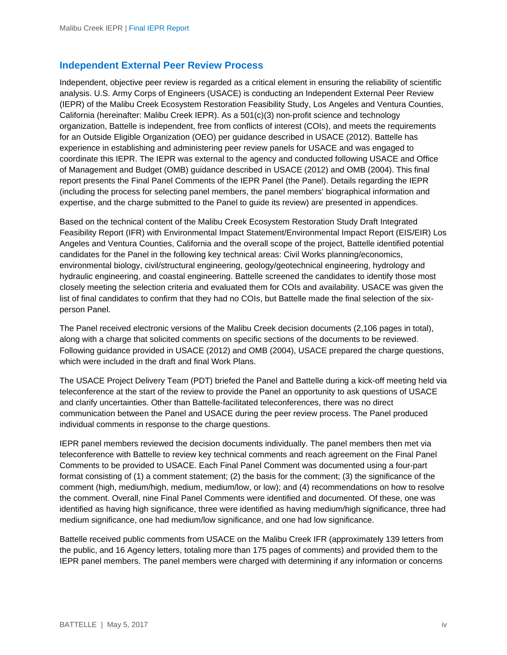## **Independent External Peer Review Process**

Independent, objective peer review is regarded as a critical element in ensuring the reliability of scientific analysis. U.S. Army Corps of Engineers (USACE) is conducting an Independent External Peer Review (IEPR) of the Malibu Creek Ecosystem Restoration Feasibility Study, Los Angeles and Ventura Counties, California (hereinafter: Malibu Creek IEPR). As a 501(c)(3) non-profit science and technology organization, Battelle is independent, free from conflicts of interest (COIs), and meets the requirements for an Outside Eligible Organization (OEO) per guidance described in USACE (2012). Battelle has experience in establishing and administering peer review panels for USACE and was engaged to coordinate this IEPR. The IEPR was external to the agency and conducted following USACE and Office of Management and Budget (OMB) guidance described in USACE (2012) and OMB (2004). This final report presents the Final Panel Comments of the IEPR Panel (the Panel). Details regarding the IEPR (including the process for selecting panel members, the panel members' biographical information and expertise, and the charge submitted to the Panel to guide its review) are presented in appendices.

Based on the technical content of the Malibu Creek Ecosystem Restoration Study Draft Integrated Feasibility Report (IFR) with Environmental Impact Statement/Environmental Impact Report (EIS/EIR) Los Angeles and Ventura Counties, California and the overall scope of the project, Battelle identified potential candidates for the Panel in the following key technical areas: Civil Works planning/economics, environmental biology, civil/structural engineering, geology/geotechnical engineering, hydrology and hydraulic engineering, and coastal engineering. Battelle screened the candidates to identify those most closely meeting the selection criteria and evaluated them for COIs and availability. USACE was given the list of final candidates to confirm that they had no COIs, but Battelle made the final selection of the sixperson Panel.

The Panel received electronic versions of the Malibu Creek decision documents (2,106 pages in total), along with a charge that solicited comments on specific sections of the documents to be reviewed. Following guidance provided in USACE (2012) and OMB (2004), USACE prepared the charge questions, which were included in the draft and final Work Plans.

The USACE Project Delivery Team (PDT) briefed the Panel and Battelle during a kick-off meeting held via teleconference at the start of the review to provide the Panel an opportunity to ask questions of USACE and clarify uncertainties. Other than Battelle-facilitated teleconferences, there was no direct communication between the Panel and USACE during the peer review process. The Panel produced individual comments in response to the charge questions.

IEPR panel members reviewed the decision documents individually. The panel members then met via teleconference with Battelle to review key technical comments and reach agreement on the Final Panel Comments to be provided to USACE. Each Final Panel Comment was documented using a four-part format consisting of (1) a comment statement; (2) the basis for the comment; (3) the significance of the comment (high, medium/high, medium, medium/low, or low); and (4) recommendations on how to resolve the comment. Overall, nine Final Panel Comments were identified and documented. Of these, one was identified as having high significance, three were identified as having medium/high significance, three had medium significance, one had medium/low significance, and one had low significance.

Battelle received public comments from USACE on the Malibu Creek IFR (approximately 139 letters from the public, and 16 Agency letters, totaling more than 175 pages of comments) and provided them to the IEPR panel members. The panel members were charged with determining if any information or concerns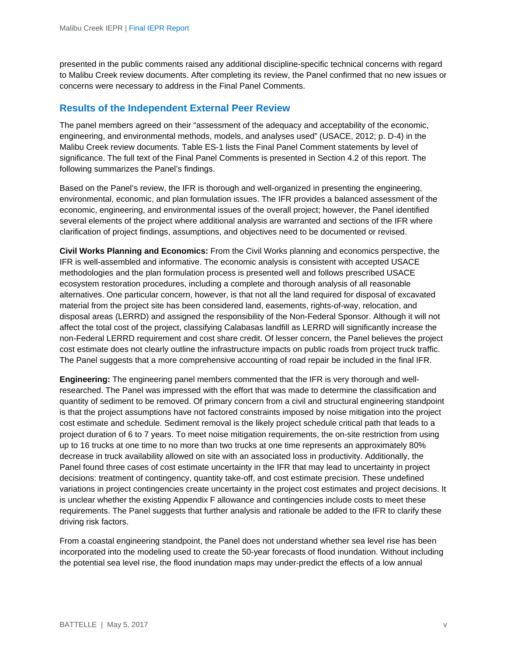presented in the public comments raised any additional discipline-specific technical concerns with regard to Malibu Creek review documents. After completing its review, the Panel confirmed that no new issues or concerns were necessary to address in the Final Panel Comments.

# **Results of the Independent External Peer Review**

The panel members agreed on their "assessment of the adequacy and acceptability of the economic, engineering, and environmental methods, models, and analyses used" (USACE, 2012; p. D-4) in the Malibu Creek review documents. Table ES-1 lists the Final Panel Comment statements by level of significance. The full text of the Final Panel Comments is presented in Section 4.2 of this report. The following summarizes the Panel's findings.

Based on the Panel's review, the IFR is thorough and well-organized in presenting the engineering, environmental, economic, and plan formulation issues. The IFR provides a balanced assessment of the economic, engineering, and environmental issues of the overall project; however, the Panel identified several elements of the project where additional analysis are warranted and sections of the IFR where clarification of project findings, assumptions, and objectives need to be documented or revised.

**Civil Works Planning and Economics:** From the Civil Works planning and economics perspective, the IFR is well-assembled and informative. The economic analysis is consistent with accepted USACE methodologies and the plan formulation process is presented well and follows prescribed USACE ecosystem restoration procedures, including a complete and thorough analysis of all reasonable alternatives. One particular concern, however, is that not all the land required for disposal of excavated material from the project site has been considered land, easements, rights-of-way, relocation, and disposal areas (LERRD) and assigned the responsibility of the Non-Federal Sponsor. Although it will not affect the total cost of the project, classifying Calabasas landfill as LERRD will significantly increase the non-Federal LERRD requirement and cost share credit. Of lesser concern, the Panel believes the project cost estimate does not clearly outline the infrastructure impacts on public roads from project truck traffic. The Panel suggests that a more comprehensive accounting of road repair be included in the final IFR.

**Engineering:** The engineering panel members commented that the IFR is very thorough and wellresearched. The Panel was impressed with the effort that was made to determine the classification and quantity of sediment to be removed. Of primary concern from a civil and structural engineering standpoint is that the project assumptions have not factored constraints imposed by noise mitigation into the project cost estimate and schedule. Sediment removal is the likely project schedule critical path that leads to a project duration of 6 to 7 years. To meet noise mitigation requirements, the on-site restriction from using up to 16 trucks at one time to no more than two trucks at one time represents an approximately 80% decrease in truck availability allowed on site with an associated loss in productivity. Additionally, the Panel found three cases of cost estimate uncertainty in the IFR that may lead to uncertainty in project decisions: treatment of contingency, quantity take-off, and cost estimate precision. These undefined variations in project contingencies create uncertainty in the project cost estimates and project decisions. It is unclear whether the existing Appendix F allowance and contingencies include costs to meet these requirements. The Panel suggests that further analysis and rationale be added to the IFR to clarify these driving risk factors.

From a coastal engineering standpoint, the Panel does not understand whether sea level rise has been incorporated into the modeling used to create the 50-year forecasts of flood inundation. Without including the potential sea level rise, the flood inundation maps may under-predict the effects of a low annual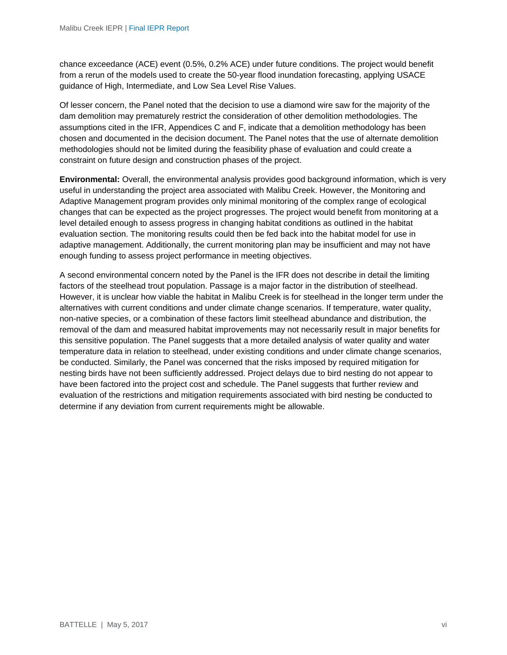chance exceedance (ACE) event (0.5%, 0.2% ACE) under future conditions. The project would benefit from a rerun of the models used to create the 50-year flood inundation forecasting, applying USACE guidance of High, Intermediate, and Low Sea Level Rise Values.

Of lesser concern, the Panel noted that the decision to use a diamond wire saw for the majority of the dam demolition may prematurely restrict the consideration of other demolition methodologies. The assumptions cited in the IFR, Appendices C and F, indicate that a demolition methodology has been chosen and documented in the decision document. The Panel notes that the use of alternate demolition methodologies should not be limited during the feasibility phase of evaluation and could create a constraint on future design and construction phases of the project.

**Environmental:** Overall, the environmental analysis provides good background information, which is very useful in understanding the project area associated with Malibu Creek. However, the Monitoring and Adaptive Management program provides only minimal monitoring of the complex range of ecological changes that can be expected as the project progresses. The project would benefit from monitoring at a level detailed enough to assess progress in changing habitat conditions as outlined in the habitat evaluation section. The monitoring results could then be fed back into the habitat model for use in adaptive management. Additionally, the current monitoring plan may be insufficient and may not have enough funding to assess project performance in meeting objectives.

A second environmental concern noted by the Panel is the IFR does not describe in detail the limiting factors of the steelhead trout population. Passage is a major factor in the distribution of steelhead. However, it is unclear how viable the habitat in Malibu Creek is for steelhead in the longer term under the alternatives with current conditions and under climate change scenarios. If temperature, water quality, non-native species, or a combination of these factors limit steelhead abundance and distribution, the removal of the dam and measured habitat improvements may not necessarily result in major benefits for this sensitive population. The Panel suggests that a more detailed analysis of water quality and water temperature data in relation to steelhead, under existing conditions and under climate change scenarios, be conducted. Similarly, the Panel was concerned that the risks imposed by required mitigation for nesting birds have not been sufficiently addressed. Project delays due to bird nesting do not appear to have been factored into the project cost and schedule. The Panel suggests that further review and evaluation of the restrictions and mitigation requirements associated with bird nesting be conducted to determine if any deviation from current requirements might be allowable.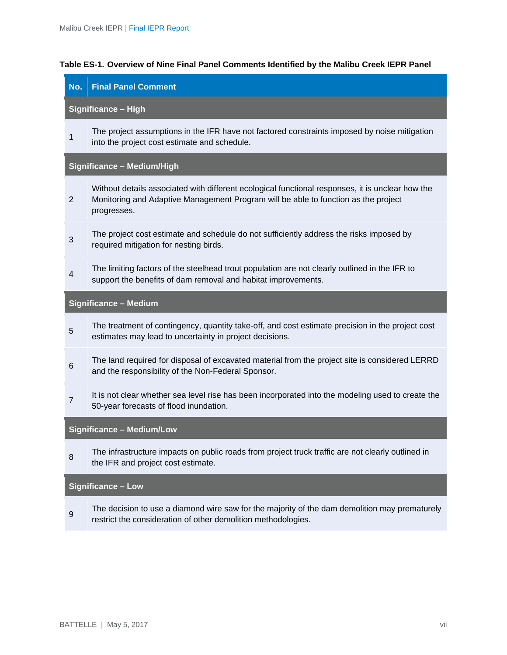# **Table ES-1. Overview of Nine Final Panel Comments Identified by the Malibu Creek IEPR Panel**

| No.                        | <b>Final Panel Comment</b>                                                                                                                                                                            |  |  |  |
|----------------------------|-------------------------------------------------------------------------------------------------------------------------------------------------------------------------------------------------------|--|--|--|
| <b>Significance - High</b> |                                                                                                                                                                                                       |  |  |  |
| 1                          | The project assumptions in the IFR have not factored constraints imposed by noise mitigation<br>into the project cost estimate and schedule.                                                          |  |  |  |
| Significance - Medium/High |                                                                                                                                                                                                       |  |  |  |
| 2                          | Without details associated with different ecological functional responses, it is unclear how the<br>Monitoring and Adaptive Management Program will be able to function as the project<br>progresses. |  |  |  |
| 3                          | The project cost estimate and schedule do not sufficiently address the risks imposed by<br>required mitigation for nesting birds.                                                                     |  |  |  |
| 4                          | The limiting factors of the steelhead trout population are not clearly outlined in the IFR to<br>support the benefits of dam removal and habitat improvements.                                        |  |  |  |
|                            | <b>Significance - Medium</b>                                                                                                                                                                          |  |  |  |
| 5                          | The treatment of contingency, quantity take-off, and cost estimate precision in the project cost<br>estimates may lead to uncertainty in project decisions.                                           |  |  |  |
| 6                          | The land required for disposal of excavated material from the project site is considered LERRD<br>and the responsibility of the Non-Federal Sponsor.                                                  |  |  |  |
| 7                          | It is not clear whether sea level rise has been incorporated into the modeling used to create the<br>50-year forecasts of flood inundation.                                                           |  |  |  |
|                            | <b>Significance - Medium/Low</b>                                                                                                                                                                      |  |  |  |
| 8                          | The infrastructure impacts on public roads from project truck traffic are not clearly outlined in<br>the IFR and project cost estimate.                                                               |  |  |  |
| <b>Significance - Low</b>  |                                                                                                                                                                                                       |  |  |  |
| 9                          | The decision to use a diamond wire saw for the majority of the dam demolition may prematurely<br>restrict the consideration of other demolition methodologies.                                        |  |  |  |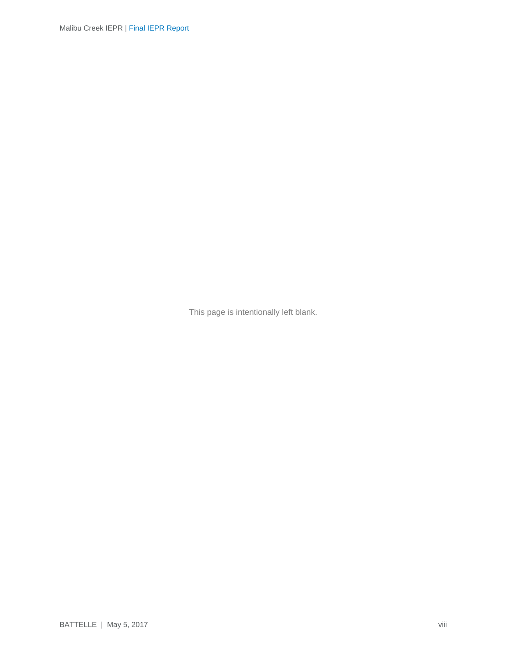This page is intentionally left blank.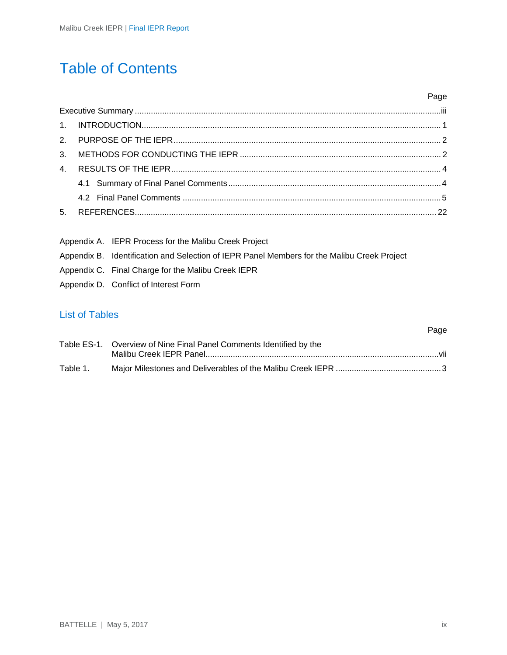# Table of Contents

#### Page

- Appendix A. IEPR Process for the Malibu Creek Project Appendix B. Identification and Selection of IEPR Panel Members for the Malibu Creek Project
- Appendix C. Final Charge for the Malibu Creek IEPR
- Appendix D. Conflict of Interest Form

# List of Tables

|          |                                                                     | Page |
|----------|---------------------------------------------------------------------|------|
|          | Table ES-1. Overview of Nine Final Panel Comments Identified by the |      |
|          |                                                                     |      |
| Table 1. |                                                                     |      |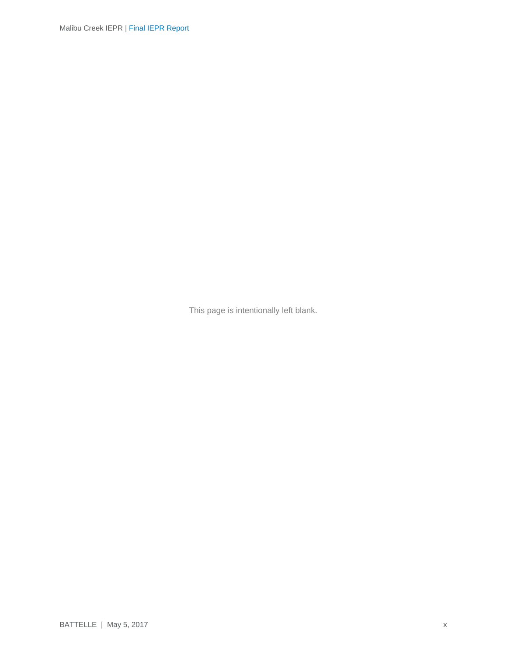This page is intentionally left blank.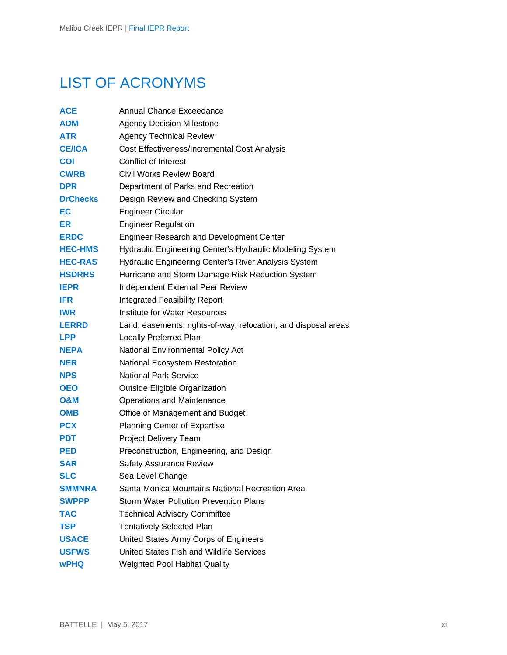# LIST OF ACRONYMS

| <b>ACE</b>      | Annual Chance Exceedance                                       |
|-----------------|----------------------------------------------------------------|
| <b>ADM</b>      | <b>Agency Decision Milestone</b>                               |
| <b>ATR</b>      | <b>Agency Technical Review</b>                                 |
| <b>CE/ICA</b>   | Cost Effectiveness/Incremental Cost Analysis                   |
| <b>COI</b>      | <b>Conflict of Interest</b>                                    |
| <b>CWRB</b>     | Civil Works Review Board                                       |
| <b>DPR</b>      | Department of Parks and Recreation                             |
| <b>DrChecks</b> | Design Review and Checking System                              |
| EC              | <b>Engineer Circular</b>                                       |
| <b>ER</b>       | <b>Engineer Regulation</b>                                     |
| <b>ERDC</b>     | <b>Engineer Research and Development Center</b>                |
| <b>HEC-HMS</b>  | Hydraulic Engineering Center's Hydraulic Modeling System       |
| <b>HEC-RAS</b>  | Hydraulic Engineering Center's River Analysis System           |
| <b>HSDRRS</b>   | Hurricane and Storm Damage Risk Reduction System               |
| <b>IEPR</b>     | Independent External Peer Review                               |
| <b>IFR</b>      | <b>Integrated Feasibility Report</b>                           |
| <b>IWR</b>      | Institute for Water Resources                                  |
| <b>LERRD</b>    | Land, easements, rights-of-way, relocation, and disposal areas |
| <b>LPP</b>      | Locally Preferred Plan                                         |
| <b>NEPA</b>     | National Environmental Policy Act                              |
| <b>NER</b>      | National Ecosystem Restoration                                 |
| <b>NPS</b>      | <b>National Park Service</b>                                   |
| <b>OEO</b>      | <b>Outside Eligible Organization</b>                           |
| <b>O&amp;M</b>  | <b>Operations and Maintenance</b>                              |
| <b>OMB</b>      | Office of Management and Budget                                |
| <b>PCX</b>      | Planning Center of Expertise                                   |
| <b>PDT</b>      | Project Delivery Team                                          |
| <b>PED</b>      | Preconstruction, Engineering, and Design                       |
| <b>SAR</b>      | <b>Safety Assurance Review</b>                                 |
| <b>SLC</b>      | Sea Level Change                                               |
| <b>SMMNRA</b>   | Santa Monica Mountains National Recreation Area                |
| <b>SWPPP</b>    | <b>Storm Water Pollution Prevention Plans</b>                  |
| <b>TAC</b>      | <b>Technical Advisory Committee</b>                            |
| <b>TSP</b>      | <b>Tentatively Selected Plan</b>                               |
| <b>USACE</b>    | United States Army Corps of Engineers                          |
| <b>USFWS</b>    | United States Fish and Wildlife Services                       |
| <b>wPHQ</b>     | <b>Weighted Pool Habitat Quality</b>                           |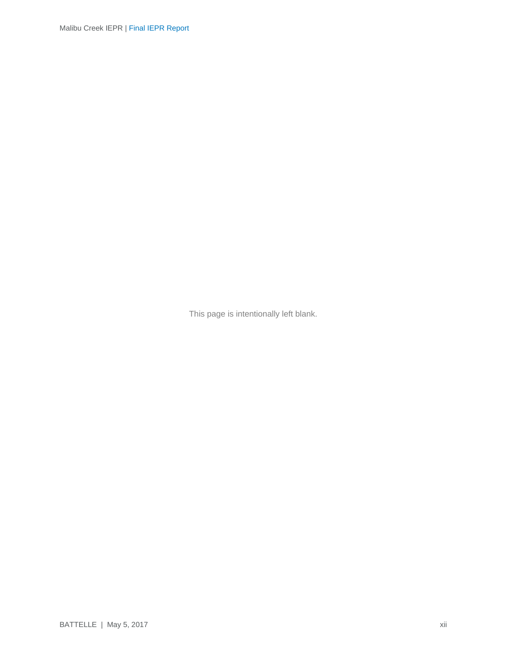This page is intentionally left blank.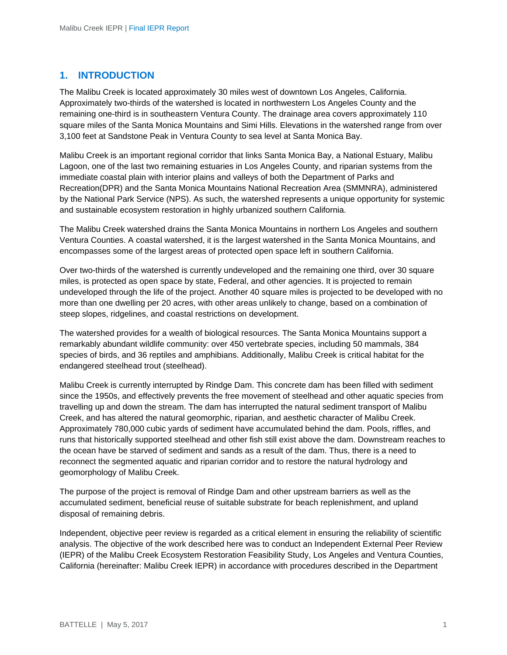# **1. INTRODUCTION**

The Malibu Creek is located approximately 30 miles west of downtown Los Angeles, California. Approximately two-thirds of the watershed is located in northwestern Los Angeles County and the remaining one-third is in southeastern Ventura County. The drainage area covers approximately 110 square miles of the Santa Monica Mountains and Simi Hills. Elevations in the watershed range from over 3,100 feet at Sandstone Peak in Ventura County to sea level at Santa Monica Bay.

Malibu Creek is an important regional corridor that links Santa Monica Bay, a National Estuary, Malibu Lagoon, one of the last two remaining estuaries in Los Angeles County, and riparian systems from the immediate coastal plain with interior plains and valleys of both the Department of Parks and Recreation(DPR) and the Santa Monica Mountains National Recreation Area (SMMNRA), administered by the National Park Service (NPS). As such, the watershed represents a unique opportunity for systemic and sustainable ecosystem restoration in highly urbanized southern California.

The Malibu Creek watershed drains the Santa Monica Mountains in northern Los Angeles and southern Ventura Counties. A coastal watershed, it is the largest watershed in the Santa Monica Mountains, and encompasses some of the largest areas of protected open space left in southern California.

Over two-thirds of the watershed is currently undeveloped and the remaining one third, over 30 square miles, is protected as open space by state, Federal, and other agencies. It is projected to remain undeveloped through the life of the project. Another 40 square miles is projected to be developed with no more than one dwelling per 20 acres, with other areas unlikely to change, based on a combination of steep slopes, ridgelines, and coastal restrictions on development.

The watershed provides for a wealth of biological resources. The Santa Monica Mountains support a remarkably abundant wildlife community: over 450 vertebrate species, including 50 mammals, 384 species of birds, and 36 reptiles and amphibians. Additionally, Malibu Creek is critical habitat for the endangered steelhead trout (steelhead).

Malibu Creek is currently interrupted by Rindge Dam. This concrete dam has been filled with sediment since the 1950s, and effectively prevents the free movement of steelhead and other aquatic species from travelling up and down the stream. The dam has interrupted the natural sediment transport of Malibu Creek, and has altered the natural geomorphic, riparian, and aesthetic character of Malibu Creek. Approximately 780,000 cubic yards of sediment have accumulated behind the dam. Pools, riffles, and runs that historically supported steelhead and other fish still exist above the dam. Downstream reaches to the ocean have be starved of sediment and sands as a result of the dam. Thus, there is a need to reconnect the segmented aquatic and riparian corridor and to restore the natural hydrology and geomorphology of Malibu Creek.

The purpose of the project is removal of Rindge Dam and other upstream barriers as well as the accumulated sediment, beneficial reuse of suitable substrate for beach replenishment, and upland disposal of remaining debris.

Independent, objective peer review is regarded as a critical element in ensuring the reliability of scientific analysis. The objective of the work described here was to conduct an Independent External Peer Review (IEPR) of the Malibu Creek Ecosystem Restoration Feasibility Study, Los Angeles and Ventura Counties, California (hereinafter: Malibu Creek IEPR) in accordance with procedures described in the Department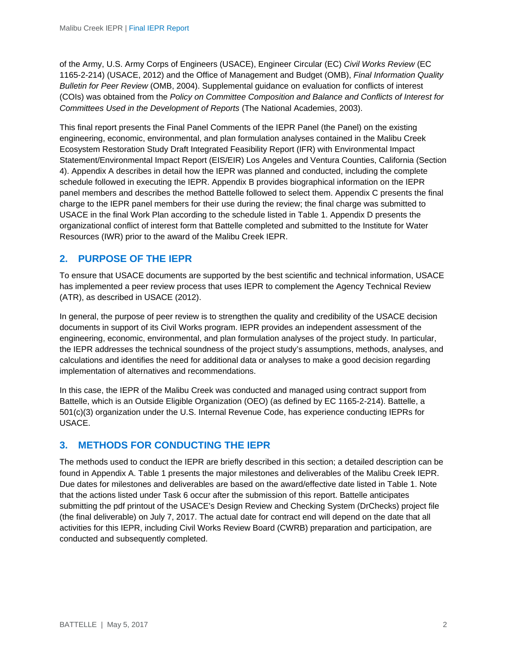of the Army, U.S. Army Corps of Engineers (USACE), Engineer Circular (EC) *Civil Works Review* (EC 1165-2-214) (USACE, 2012) and the Office of Management and Budget (OMB), *Final Information Quality Bulletin for Peer Review* (OMB, 2004). Supplemental guidance on evaluation for conflicts of interest (COIs) was obtained from the *Policy on Committee Composition and Balance and Conflicts of Interest for Committees Used in the Development of Reports* (The National Academies, 2003).

This final report presents the Final Panel Comments of the IEPR Panel (the Panel) on the existing engineering, economic, environmental, and plan formulation analyses contained in the Malibu Creek Ecosystem Restoration Study Draft Integrated Feasibility Report (IFR) with Environmental Impact Statement/Environmental Impact Report (EIS/EIR) Los Angeles and Ventura Counties, California (Section 4). Appendix A describes in detail how the IEPR was planned and conducted, including the complete schedule followed in executing the IEPR. Appendix B provides biographical information on the IEPR panel members and describes the method Battelle followed to select them. Appendix C presents the final charge to the IEPR panel members for their use during the review; the final charge was submitted to USACE in the final Work Plan according to the schedule listed in Table 1. Appendix D presents the organizational conflict of interest form that Battelle completed and submitted to the Institute for Water Resources (IWR) prior to the award of the Malibu Creek IEPR.

# **2. PURPOSE OF THE IEPR**

To ensure that USACE documents are supported by the best scientific and technical information, USACE has implemented a peer review process that uses IEPR to complement the Agency Technical Review (ATR), as described in USACE (2012).

In general, the purpose of peer review is to strengthen the quality and credibility of the USACE decision documents in support of its Civil Works program. IEPR provides an independent assessment of the engineering, economic, environmental, and plan formulation analyses of the project study. In particular, the IEPR addresses the technical soundness of the project study's assumptions, methods, analyses, and calculations and identifies the need for additional data or analyses to make a good decision regarding implementation of alternatives and recommendations.

In this case, the IEPR of the Malibu Creek was conducted and managed using contract support from Battelle, which is an Outside Eligible Organization (OEO) (as defined by EC 1165-2-214). Battelle, a 501(c)(3) organization under the U.S. Internal Revenue Code, has experience conducting IEPRs for USACE.

# **3. METHODS FOR CONDUCTING THE IEPR**

The methods used to conduct the IEPR are briefly described in this section; a detailed description can be found in Appendix A. Table 1 presents the major milestones and deliverables of the Malibu Creek IEPR. Due dates for milestones and deliverables are based on the award/effective date listed in Table 1. Note that the actions listed under Task 6 occur after the submission of this report. Battelle anticipates submitting the pdf printout of the USACE's Design Review and Checking System (DrChecks) project file (the final deliverable) on July 7, 2017. The actual date for contract end will depend on the date that all activities for this IEPR, including Civil Works Review Board (CWRB) preparation and participation, are conducted and subsequently completed.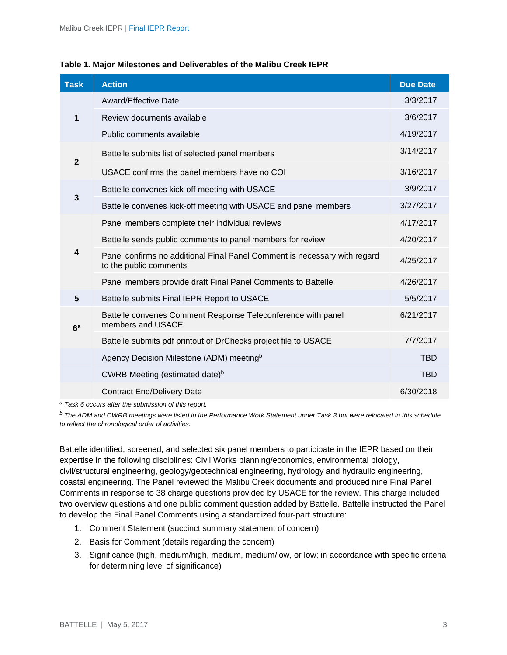| <b>Task</b>    | <b>Action</b>                                                                                       | <b>Due Date</b> |
|----------------|-----------------------------------------------------------------------------------------------------|-----------------|
|                | <b>Award/Effective Date</b>                                                                         | 3/3/2017        |
| 1              | Review documents available                                                                          | 3/6/2017        |
|                | Public comments available                                                                           | 4/19/2017       |
| $\overline{2}$ | Battelle submits list of selected panel members                                                     | 3/14/2017       |
|                | USACE confirms the panel members have no COI                                                        | 3/16/2017       |
|                | Battelle convenes kick-off meeting with USACE                                                       | 3/9/2017        |
| $\mathbf{3}$   | Battelle convenes kick-off meeting with USACE and panel members                                     | 3/27/2017       |
|                | Panel members complete their individual reviews                                                     | 4/17/2017       |
|                | Battelle sends public comments to panel members for review                                          | 4/20/2017       |
| 4              | Panel confirms no additional Final Panel Comment is necessary with regard<br>to the public comments | 4/25/2017       |
|                | Panel members provide draft Final Panel Comments to Battelle                                        | 4/26/2017       |
| 5              | Battelle submits Final IEPR Report to USACE                                                         | 5/5/2017        |
| 6 <sup>a</sup> | Battelle convenes Comment Response Teleconference with panel<br>members and USACE                   | 6/21/2017       |
|                | Battelle submits pdf printout of DrChecks project file to USACE                                     | 7/7/2017        |
|                | Agency Decision Milestone (ADM) meeting <sup>b</sup>                                                | <b>TBD</b>      |
|                | CWRB Meeting (estimated date) <sup>b</sup>                                                          | <b>TBD</b>      |
|                | <b>Contract End/Delivery Date</b>                                                                   | 6/30/2018       |
| $a$ Table C    | conus often the outposition of this report                                                          |                 |

#### **Table 1. Major Milestones and Deliverables of the Malibu Creek IEPR**

*a Task 6 occurs after the submission of this report.* 

*b The ADM and CWRB meetings were listed in the Performance Work Statement under Task 3 but were relocated in this schedule to reflect the chronological order of activities.* 

Battelle identified, screened, and selected six panel members to participate in the IEPR based on their expertise in the following disciplines: Civil Works planning/economics, environmental biology, civil/structural engineering, geology/geotechnical engineering, hydrology and hydraulic engineering, coastal engineering. The Panel reviewed the Malibu Creek documents and produced nine Final Panel Comments in response to 38 charge questions provided by USACE for the review. This charge included two overview questions and one public comment question added by Battelle. Battelle instructed the Panel to develop the Final Panel Comments using a standardized four-part structure:

- 1. Comment Statement (succinct summary statement of concern)
- 2. Basis for Comment (details regarding the concern)
- 3. Significance (high, medium/high, medium, medium/low, or low; in accordance with specific criteria for determining level of significance)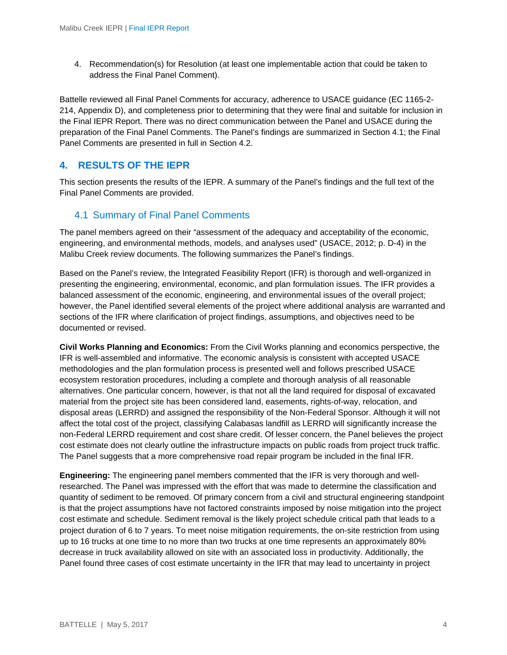4. Recommendation(s) for Resolution (at least one implementable action that could be taken to address the Final Panel Comment).

Battelle reviewed all Final Panel Comments for accuracy, adherence to USACE guidance (EC 1165-2- 214, Appendix D), and completeness prior to determining that they were final and suitable for inclusion in the Final IEPR Report. There was no direct communication between the Panel and USACE during the preparation of the Final Panel Comments. The Panel's findings are summarized in Section 4.1; the Final Panel Comments are presented in full in Section 4.2.

# **4. RESULTS OF THE IEPR**

This section presents the results of the IEPR. A summary of the Panel's findings and the full text of the Final Panel Comments are provided.

# 4.1 Summary of Final Panel Comments

The panel members agreed on their "assessment of the adequacy and acceptability of the economic, engineering, and environmental methods, models, and analyses used" (USACE, 2012; p. D-4) in the Malibu Creek review documents. The following summarizes the Panel's findings.

Based on the Panel's review, the Integrated Feasibility Report (IFR) is thorough and well-organized in presenting the engineering, environmental, economic, and plan formulation issues. The IFR provides a balanced assessment of the economic, engineering, and environmental issues of the overall project; however, the Panel identified several elements of the project where additional analysis are warranted and sections of the IFR where clarification of project findings, assumptions, and objectives need to be documented or revised.

**Civil Works Planning and Economics:** From the Civil Works planning and economics perspective, the IFR is well-assembled and informative. The economic analysis is consistent with accepted USACE methodologies and the plan formulation process is presented well and follows prescribed USACE ecosystem restoration procedures, including a complete and thorough analysis of all reasonable alternatives. One particular concern, however, is that not all the land required for disposal of excavated material from the project site has been considered land, easements, rights-of-way, relocation, and disposal areas (LERRD) and assigned the responsibility of the Non-Federal Sponsor. Although it will not affect the total cost of the project, classifying Calabasas landfill as LERRD will significantly increase the non-Federal LERRD requirement and cost share credit. Of lesser concern, the Panel believes the project cost estimate does not clearly outline the infrastructure impacts on public roads from project truck traffic. The Panel suggests that a more comprehensive road repair program be included in the final IFR.

**Engineering:** The engineering panel members commented that the IFR is very thorough and wellresearched. The Panel was impressed with the effort that was made to determine the classification and quantity of sediment to be removed. Of primary concern from a civil and structural engineering standpoint is that the project assumptions have not factored constraints imposed by noise mitigation into the project cost estimate and schedule. Sediment removal is the likely project schedule critical path that leads to a project duration of 6 to 7 years. To meet noise mitigation requirements, the on-site restriction from using up to 16 trucks at one time to no more than two trucks at one time represents an approximately 80% decrease in truck availability allowed on site with an associated loss in productivity. Additionally, the Panel found three cases of cost estimate uncertainty in the IFR that may lead to uncertainty in project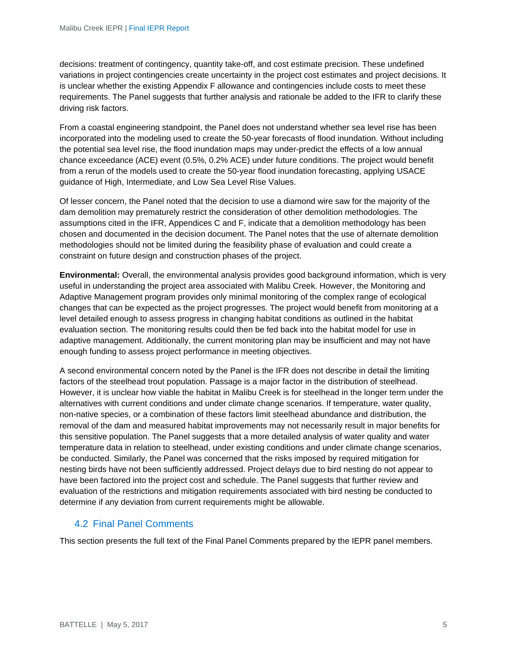decisions: treatment of contingency, quantity take-off, and cost estimate precision. These undefined variations in project contingencies create uncertainty in the project cost estimates and project decisions. It is unclear whether the existing Appendix F allowance and contingencies include costs to meet these requirements. The Panel suggests that further analysis and rationale be added to the IFR to clarify these driving risk factors.

From a coastal engineering standpoint, the Panel does not understand whether sea level rise has been incorporated into the modeling used to create the 50-year forecasts of flood inundation. Without including the potential sea level rise, the flood inundation maps may under-predict the effects of a low annual chance exceedance (ACE) event (0.5%, 0.2% ACE) under future conditions. The project would benefit from a rerun of the models used to create the 50-year flood inundation forecasting, applying USACE guidance of High, Intermediate, and Low Sea Level Rise Values.

Of lesser concern, the Panel noted that the decision to use a diamond wire saw for the majority of the dam demolition may prematurely restrict the consideration of other demolition methodologies. The assumptions cited in the IFR, Appendices C and F, indicate that a demolition methodology has been chosen and documented in the decision document. The Panel notes that the use of alternate demolition methodologies should not be limited during the feasibility phase of evaluation and could create a constraint on future design and construction phases of the project.

**Environmental:** Overall, the environmental analysis provides good background information, which is very useful in understanding the project area associated with Malibu Creek. However, the Monitoring and Adaptive Management program provides only minimal monitoring of the complex range of ecological changes that can be expected as the project progresses. The project would benefit from monitoring at a level detailed enough to assess progress in changing habitat conditions as outlined in the habitat evaluation section. The monitoring results could then be fed back into the habitat model for use in adaptive management. Additionally, the current monitoring plan may be insufficient and may not have enough funding to assess project performance in meeting objectives.

A second environmental concern noted by the Panel is the IFR does not describe in detail the limiting factors of the steelhead trout population. Passage is a major factor in the distribution of steelhead. However, it is unclear how viable the habitat in Malibu Creek is for steelhead in the longer term under the alternatives with current conditions and under climate change scenarios. If temperature, water quality, non-native species, or a combination of these factors limit steelhead abundance and distribution, the removal of the dam and measured habitat improvements may not necessarily result in major benefits for this sensitive population. The Panel suggests that a more detailed analysis of water quality and water temperature data in relation to steelhead, under existing conditions and under climate change scenarios, be conducted. Similarly, the Panel was concerned that the risks imposed by required mitigation for nesting birds have not been sufficiently addressed. Project delays due to bird nesting do not appear to have been factored into the project cost and schedule. The Panel suggests that further review and evaluation of the restrictions and mitigation requirements associated with bird nesting be conducted to determine if any deviation from current requirements might be allowable.

# 4.2 Final Panel Comments

This section presents the full text of the Final Panel Comments prepared by the IEPR panel members.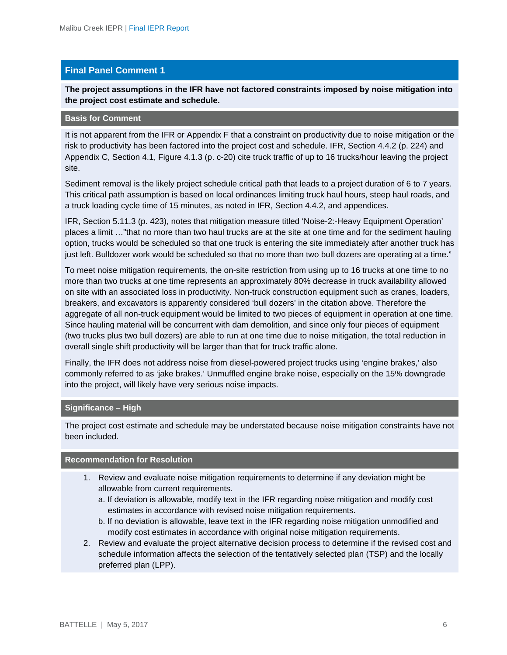**The project assumptions in the IFR have not factored constraints imposed by noise mitigation into the project cost estimate and schedule.** 

#### **Basis for Comment**

It is not apparent from the IFR or Appendix F that a constraint on productivity due to noise mitigation or the risk to productivity has been factored into the project cost and schedule. IFR, Section 4.4.2 (p. 224) and Appendix C, Section 4.1, Figure 4.1.3 (p. c-20) cite truck traffic of up to 16 trucks/hour leaving the project site.

Sediment removal is the likely project schedule critical path that leads to a project duration of 6 to 7 years. This critical path assumption is based on local ordinances limiting truck haul hours, steep haul roads, and a truck loading cycle time of 15 minutes, as noted in IFR, Section 4.4.2, and appendices.

IFR, Section 5.11.3 (p. 423), notes that mitigation measure titled 'Noise-2:-Heavy Equipment Operation' places a limit …"that no more than two haul trucks are at the site at one time and for the sediment hauling option, trucks would be scheduled so that one truck is entering the site immediately after another truck has just left. Bulldozer work would be scheduled so that no more than two bull dozers are operating at a time."

To meet noise mitigation requirements, the on-site restriction from using up to 16 trucks at one time to no more than two trucks at one time represents an approximately 80% decrease in truck availability allowed on site with an associated loss in productivity. Non-truck construction equipment such as cranes, loaders, breakers, and excavators is apparently considered 'bull dozers' in the citation above. Therefore the aggregate of all non-truck equipment would be limited to two pieces of equipment in operation at one time. Since hauling material will be concurrent with dam demolition, and since only four pieces of equipment (two trucks plus two bull dozers) are able to run at one time due to noise mitigation, the total reduction in overall single shift productivity will be larger than that for truck traffic alone.

Finally, the IFR does not address noise from diesel-powered project trucks using 'engine brakes,' also commonly referred to as 'jake brakes.' Unmuffled engine brake noise, especially on the 15% downgrade into the project, will likely have very serious noise impacts.

#### **Significance – High**

The project cost estimate and schedule may be understated because noise mitigation constraints have not been included.

#### **Recommendation for Resolution**

- 1. Review and evaluate noise mitigation requirements to determine if any deviation might be allowable from current requirements.
	- a. If deviation is allowable, modify text in the IFR regarding noise mitigation and modify cost estimates in accordance with revised noise mitigation requirements.
	- b. If no deviation is allowable, leave text in the IFR regarding noise mitigation unmodified and modify cost estimates in accordance with original noise mitigation requirements.
- 2. Review and evaluate the project alternative decision process to determine if the revised cost and schedule information affects the selection of the tentatively selected plan (TSP) and the locally preferred plan (LPP).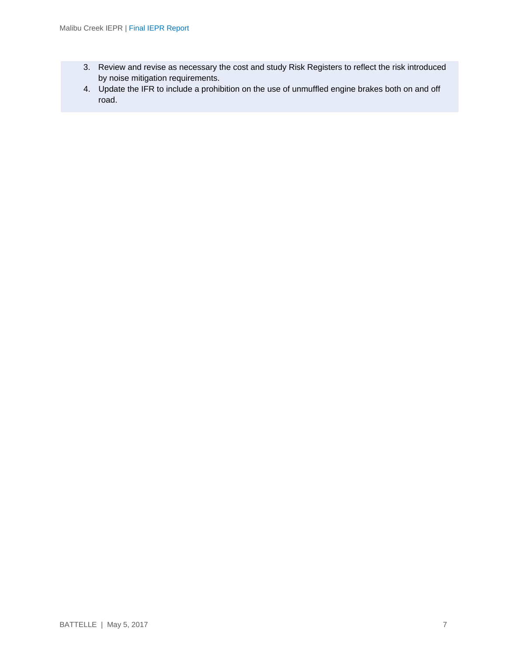- 3. Review and revise as necessary the cost and study Risk Registers to reflect the risk introduced by noise mitigation requirements.
- 4. Update the IFR to include a prohibition on the use of unmuffled engine brakes both on and off road.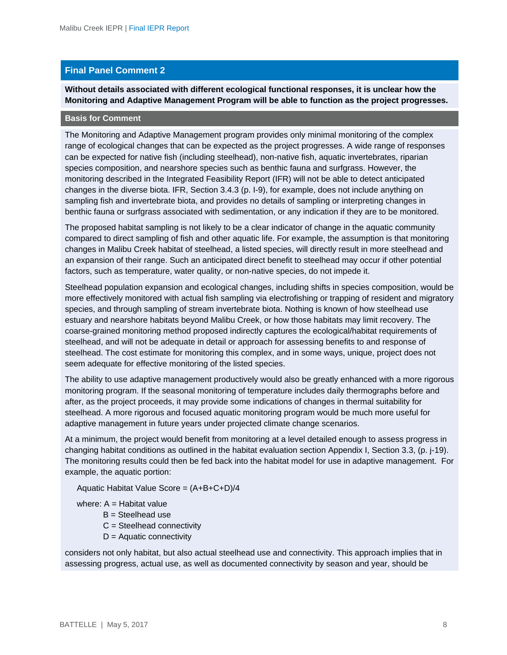**Without details associated with different ecological functional responses, it is unclear how the Monitoring and Adaptive Management Program will be able to function as the project progresses.** 

#### **Basis for Comment**

The Monitoring and Adaptive Management program provides only minimal monitoring of the complex range of ecological changes that can be expected as the project progresses. A wide range of responses can be expected for native fish (including steelhead), non-native fish, aquatic invertebrates, riparian species composition, and nearshore species such as benthic fauna and surfgrass. However, the monitoring described in the Integrated Feasibility Report (IFR) will not be able to detect anticipated changes in the diverse biota. IFR, Section 3.4.3 (p. I-9), for example, does not include anything on sampling fish and invertebrate biota, and provides no details of sampling or interpreting changes in benthic fauna or surfgrass associated with sedimentation, or any indication if they are to be monitored.

The proposed habitat sampling is not likely to be a clear indicator of change in the aquatic community compared to direct sampling of fish and other aquatic life. For example, the assumption is that monitoring changes in Malibu Creek habitat of steelhead, a listed species, will directly result in more steelhead and an expansion of their range. Such an anticipated direct benefit to steelhead may occur if other potential factors, such as temperature, water quality, or non-native species, do not impede it.

Steelhead population expansion and ecological changes, including shifts in species composition, would be more effectively monitored with actual fish sampling via electrofishing or trapping of resident and migratory species, and through sampling of stream invertebrate biota. Nothing is known of how steelhead use estuary and nearshore habitats beyond Malibu Creek, or how those habitats may limit recovery. The coarse-grained monitoring method proposed indirectly captures the ecological/habitat requirements of steelhead, and will not be adequate in detail or approach for assessing benefits to and response of steelhead. The cost estimate for monitoring this complex, and in some ways, unique, project does not seem adequate for effective monitoring of the listed species.

The ability to use adaptive management productively would also be greatly enhanced with a more rigorous monitoring program. If the seasonal monitoring of temperature includes daily thermographs before and after, as the project proceeds, it may provide some indications of changes in thermal suitability for steelhead. A more rigorous and focused aquatic monitoring program would be much more useful for adaptive management in future years under projected climate change scenarios.

At a minimum, the project would benefit from monitoring at a level detailed enough to assess progress in changing habitat conditions as outlined in the habitat evaluation section Appendix I, Section 3.3, (p. j-19). The monitoring results could then be fed back into the habitat model for use in adaptive management. For example, the aquatic portion:

Aquatic Habitat Value Score = (A+B+C+D)/4

where:  $A = H$ abitat value

 $B =$  Steelhead use

 $C = Steelhead connectivity$ 

 $D =$  Aquatic connectivity

considers not only habitat, but also actual steelhead use and connectivity. This approach implies that in assessing progress, actual use, as well as documented connectivity by season and year, should be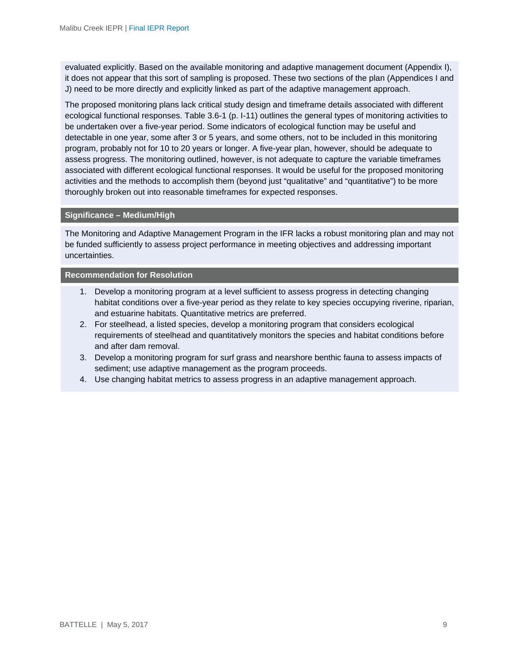evaluated explicitly. Based on the available monitoring and adaptive management document (Appendix I), it does not appear that this sort of sampling is proposed. These two sections of the plan (Appendices I and J) need to be more directly and explicitly linked as part of the adaptive management approach.

The proposed monitoring plans lack critical study design and timeframe details associated with different ecological functional responses. Table 3.6-1 (p. I-11) outlines the general types of monitoring activities to be undertaken over a five-year period. Some indicators of ecological function may be useful and detectable in one year, some after 3 or 5 years, and some others, not to be included in this monitoring program, probably not for 10 to 20 years or longer. A five-year plan, however, should be adequate to assess progress. The monitoring outlined, however, is not adequate to capture the variable timeframes associated with different ecological functional responses. It would be useful for the proposed monitoring activities and the methods to accomplish them (beyond just "qualitative" and "quantitative") to be more thoroughly broken out into reasonable timeframes for expected responses.

## **Significance – Medium/High**

The Monitoring and Adaptive Management Program in the IFR lacks a robust monitoring plan and may not be funded sufficiently to assess project performance in meeting objectives and addressing important uncertainties.

#### **Recommendation for Resolution**

- 1. Develop a monitoring program at a level sufficient to assess progress in detecting changing habitat conditions over a five-year period as they relate to key species occupying riverine, riparian, and estuarine habitats. Quantitative metrics are preferred.
- 2. For steelhead, a listed species, develop a monitoring program that considers ecological requirements of steelhead and quantitatively monitors the species and habitat conditions before and after dam removal.
- 3. Develop a monitoring program for surf grass and nearshore benthic fauna to assess impacts of sediment; use adaptive management as the program proceeds.
- 4. Use changing habitat metrics to assess progress in an adaptive management approach.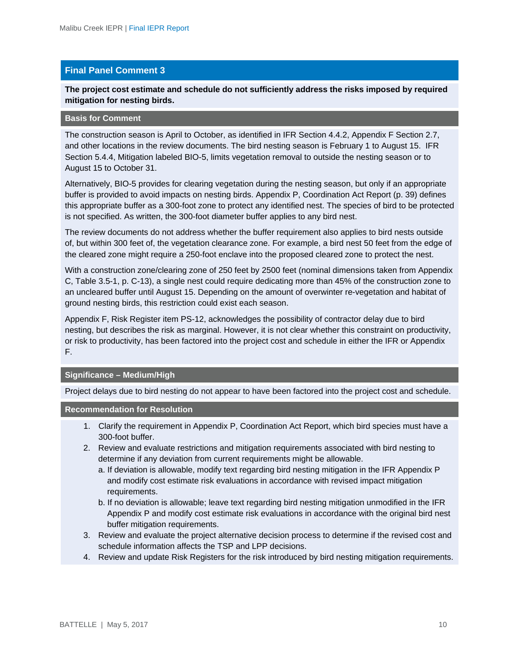**The project cost estimate and schedule do not sufficiently address the risks imposed by required mitigation for nesting birds.** 

#### **Basis for Comment**

The construction season is April to October, as identified in IFR Section 4.4.2, Appendix F Section 2.7, and other locations in the review documents. The bird nesting season is February 1 to August 15. IFR Section 5.4.4, Mitigation labeled BIO-5, limits vegetation removal to outside the nesting season or to August 15 to October 31.

Alternatively, BIO-5 provides for clearing vegetation during the nesting season, but only if an appropriate buffer is provided to avoid impacts on nesting birds. Appendix P, Coordination Act Report (p. 39) defines this appropriate buffer as a 300-foot zone to protect any identified nest. The species of bird to be protected is not specified. As written, the 300-foot diameter buffer applies to any bird nest.

The review documents do not address whether the buffer requirement also applies to bird nests outside of, but within 300 feet of, the vegetation clearance zone. For example, a bird nest 50 feet from the edge of the cleared zone might require a 250-foot enclave into the proposed cleared zone to protect the nest.

With a construction zone/clearing zone of 250 feet by 2500 feet (nominal dimensions taken from Appendix C, Table 3.5-1, p. C-13), a single nest could require dedicating more than 45% of the construction zone to an uncleared buffer until August 15. Depending on the amount of overwinter re-vegetation and habitat of ground nesting birds, this restriction could exist each season.

Appendix F, Risk Register item PS-12, acknowledges the possibility of contractor delay due to bird nesting, but describes the risk as marginal. However, it is not clear whether this constraint on productivity, or risk to productivity, has been factored into the project cost and schedule in either the IFR or Appendix F.

#### **Significance – Medium/High**

Project delays due to bird nesting do not appear to have been factored into the project cost and schedule.

#### **Recommendation for Resolution**

- 1. Clarify the requirement in Appendix P, Coordination Act Report, which bird species must have a 300-foot buffer.
- 2. Review and evaluate restrictions and mitigation requirements associated with bird nesting to determine if any deviation from current requirements might be allowable.
	- a. If deviation is allowable, modify text regarding bird nesting mitigation in the IFR Appendix P and modify cost estimate risk evaluations in accordance with revised impact mitigation requirements.
	- b. If no deviation is allowable; leave text regarding bird nesting mitigation unmodified in the IFR Appendix P and modify cost estimate risk evaluations in accordance with the original bird nest buffer mitigation requirements.
- 3. Review and evaluate the project alternative decision process to determine if the revised cost and schedule information affects the TSP and LPP decisions.
- 4. Review and update Risk Registers for the risk introduced by bird nesting mitigation requirements.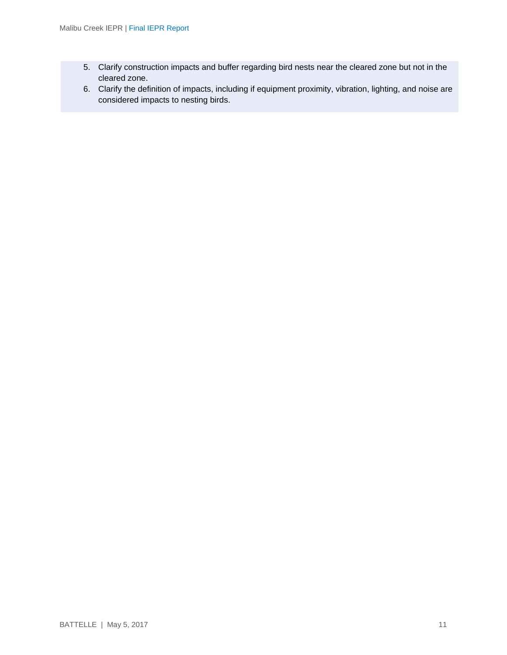- 5. Clarify construction impacts and buffer regarding bird nests near the cleared zone but not in the cleared zone.
- 6. Clarify the definition of impacts, including if equipment proximity, vibration, lighting, and noise are considered impacts to nesting birds.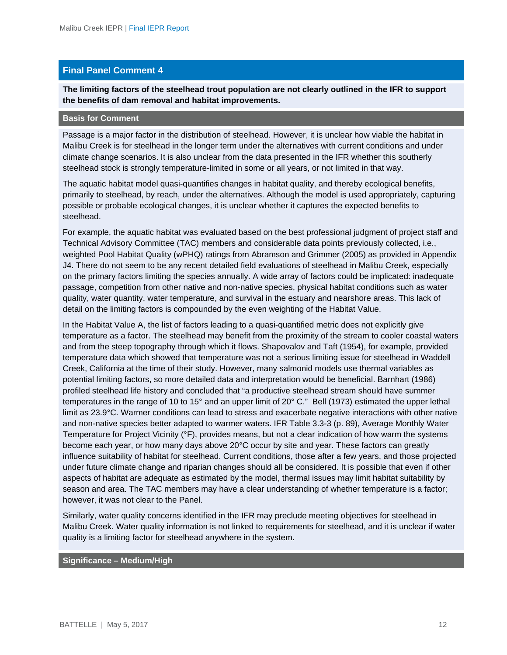**The limiting factors of the steelhead trout population are not clearly outlined in the IFR to support the benefits of dam removal and habitat improvements.** 

#### **Basis for Comment**

Passage is a major factor in the distribution of steelhead. However, it is unclear how viable the habitat in Malibu Creek is for steelhead in the longer term under the alternatives with current conditions and under climate change scenarios. It is also unclear from the data presented in the IFR whether this southerly steelhead stock is strongly temperature-limited in some or all years, or not limited in that way.

The aquatic habitat model quasi-quantifies changes in habitat quality, and thereby ecological benefits, primarily to steelhead, by reach, under the alternatives. Although the model is used appropriately, capturing possible or probable ecological changes, it is unclear whether it captures the expected benefits to steelhead.

For example, the aquatic habitat was evaluated based on the best professional judgment of project staff and Technical Advisory Committee (TAC) members and considerable data points previously collected, i.e., weighted Pool Habitat Quality (wPHQ) ratings from Abramson and Grimmer (2005) as provided in Appendix J4. There do not seem to be any recent detailed field evaluations of steelhead in Malibu Creek, especially on the primary factors limiting the species annually. A wide array of factors could be implicated: inadequate passage, competition from other native and non-native species, physical habitat conditions such as water quality, water quantity, water temperature, and survival in the estuary and nearshore areas. This lack of detail on the limiting factors is compounded by the even weighting of the Habitat Value.

In the Habitat Value A, the list of factors leading to a quasi-quantified metric does not explicitly give temperature as a factor. The steelhead may benefit from the proximity of the stream to cooler coastal waters and from the steep topography through which it flows. Shapovalov and Taft (1954), for example, provided temperature data which showed that temperature was not a serious limiting issue for steelhead in Waddell Creek, California at the time of their study. However, many salmonid models use thermal variables as potential limiting factors, so more detailed data and interpretation would be beneficial. Barnhart (1986) profiled steelhead life history and concluded that "a productive steelhead stream should have summer temperatures in the range of 10 to 15° and an upper limit of 20° C." Bell (1973) estimated the upper lethal limit as 23.9°C. Warmer conditions can lead to stress and exacerbate negative interactions with other native and non-native species better adapted to warmer waters. IFR Table 3.3-3 (p. 89), Average Monthly Water Temperature for Project Vicinity (°F), provides means, but not a clear indication of how warm the systems become each year, or how many days above 20°C occur by site and year. These factors can greatly influence suitability of habitat for steelhead. Current conditions, those after a few years, and those projected under future climate change and riparian changes should all be considered. It is possible that even if other aspects of habitat are adequate as estimated by the model, thermal issues may limit habitat suitability by season and area. The TAC members may have a clear understanding of whether temperature is a factor; however, it was not clear to the Panel.

Similarly, water quality concerns identified in the IFR may preclude meeting objectives for steelhead in Malibu Creek. Water quality information is not linked to requirements for steelhead, and it is unclear if water quality is a limiting factor for steelhead anywhere in the system.

## **Significance – Medium/High**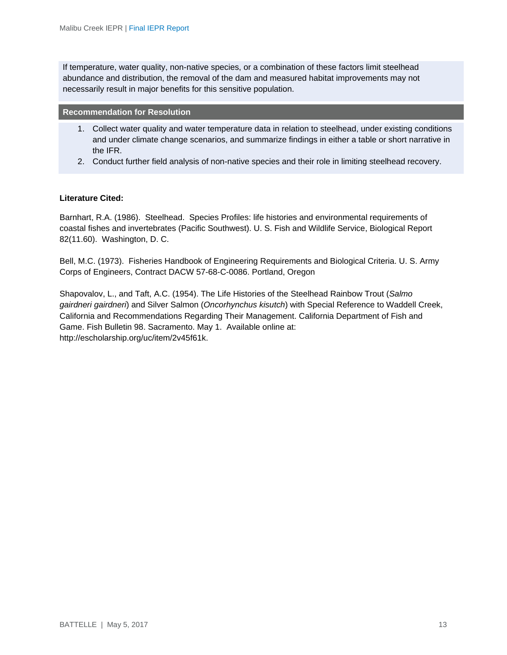If temperature, water quality, non-native species, or a combination of these factors limit steelhead abundance and distribution, the removal of the dam and measured habitat improvements may not necessarily result in major benefits for this sensitive population.

#### **Recommendation for Resolution**

- 1. Collect water quality and water temperature data in relation to steelhead, under existing conditions and under climate change scenarios, and summarize findings in either a table or short narrative in the IFR.
- 2. Conduct further field analysis of non-native species and their role in limiting steelhead recovery.

### **Literature Cited:**

Barnhart, R.A. (1986). Steelhead. Species Profiles: life histories and environmental requirements of coastal fishes and invertebrates (Pacific Southwest). U. S. Fish and Wildlife Service, Biological Report 82(11.60). Washington, D. C.

Bell, M.C. (1973). Fisheries Handbook of Engineering Requirements and Biological Criteria. U. S. Army Corps of Engineers, Contract DACW 57-68-C-0086. Portland, Oregon

Shapovalov, L., and Taft, A.C. (1954). The Life Histories of the Steelhead Rainbow Trout (*Salmo gairdneri gairdneri*) and Silver Salmon (*Oncorhynchus kisutch*) with Special Reference to Waddell Creek, California and Recommendations Regarding Their Management. California Department of Fish and Game. Fish Bulletin 98. Sacramento. May 1. Available online at: http://escholarship.org/uc/item/2v45f61k.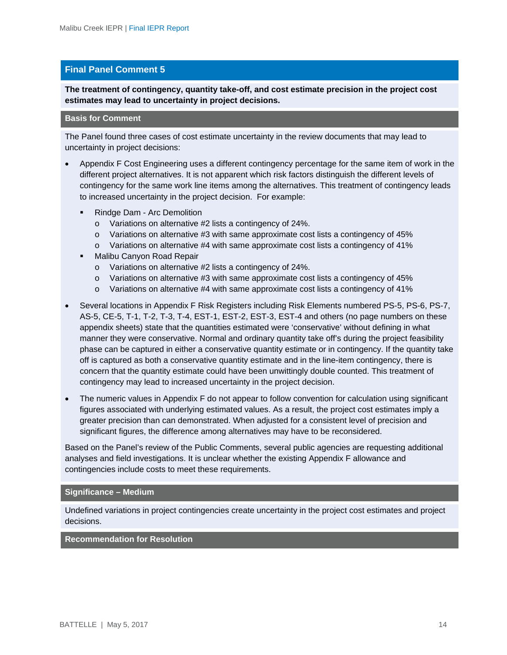**The treatment of contingency, quantity take-off, and cost estimate precision in the project cost estimates may lead to uncertainty in project decisions.** 

### **Basis for Comment**

The Panel found three cases of cost estimate uncertainty in the review documents that may lead to uncertainty in project decisions:

- Appendix F Cost Engineering uses a different contingency percentage for the same item of work in the different project alternatives. It is not apparent which risk factors distinguish the different levels of contingency for the same work line items among the alternatives. This treatment of contingency leads to increased uncertainty in the project decision. For example:
	- Rindge Dam Arc Demolition
		- o Variations on alternative #2 lists a contingency of 24%.
		- o Variations on alternative #3 with same approximate cost lists a contingency of 45%
		- o Variations on alternative #4 with same approximate cost lists a contingency of 41%
	- Malibu Canyon Road Repair
		- o Variations on alternative #2 lists a contingency of 24%.
		- $\circ$  Variations on alternative #3 with same approximate cost lists a contingency of 45%
		- o Variations on alternative #4 with same approximate cost lists a contingency of 41%
- Several locations in Appendix F Risk Registers including Risk Elements numbered PS-5, PS-6, PS-7, AS-5, CE-5, T-1, T-2, T-3, T-4, EST-1, EST-2, EST-3, EST-4 and others (no page numbers on these appendix sheets) state that the quantities estimated were 'conservative' without defining in what manner they were conservative. Normal and ordinary quantity take off's during the project feasibility phase can be captured in either a conservative quantity estimate or in contingency. If the quantity take off is captured as both a conservative quantity estimate and in the line-item contingency, there is concern that the quantity estimate could have been unwittingly double counted. This treatment of contingency may lead to increased uncertainty in the project decision.
- The numeric values in Appendix F do not appear to follow convention for calculation using significant figures associated with underlying estimated values. As a result, the project cost estimates imply a greater precision than can demonstrated. When adjusted for a consistent level of precision and significant figures, the difference among alternatives may have to be reconsidered.

Based on the Panel's review of the Public Comments, several public agencies are requesting additional analyses and field investigations. It is unclear whether the existing Appendix F allowance and contingencies include costs to meet these requirements.

#### **Significance – Medium**

Undefined variations in project contingencies create uncertainty in the project cost estimates and project decisions.

**Recommendation for Resolution**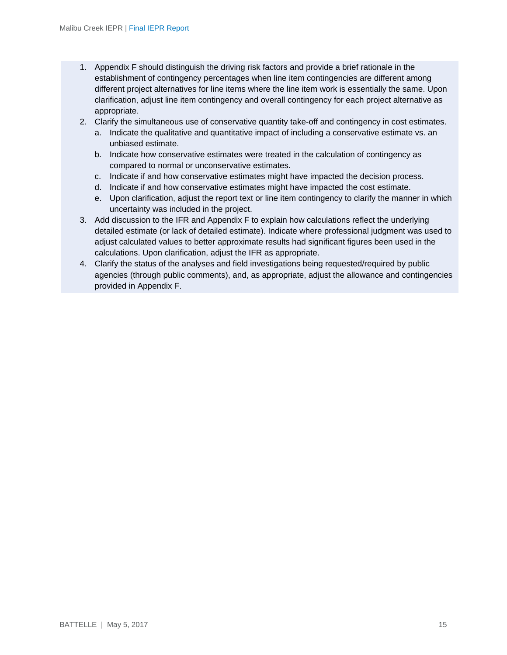- 1. Appendix F should distinguish the driving risk factors and provide a brief rationale in the establishment of contingency percentages when line item contingencies are different among different project alternatives for line items where the line item work is essentially the same. Upon clarification, adjust line item contingency and overall contingency for each project alternative as appropriate.
- 2. Clarify the simultaneous use of conservative quantity take-off and contingency in cost estimates.
	- a. Indicate the qualitative and quantitative impact of including a conservative estimate vs. an unbiased estimate.
	- b. Indicate how conservative estimates were treated in the calculation of contingency as compared to normal or unconservative estimates.
	- c. Indicate if and how conservative estimates might have impacted the decision process.
	- d. Indicate if and how conservative estimates might have impacted the cost estimate.
	- e. Upon clarification, adjust the report text or line item contingency to clarify the manner in which uncertainty was included in the project.
- 3. Add discussion to the IFR and Appendix F to explain how calculations reflect the underlying detailed estimate (or lack of detailed estimate). Indicate where professional judgment was used to adjust calculated values to better approximate results had significant figures been used in the calculations. Upon clarification, adjust the IFR as appropriate.
- 4. Clarify the status of the analyses and field investigations being requested/required by public agencies (through public comments), and, as appropriate, adjust the allowance and contingencies provided in Appendix F.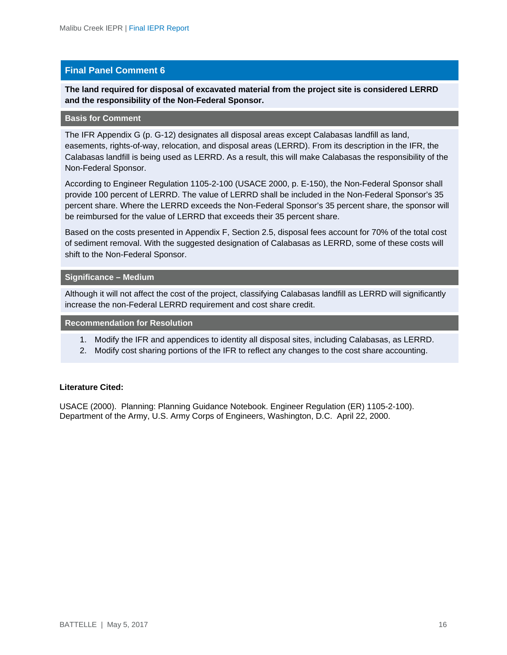**The land required for disposal of excavated material from the project site is considered LERRD and the responsibility of the Non-Federal Sponsor.** 

#### **Basis for Comment**

The IFR Appendix G (p. G-12) designates all disposal areas except Calabasas landfill as land, easements, rights-of-way, relocation, and disposal areas (LERRD). From its description in the IFR, the Calabasas landfill is being used as LERRD. As a result, this will make Calabasas the responsibility of the Non-Federal Sponsor.

According to Engineer Regulation 1105-2-100 (USACE 2000, p. E-150), the Non-Federal Sponsor shall provide 100 percent of LERRD. The value of LERRD shall be included in the Non-Federal Sponsor's 35 percent share. Where the LERRD exceeds the Non-Federal Sponsor's 35 percent share, the sponsor will be reimbursed for the value of LERRD that exceeds their 35 percent share.

Based on the costs presented in Appendix F, Section 2.5, disposal fees account for 70% of the total cost of sediment removal. With the suggested designation of Calabasas as LERRD, some of these costs will shift to the Non-Federal Sponsor.

#### **Significance – Medium**

Although it will not affect the cost of the project, classifying Calabasas landfill as LERRD will significantly increase the non-Federal LERRD requirement and cost share credit.

### **Recommendation for Resolution**

- 1. Modify the IFR and appendices to identity all disposal sites, including Calabasas, as LERRD.
- 2. Modify cost sharing portions of the IFR to reflect any changes to the cost share accounting.

#### **Literature Cited:**

USACE (2000). Planning: Planning Guidance Notebook. Engineer Regulation (ER) 1105-2-100). Department of the Army, U.S. Army Corps of Engineers, Washington, D.C. April 22, 2000.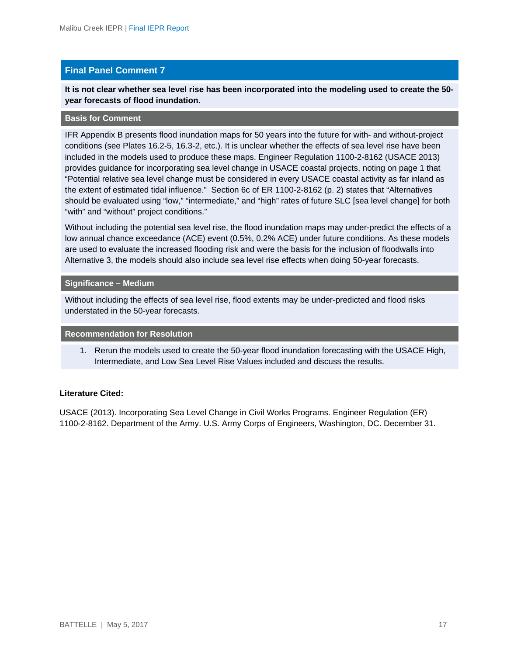**It is not clear whether sea level rise has been incorporated into the modeling used to create the 50 year forecasts of flood inundation.** 

#### **Basis for Comment**

IFR Appendix B presents flood inundation maps for 50 years into the future for with- and without-project conditions (see Plates 16.2-5, 16.3-2, etc.). It is unclear whether the effects of sea level rise have been included in the models used to produce these maps. Engineer Regulation 1100-2-8162 (USACE 2013) provides guidance for incorporating sea level change in USACE coastal projects, noting on page 1 that "Potential relative sea level change must be considered in every USACE coastal activity as far inland as the extent of estimated tidal influence." Section 6c of ER 1100-2-8162 (p. 2) states that "Alternatives should be evaluated using "low," "intermediate," and "high" rates of future SLC [sea level change] for both "with" and "without" project conditions."

Without including the potential sea level rise, the flood inundation maps may under-predict the effects of a low annual chance exceedance (ACE) event (0.5%, 0.2% ACE) under future conditions. As these models are used to evaluate the increased flooding risk and were the basis for the inclusion of floodwalls into Alternative 3, the models should also include sea level rise effects when doing 50-year forecasts.

#### **Significance – Medium**

Without including the effects of sea level rise, flood extents may be under-predicted and flood risks understated in the 50-year forecasts.

#### **Recommendation for Resolution**

1. Rerun the models used to create the 50-year flood inundation forecasting with the USACE High, Intermediate, and Low Sea Level Rise Values included and discuss the results.

#### **Literature Cited:**

USACE (2013). Incorporating Sea Level Change in Civil Works Programs. Engineer Regulation (ER) 1100-2-8162. Department of the Army. U.S. Army Corps of Engineers, Washington, DC. December 31.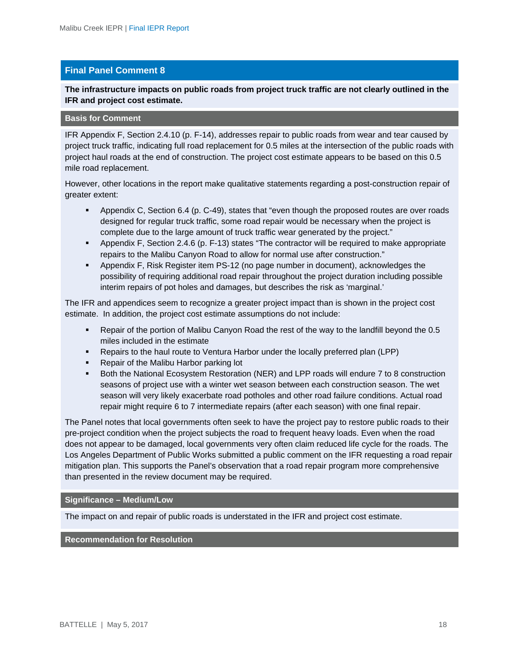**The infrastructure impacts on public roads from project truck traffic are not clearly outlined in the IFR and project cost estimate.** 

### **Basis for Comment**

IFR Appendix F, Section 2.4.10 (p. F-14), addresses repair to public roads from wear and tear caused by project truck traffic, indicating full road replacement for 0.5 miles at the intersection of the public roads with project haul roads at the end of construction. The project cost estimate appears to be based on this 0.5 mile road replacement.

However, other locations in the report make qualitative statements regarding a post-construction repair of greater extent:

- Appendix C, Section 6.4 (p. C-49), states that "even though the proposed routes are over roads designed for regular truck traffic, some road repair would be necessary when the project is complete due to the large amount of truck traffic wear generated by the project."
- Appendix F, Section 2.4.6 (p. F-13) states "The contractor will be required to make appropriate repairs to the Malibu Canyon Road to allow for normal use after construction."
- Appendix F, Risk Register item PS-12 (no page number in document), acknowledges the possibility of requiring additional road repair throughout the project duration including possible interim repairs of pot holes and damages, but describes the risk as 'marginal.'

The IFR and appendices seem to recognize a greater project impact than is shown in the project cost estimate. In addition, the project cost estimate assumptions do not include:

- Repair of the portion of Malibu Canyon Road the rest of the way to the landfill beyond the 0.5 miles included in the estimate
- Repairs to the haul route to Ventura Harbor under the locally preferred plan (LPP)
- Repair of the Malibu Harbor parking lot
- Both the National Ecosystem Restoration (NER) and LPP roads will endure 7 to 8 construction seasons of project use with a winter wet season between each construction season. The wet season will very likely exacerbate road potholes and other road failure conditions. Actual road repair might require 6 to 7 intermediate repairs (after each season) with one final repair.

The Panel notes that local governments often seek to have the project pay to restore public roads to their pre-project condition when the project subjects the road to frequent heavy loads. Even when the road does not appear to be damaged, local governments very often claim reduced life cycle for the roads. The Los Angeles Department of Public Works submitted a public comment on the IFR requesting a road repair mitigation plan. This supports the Panel's observation that a road repair program more comprehensive than presented in the review document may be required.

#### **Significance – Medium/Low**

The impact on and repair of public roads is understated in the IFR and project cost estimate.

#### **Recommendation for Resolution**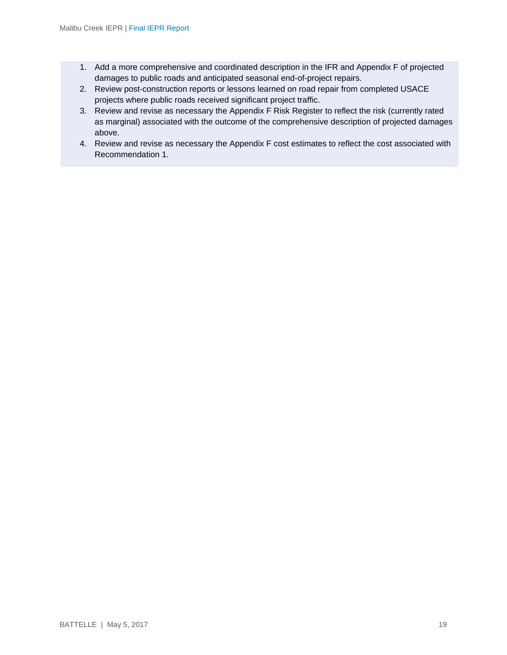- 1. Add a more comprehensive and coordinated description in the IFR and Appendix F of projected damages to public roads and anticipated seasonal end-of-project repairs.
- 2. Review post-construction reports or lessons learned on road repair from completed USACE projects where public roads received significant project traffic.
- 3. Review and revise as necessary the Appendix F Risk Register to reflect the risk (currently rated as marginal) associated with the outcome of the comprehensive description of projected damages above.
- 4. Review and revise as necessary the Appendix F cost estimates to reflect the cost associated with Recommendation 1.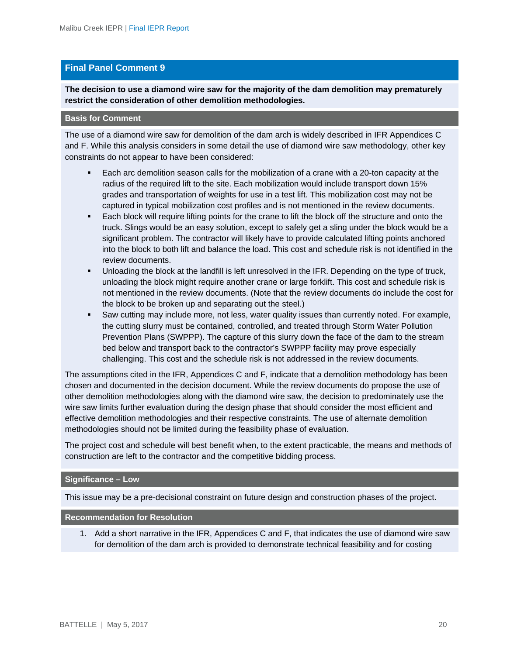**The decision to use a diamond wire saw for the majority of the dam demolition may prematurely restrict the consideration of other demolition methodologies.** 

#### **Basis for Comment**

The use of a diamond wire saw for demolition of the dam arch is widely described in IFR Appendices C and F. While this analysis considers in some detail the use of diamond wire saw methodology, other key constraints do not appear to have been considered:

- Each arc demolition season calls for the mobilization of a crane with a 20-ton capacity at the radius of the required lift to the site. Each mobilization would include transport down 15% grades and transportation of weights for use in a test lift. This mobilization cost may not be captured in typical mobilization cost profiles and is not mentioned in the review documents.
- Each block will require lifting points for the crane to lift the block off the structure and onto the truck. Slings would be an easy solution, except to safely get a sling under the block would be a significant problem. The contractor will likely have to provide calculated lifting points anchored into the block to both lift and balance the load. This cost and schedule risk is not identified in the review documents.
- Unloading the block at the landfill is left unresolved in the IFR. Depending on the type of truck, unloading the block might require another crane or large forklift. This cost and schedule risk is not mentioned in the review documents. (Note that the review documents do include the cost for the block to be broken up and separating out the steel.)
- Saw cutting may include more, not less, water quality issues than currently noted. For example, the cutting slurry must be contained, controlled, and treated through Storm Water Pollution Prevention Plans (SWPPP). The capture of this slurry down the face of the dam to the stream bed below and transport back to the contractor's SWPPP facility may prove especially challenging. This cost and the schedule risk is not addressed in the review documents.

The assumptions cited in the IFR, Appendices C and F, indicate that a demolition methodology has been chosen and documented in the decision document. While the review documents do propose the use of other demolition methodologies along with the diamond wire saw, the decision to predominately use the wire saw limits further evaluation during the design phase that should consider the most efficient and effective demolition methodologies and their respective constraints. The use of alternate demolition methodologies should not be limited during the feasibility phase of evaluation.

The project cost and schedule will best benefit when, to the extent practicable, the means and methods of construction are left to the contractor and the competitive bidding process.

#### **Significance – Low**

This issue may be a pre-decisional constraint on future design and construction phases of the project.

#### **Recommendation for Resolution**

1. Add a short narrative in the IFR, Appendices C and F, that indicates the use of diamond wire saw for demolition of the dam arch is provided to demonstrate technical feasibility and for costing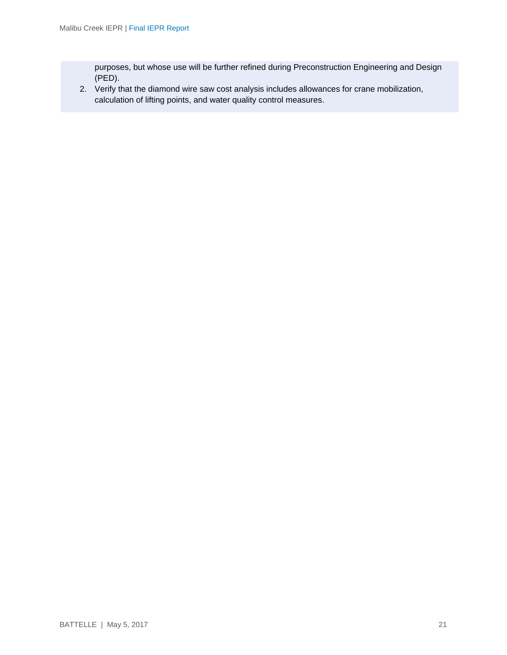purposes, but whose use will be further refined during Preconstruction Engineering and Design (PED).

2. Verify that the diamond wire saw cost analysis includes allowances for crane mobilization, calculation of lifting points, and water quality control measures.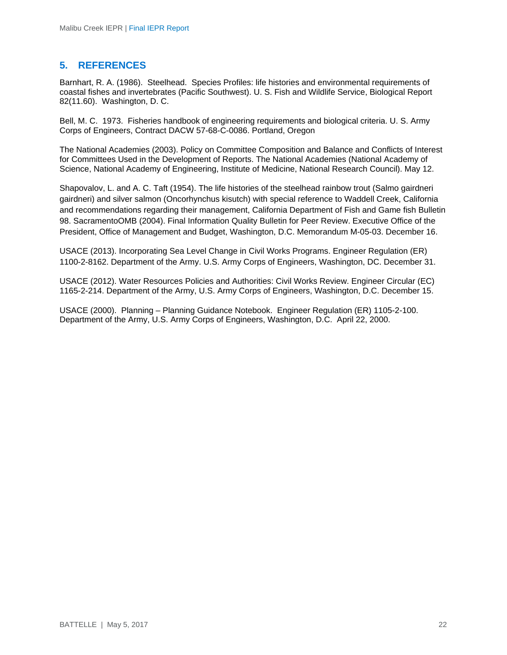# **5. REFERENCES**

Barnhart, R. A. (1986). Steelhead. Species Profiles: life histories and environmental requirements of coastal fishes and invertebrates (Pacific Southwest). U. S. Fish and Wildlife Service, Biological Report 82(11.60). Washington, D. C.

Bell, M. C. 1973. Fisheries handbook of engineering requirements and biological criteria. U. S. Army Corps of Engineers, Contract DACW 57-68-C-0086. Portland, Oregon

The National Academies (2003). Policy on Committee Composition and Balance and Conflicts of Interest for Committees Used in the Development of Reports. The National Academies (National Academy of Science, National Academy of Engineering, Institute of Medicine, National Research Council). May 12.

Shapovalov, L. and A. C. Taft (1954). The life histories of the steelhead rainbow trout (Salmo gairdneri gairdneri) and silver salmon (Oncorhynchus kisutch) with special reference to Waddell Creek, California and recommendations regarding their management, California Department of Fish and Game fish Bulletin 98. SacramentoOMB (2004). Final Information Quality Bulletin for Peer Review. Executive Office of the President, Office of Management and Budget, Washington, D.C. Memorandum M-05-03. December 16.

USACE (2013). Incorporating Sea Level Change in Civil Works Programs. Engineer Regulation (ER) 1100-2-8162. Department of the Army. U.S. Army Corps of Engineers, Washington, DC. December 31.

USACE (2012). Water Resources Policies and Authorities: Civil Works Review. Engineer Circular (EC) 1165-2-214. Department of the Army, U.S. Army Corps of Engineers, Washington, D.C. December 15.

USACE (2000). Planning – Planning Guidance Notebook. Engineer Regulation (ER) 1105-2-100. Department of the Army, U.S. Army Corps of Engineers, Washington, D.C. April 22, 2000.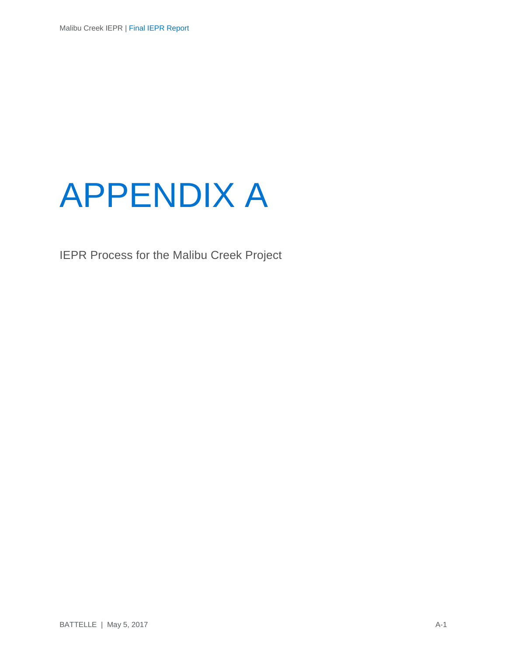# APPENDIX A

IEPR Process for the Malibu Creek Project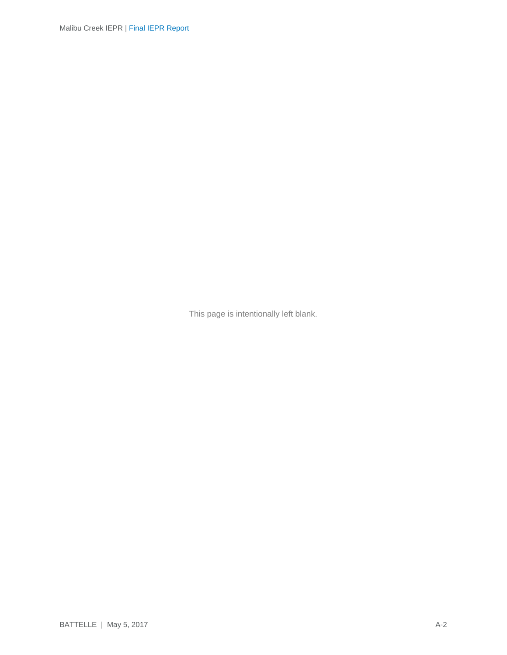This page is intentionally left blank.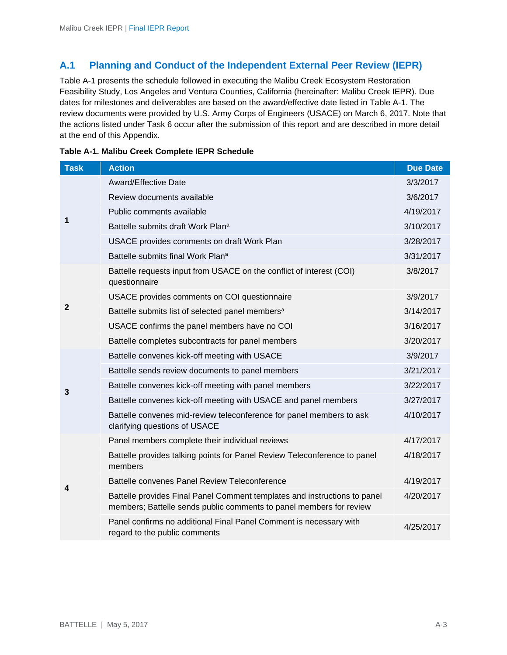## **A.1 Planning and Conduct of the Independent External Peer Review (IEPR)**

Table A-1 presents the schedule followed in executing the Malibu Creek Ecosystem Restoration Feasibility Study, Los Angeles and Ventura Counties, California (hereinafter: Malibu Creek IEPR). Due dates for milestones and deliverables are based on the award/effective date listed in Table A-1. The review documents were provided by U.S. Army Corps of Engineers (USACE) on March 6, 2017. Note that the actions listed under Task 6 occur after the submission of this report and are described in more detail at the end of this Appendix.

| <b>Task</b> | <b>Action</b>                                                                                                                                    | <b>Due Date</b> |
|-------------|--------------------------------------------------------------------------------------------------------------------------------------------------|-----------------|
|             | Award/Effective Date                                                                                                                             | 3/3/2017        |
|             | Review documents available                                                                                                                       | 3/6/2017        |
|             | Public comments available                                                                                                                        | 4/19/2017       |
| 1           | Battelle submits draft Work Plan <sup>a</sup>                                                                                                    | 3/10/2017       |
|             | USACE provides comments on draft Work Plan                                                                                                       | 3/28/2017       |
|             | Battelle submits final Work Plan <sup>a</sup>                                                                                                    | 3/31/2017       |
|             | Battelle requests input from USACE on the conflict of interest (COI)<br>questionnaire                                                            | 3/8/2017        |
|             | USACE provides comments on COI questionnaire                                                                                                     | 3/9/2017        |
| 2           | Battelle submits list of selected panel members <sup>a</sup>                                                                                     | 3/14/2017       |
|             | USACE confirms the panel members have no COI                                                                                                     | 3/16/2017       |
|             | Battelle completes subcontracts for panel members                                                                                                | 3/20/2017       |
|             | Battelle convenes kick-off meeting with USACE                                                                                                    | 3/9/2017        |
|             | Battelle sends review documents to panel members                                                                                                 | 3/21/2017       |
| 3           | Battelle convenes kick-off meeting with panel members                                                                                            | 3/22/2017       |
|             | Battelle convenes kick-off meeting with USACE and panel members                                                                                  | 3/27/2017       |
|             | Battelle convenes mid-review teleconference for panel members to ask<br>clarifying questions of USACE                                            | 4/10/2017       |
|             | Panel members complete their individual reviews                                                                                                  | 4/17/2017       |
| 4           | Battelle provides talking points for Panel Review Teleconference to panel<br>members                                                             | 4/18/2017       |
|             | Battelle convenes Panel Review Teleconference                                                                                                    | 4/19/2017       |
|             | Battelle provides Final Panel Comment templates and instructions to panel<br>members; Battelle sends public comments to panel members for review | 4/20/2017       |
|             | Panel confirms no additional Final Panel Comment is necessary with<br>regard to the public comments                                              | 4/25/2017       |

#### **Table A-1. Malibu Creek Complete IEPR Schedule**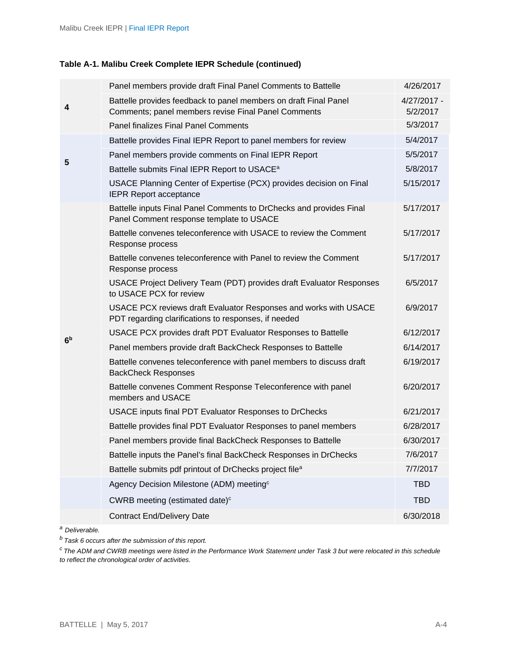#### **Table A-1. Malibu Creek Complete IEPR Schedule (continued)**

|                | Panel members provide draft Final Panel Comments to Battelle                                                             | 4/26/2017               |
|----------------|--------------------------------------------------------------------------------------------------------------------------|-------------------------|
| 4              | Battelle provides feedback to panel members on draft Final Panel<br>Comments; panel members revise Final Panel Comments  | 4/27/2017 -<br>5/2/2017 |
|                | <b>Panel finalizes Final Panel Comments</b>                                                                              | 5/3/2017                |
|                | Battelle provides Final IEPR Report to panel members for review                                                          | 5/4/2017                |
| 5              | Panel members provide comments on Final IEPR Report                                                                      | 5/5/2017                |
|                | Battelle submits Final IEPR Report to USACE <sup>a</sup>                                                                 | 5/8/2017                |
|                | USACE Planning Center of Expertise (PCX) provides decision on Final<br><b>IEPR Report acceptance</b>                     | 5/15/2017               |
|                | Battelle inputs Final Panel Comments to DrChecks and provides Final<br>Panel Comment response template to USACE          | 5/17/2017               |
|                | Battelle convenes teleconference with USACE to review the Comment<br>Response process                                    | 5/17/2017               |
|                | Battelle convenes teleconference with Panel to review the Comment<br>Response process                                    | 5/17/2017               |
|                | USACE Project Delivery Team (PDT) provides draft Evaluator Responses<br>to USACE PCX for review                          | 6/5/2017                |
|                | USACE PCX reviews draft Evaluator Responses and works with USACE<br>PDT regarding clarifications to responses, if needed | 6/9/2017                |
| 6 <sup>b</sup> | USACE PCX provides draft PDT Evaluator Responses to Battelle                                                             | 6/12/2017               |
|                | Panel members provide draft BackCheck Responses to Battelle                                                              | 6/14/2017               |
|                | Battelle convenes teleconference with panel members to discuss draft<br><b>BackCheck Responses</b>                       | 6/19/2017               |
|                | Battelle convenes Comment Response Teleconference with panel<br>members and USACE                                        | 6/20/2017               |
|                | USACE inputs final PDT Evaluator Responses to DrChecks                                                                   | 6/21/2017               |
|                | Battelle provides final PDT Evaluator Responses to panel members                                                         | 6/28/2017               |
|                | Panel members provide final BackCheck Responses to Battelle                                                              | 6/30/2017               |
|                | Battelle inputs the Panel's final BackCheck Responses in DrChecks                                                        | 7/6/2017                |
|                | Battelle submits pdf printout of DrChecks project file <sup>a</sup>                                                      | 7/7/2017                |
|                | Agency Decision Milestone (ADM) meeting <sup>c</sup>                                                                     | <b>TBD</b>              |
|                | CWRB meeting (estimated date) <sup>c</sup>                                                                               | <b>TBD</b>              |
|                | <b>Contract End/Delivery Date</b>                                                                                        | 6/30/2018               |
|                |                                                                                                                          |                         |

*<sup>a</sup> Deliverable. b Task 6 occurs after the submission of this report.*

*c The ADM and CWRB meetings were listed in the Performance Work Statement under Task 3 but were relocated in this schedule to reflect the chronological order of activities.*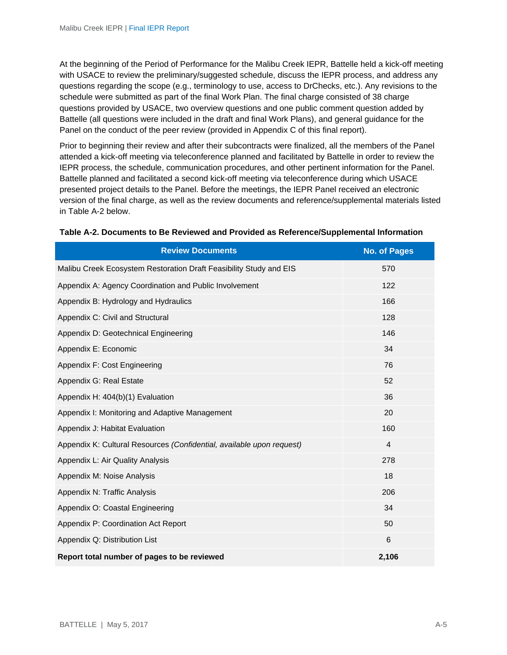At the beginning of the Period of Performance for the Malibu Creek IEPR, Battelle held a kick-off meeting with USACE to review the preliminary/suggested schedule, discuss the IEPR process, and address any questions regarding the scope (e.g., terminology to use, access to DrChecks, etc.). Any revisions to the schedule were submitted as part of the final Work Plan. The final charge consisted of 38 charge questions provided by USACE, two overview questions and one public comment question added by Battelle (all questions were included in the draft and final Work Plans), and general guidance for the Panel on the conduct of the peer review (provided in Appendix C of this final report).

Prior to beginning their review and after their subcontracts were finalized, all the members of the Panel attended a kick-off meeting via teleconference planned and facilitated by Battelle in order to review the IEPR process, the schedule, communication procedures, and other pertinent information for the Panel. Battelle planned and facilitated a second kick-off meeting via teleconference during which USACE presented project details to the Panel. Before the meetings, the IEPR Panel received an electronic version of the final charge, as well as the review documents and reference/supplemental materials listed in Table A-2 below.

| <b>Review Documents</b>                                               | <b>No. of Pages</b> |
|-----------------------------------------------------------------------|---------------------|
| Malibu Creek Ecosystem Restoration Draft Feasibility Study and EIS    | 570                 |
| Appendix A: Agency Coordination and Public Involvement                | 122                 |
| Appendix B: Hydrology and Hydraulics                                  | 166                 |
| Appendix C: Civil and Structural                                      | 128                 |
| Appendix D: Geotechnical Engineering                                  | 146                 |
| Appendix E: Economic                                                  | 34                  |
| Appendix F: Cost Engineering                                          | 76                  |
| Appendix G: Real Estate                                               | 52                  |
| Appendix H: 404(b)(1) Evaluation                                      | 36                  |
| Appendix I: Monitoring and Adaptive Management                        | 20                  |
| Appendix J: Habitat Evaluation                                        | 160                 |
| Appendix K: Cultural Resources (Confidential, available upon request) | $\overline{4}$      |
| Appendix L: Air Quality Analysis                                      | 278                 |
| Appendix M: Noise Analysis                                            | 18                  |
| Appendix N: Traffic Analysis                                          | 206                 |
| Appendix O: Coastal Engineering                                       | 34                  |
| Appendix P: Coordination Act Report                                   | 50                  |
| Appendix Q: Distribution List                                         | 6                   |
| Report total number of pages to be reviewed                           | 2,106               |

#### **Table A-2. Documents to Be Reviewed and Provided as Reference/Supplemental Information**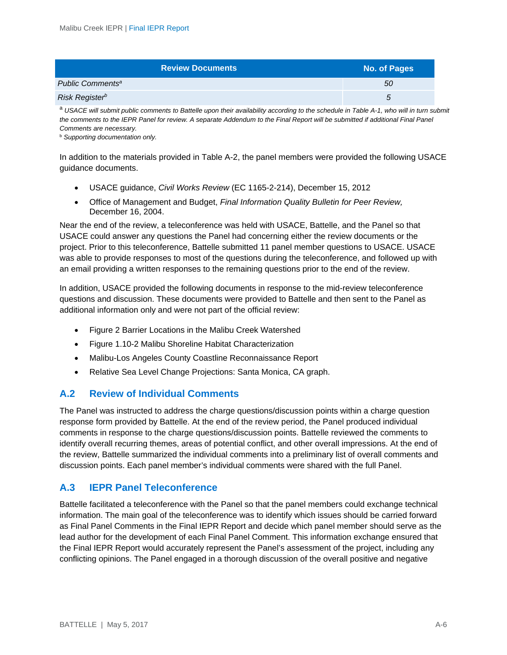| <b>Review Documents</b>            | No. of Pages |
|------------------------------------|--------------|
| <b>Public Comments<sup>a</sup></b> | 50           |
| Risk Register <sup>b</sup>         | Э            |

<sup>a</sup> USACE will submit public comments to Battelle upon their availability according to the schedule in Table A-1, who will in turn submit *the comments to the IEPR Panel for review. A separate Addendum to the Final Report will be submitted if additional Final Panel Comments are necessary.*

<sup>b</sup> *Supporting documentation only.*

In addition to the materials provided in Table A-2, the panel members were provided the following USACE guidance documents.

- USACE guidance, *Civil Works Review* (EC 1165-2-214), December 15, 2012
- Office of Management and Budget, *Final Information Quality Bulletin for Peer Review,* December 16, 2004.

Near the end of the review, a teleconference was held with USACE, Battelle, and the Panel so that USACE could answer any questions the Panel had concerning either the review documents or the project. Prior to this teleconference, Battelle submitted 11 panel member questions to USACE. USACE was able to provide responses to most of the questions during the teleconference, and followed up with an email providing a written responses to the remaining questions prior to the end of the review.

In addition, USACE provided the following documents in response to the mid-review teleconference questions and discussion. These documents were provided to Battelle and then sent to the Panel as additional information only and were not part of the official review:

- Figure 2 Barrier Locations in the Malibu Creek Watershed
- Figure 1.10-2 Malibu Shoreline Habitat Characterization
- Malibu-Los Angeles County Coastline Reconnaissance Report
- Relative Sea Level Change Projections: Santa Monica, CA graph.

## **A.2 Review of Individual Comments**

The Panel was instructed to address the charge questions/discussion points within a charge question response form provided by Battelle. At the end of the review period, the Panel produced individual comments in response to the charge questions/discussion points. Battelle reviewed the comments to identify overall recurring themes, areas of potential conflict, and other overall impressions. At the end of the review, Battelle summarized the individual comments into a preliminary list of overall comments and discussion points. Each panel member's individual comments were shared with the full Panel.

## **A.3 IEPR Panel Teleconference**

Battelle facilitated a teleconference with the Panel so that the panel members could exchange technical information. The main goal of the teleconference was to identify which issues should be carried forward as Final Panel Comments in the Final IEPR Report and decide which panel member should serve as the lead author for the development of each Final Panel Comment. This information exchange ensured that the Final IEPR Report would accurately represent the Panel's assessment of the project, including any conflicting opinions. The Panel engaged in a thorough discussion of the overall positive and negative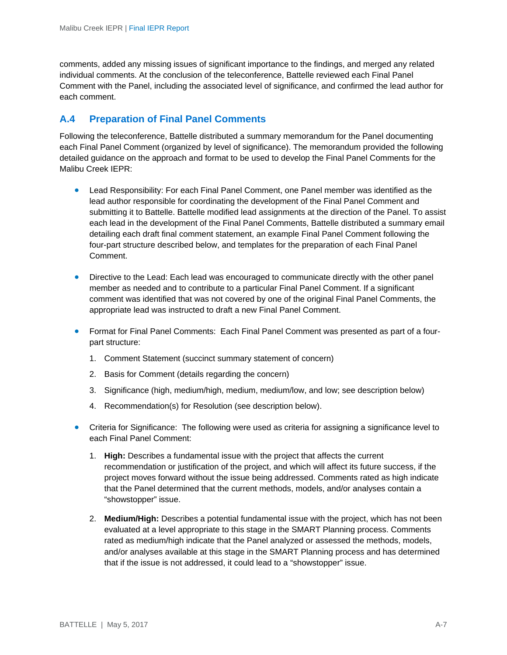comments, added any missing issues of significant importance to the findings, and merged any related individual comments. At the conclusion of the teleconference, Battelle reviewed each Final Panel Comment with the Panel, including the associated level of significance, and confirmed the lead author for each comment.

## **A.4 Preparation of Final Panel Comments**

Following the teleconference, Battelle distributed a summary memorandum for the Panel documenting each Final Panel Comment (organized by level of significance). The memorandum provided the following detailed guidance on the approach and format to be used to develop the Final Panel Comments for the Malibu Creek IEPR:

- Lead Responsibility: For each Final Panel Comment, one Panel member was identified as the lead author responsible for coordinating the development of the Final Panel Comment and submitting it to Battelle. Battelle modified lead assignments at the direction of the Panel. To assist each lead in the development of the Final Panel Comments, Battelle distributed a summary email detailing each draft final comment statement, an example Final Panel Comment following the four-part structure described below, and templates for the preparation of each Final Panel Comment.
- Directive to the Lead: Each lead was encouraged to communicate directly with the other panel member as needed and to contribute to a particular Final Panel Comment. If a significant comment was identified that was not covered by one of the original Final Panel Comments, the appropriate lead was instructed to draft a new Final Panel Comment.
- Format for Final Panel Comments: Each Final Panel Comment was presented as part of a fourpart structure:
	- 1. Comment Statement (succinct summary statement of concern)
	- 2. Basis for Comment (details regarding the concern)
	- 3. Significance (high, medium/high, medium, medium/low, and low; see description below)
	- 4. Recommendation(s) for Resolution (see description below).
- Criteria for Significance: The following were used as criteria for assigning a significance level to each Final Panel Comment:
	- 1. **High:** Describes a fundamental issue with the project that affects the current recommendation or justification of the project, and which will affect its future success, if the project moves forward without the issue being addressed. Comments rated as high indicate that the Panel determined that the current methods, models, and/or analyses contain a "showstopper" issue.
	- 2. **Medium/High:** Describes a potential fundamental issue with the project, which has not been evaluated at a level appropriate to this stage in the SMART Planning process. Comments rated as medium/high indicate that the Panel analyzed or assessed the methods, models, and/or analyses available at this stage in the SMART Planning process and has determined that if the issue is not addressed, it could lead to a "showstopper" issue.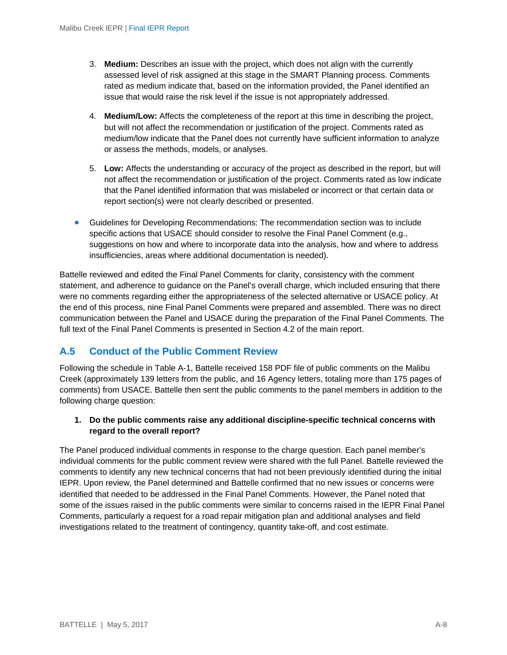- 3. **Medium:** Describes an issue with the project, which does not align with the currently assessed level of risk assigned at this stage in the SMART Planning process. Comments rated as medium indicate that, based on the information provided, the Panel identified an issue that would raise the risk level if the issue is not appropriately addressed.
- 4. **Medium/Low:** Affects the completeness of the report at this time in describing the project, but will not affect the recommendation or justification of the project. Comments rated as medium/low indicate that the Panel does not currently have sufficient information to analyze or assess the methods, models, or analyses.
- 5. **Low:** Affects the understanding or accuracy of the project as described in the report, but will not affect the recommendation or justification of the project. Comments rated as low indicate that the Panel identified information that was mislabeled or incorrect or that certain data or report section(s) were not clearly described or presented.
- Guidelines for Developing Recommendations: The recommendation section was to include specific actions that USACE should consider to resolve the Final Panel Comment (e.g., suggestions on how and where to incorporate data into the analysis, how and where to address insufficiencies, areas where additional documentation is needed).

Battelle reviewed and edited the Final Panel Comments for clarity, consistency with the comment statement, and adherence to guidance on the Panel's overall charge, which included ensuring that there were no comments regarding either the appropriateness of the selected alternative or USACE policy. At the end of this process, nine Final Panel Comments were prepared and assembled. There was no direct communication between the Panel and USACE during the preparation of the Final Panel Comments. The full text of the Final Panel Comments is presented in Section 4.2 of the main report.

# **A.5 Conduct of the Public Comment Review**

Following the schedule in Table A-1, Battelle received 158 PDF file of public comments on the Malibu Creek (approximately 139 letters from the public, and 16 Agency letters, totaling more than 175 pages of comments) from USACE. Battelle then sent the public comments to the panel members in addition to the following charge question:

#### **1. Do the public comments raise any additional discipline-specific technical concerns with regard to the overall report?**

The Panel produced individual comments in response to the charge question. Each panel member's individual comments for the public comment review were shared with the full Panel. Battelle reviewed the comments to identify any new technical concerns that had not been previously identified during the initial IEPR. Upon review, the Panel determined and Battelle confirmed that no new issues or concerns were identified that needed to be addressed in the Final Panel Comments. However, the Panel noted that some of the issues raised in the public comments were similar to concerns raised in the IEPR Final Panel Comments, particularly a request for a road repair mitigation plan and additional analyses and field investigations related to the treatment of contingency, quantity take-off, and cost estimate.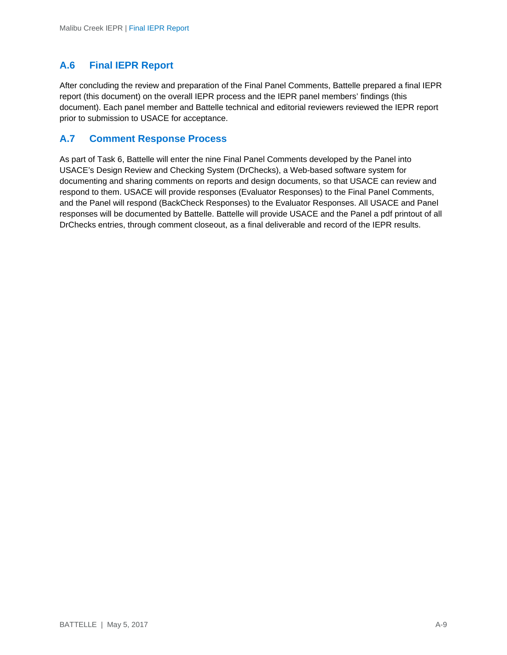# **A.6 Final IEPR Report**

After concluding the review and preparation of the Final Panel Comments, Battelle prepared a final IEPR report (this document) on the overall IEPR process and the IEPR panel members' findings (this document). Each panel member and Battelle technical and editorial reviewers reviewed the IEPR report prior to submission to USACE for acceptance.

#### **A.7 Comment Response Process**

As part of Task 6, Battelle will enter the nine Final Panel Comments developed by the Panel into USACE's Design Review and Checking System (DrChecks), a Web-based software system for documenting and sharing comments on reports and design documents, so that USACE can review and respond to them. USACE will provide responses (Evaluator Responses) to the Final Panel Comments, and the Panel will respond (BackCheck Responses) to the Evaluator Responses. All USACE and Panel responses will be documented by Battelle. Battelle will provide USACE and the Panel a pdf printout of all DrChecks entries, through comment closeout, as a final deliverable and record of the IEPR results.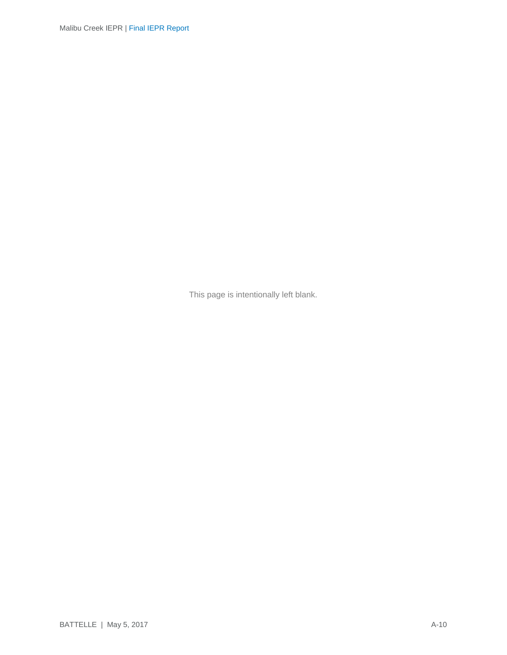This page is intentionally left blank.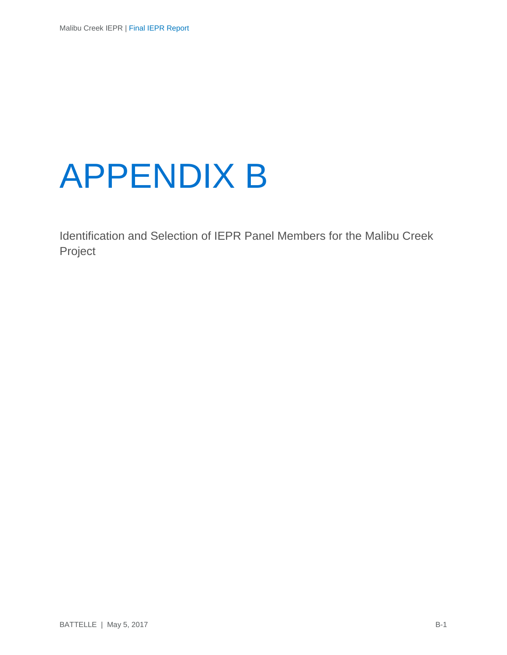# APPENDIX B

Identification and Selection of IEPR Panel Members for the Malibu Creek Project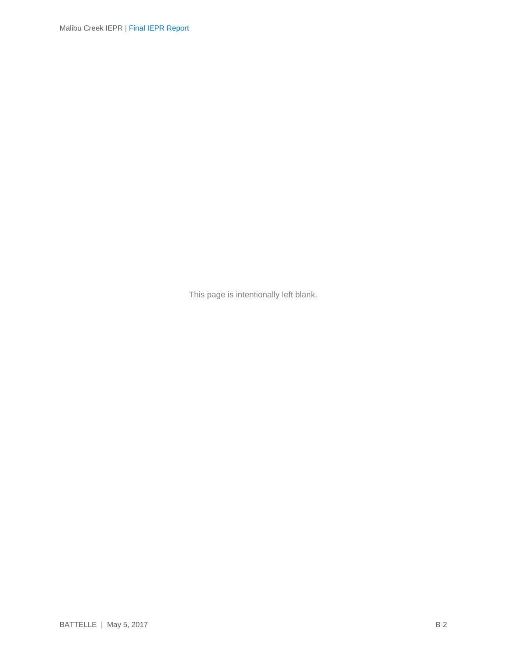This page is intentionally left blank.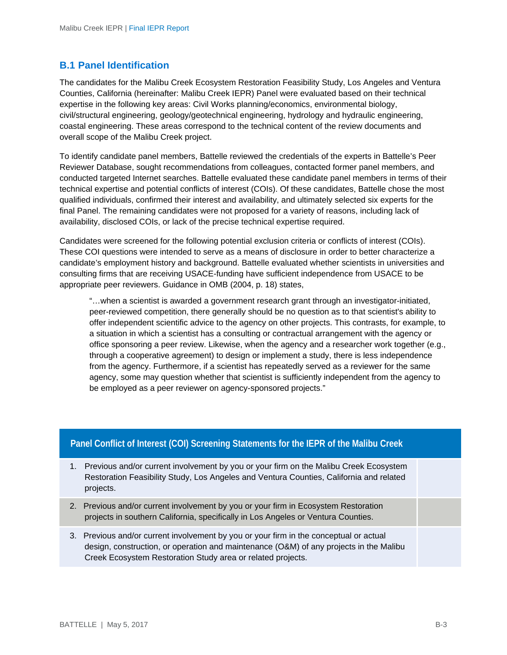#### **B.1 Panel Identification**

The candidates for the Malibu Creek Ecosystem Restoration Feasibility Study, Los Angeles and Ventura Counties, California (hereinafter: Malibu Creek IEPR) Panel were evaluated based on their technical expertise in the following key areas: Civil Works planning/economics, environmental biology, civil/structural engineering, geology/geotechnical engineering, hydrology and hydraulic engineering, coastal engineering. These areas correspond to the technical content of the review documents and overall scope of the Malibu Creek project.

To identify candidate panel members, Battelle reviewed the credentials of the experts in Battelle's Peer Reviewer Database, sought recommendations from colleagues, contacted former panel members, and conducted targeted Internet searches. Battelle evaluated these candidate panel members in terms of their technical expertise and potential conflicts of interest (COIs). Of these candidates, Battelle chose the most qualified individuals, confirmed their interest and availability, and ultimately selected six experts for the final Panel. The remaining candidates were not proposed for a variety of reasons, including lack of availability, disclosed COIs, or lack of the precise technical expertise required.

Candidates were screened for the following potential exclusion criteria or conflicts of interest (COIs). These COI questions were intended to serve as a means of disclosure in order to better characterize a candidate's employment history and background. Battelle evaluated whether scientists in universities and consulting firms that are receiving USACE-funding have sufficient independence from USACE to be appropriate peer reviewers. Guidance in OMB (2004, p. 18) states,

"…when a scientist is awarded a government research grant through an investigator-initiated, peer-reviewed competition, there generally should be no question as to that scientist's ability to offer independent scientific advice to the agency on other projects. This contrasts, for example, to a situation in which a scientist has a consulting or contractual arrangement with the agency or office sponsoring a peer review. Likewise, when the agency and a researcher work together (e.g., through a cooperative agreement) to design or implement a study, there is less independence from the agency. Furthermore, if a scientist has repeatedly served as a reviewer for the same agency, some may question whether that scientist is sufficiently independent from the agency to be employed as a peer reviewer on agency-sponsored projects."

## **Panel Conflict of Interest (COI) Screening Statements for the IEPR of the Malibu Creek**

- 1. Previous and/or current involvement by you or your firm on the Malibu Creek Ecosystem Restoration Feasibility Study, Los Angeles and Ventura Counties, California and related projects.
- 2. Previous and/or current involvement by you or your firm in Ecosystem Restoration projects in southern California, specifically in Los Angeles or Ventura Counties.
- 3. Previous and/or current involvement by you or your firm in the conceptual or actual design, construction, or operation and maintenance (O&M) of any projects in the Malibu Creek Ecosystem Restoration Study area or related projects.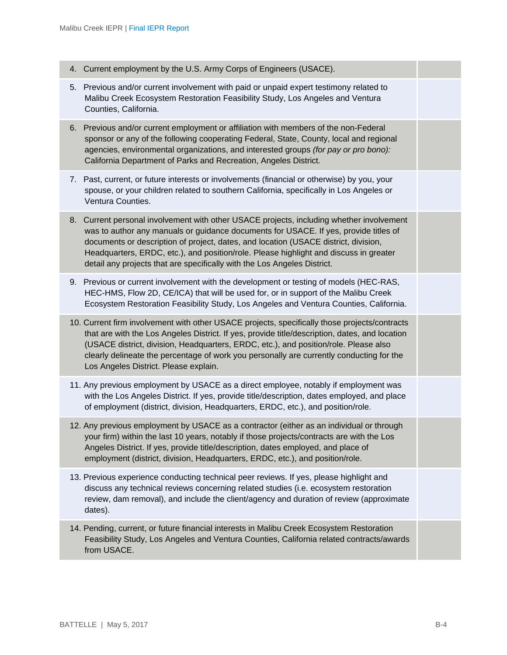4. Current employment by the U.S. Army Corps of Engineers (USACE). 5. Previous and/or current involvement with paid or unpaid expert testimony related to Malibu Creek Ecosystem Restoration Feasibility Study, Los Angeles and Ventura Counties, California. 6. Previous and/or current employment or affiliation with members of the non-Federal sponsor or any of the following cooperating Federal, State, County, local and regional agencies, environmental organizations, and interested groups *(for pay or pro bono):* California Department of Parks and Recreation, Angeles District. 7. Past, current, or future interests or involvements (financial or otherwise) by you, your spouse, or your children related to southern California, specifically in Los Angeles or Ventura Counties. 8. Current personal involvement with other USACE projects, including whether involvement was to author any manuals or guidance documents for USACE. If yes, provide titles of documents or description of project, dates, and location (USACE district, division, Headquarters, ERDC, etc.), and position/role. Please highlight and discuss in greater detail any projects that are specifically with the Los Angeles District. 9. Previous or current involvement with the development or testing of models (HEC-RAS, HEC-HMS, Flow 2D, CE/ICA) that will be used for, or in support of the Malibu Creek Ecosystem Restoration Feasibility Study, Los Angeles and Ventura Counties, California. 10. Current firm involvement with other USACE projects, specifically those projects/contracts that are with the Los Angeles District. If yes, provide title/description, dates, and location (USACE district, division, Headquarters, ERDC, etc.), and position/role. Please also clearly delineate the percentage of work you personally are currently conducting for the Los Angeles District. Please explain. 11. Any previous employment by USACE as a direct employee, notably if employment was with the Los Angeles District. If yes, provide title/description, dates employed, and place of employment (district, division, Headquarters, ERDC, etc.), and position/role. 12. Any previous employment by USACE as a contractor (either as an individual or through your firm) within the last 10 years, notably if those projects/contracts are with the Los Angeles District. If yes, provide title/description, dates employed, and place of employment (district, division, Headquarters, ERDC, etc.), and position/role. 13. Previous experience conducting technical peer reviews. If yes, please highlight and discuss any technical reviews concerning related studies (i.e. ecosystem restoration review, dam removal), and include the client/agency and duration of review (approximate dates). 14. Pending, current, or future financial interests in Malibu Creek Ecosystem Restoration Feasibility Study, Los Angeles and Ventura Counties, California related contracts/awards from USACE.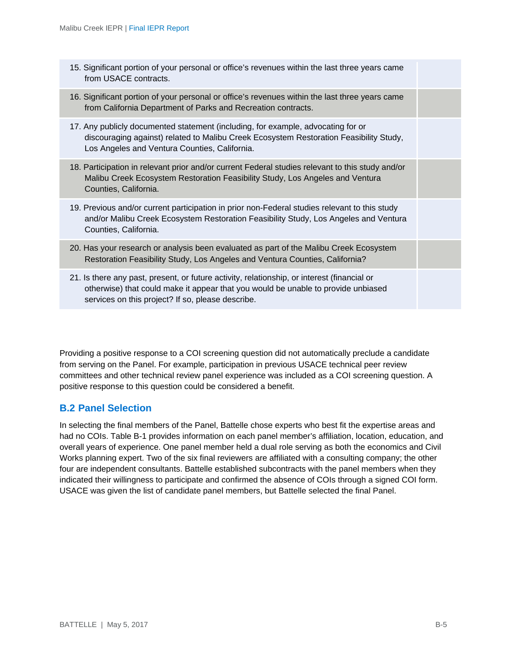- 15. Significant portion of your personal or office's revenues within the last three years came from USACE contracts.
- 16. Significant portion of your personal or office's revenues within the last three years came from California Department of Parks and Recreation contracts.
- 17. Any publicly documented statement (including, for example, advocating for or discouraging against) related to Malibu Creek Ecosystem Restoration Feasibility Study, Los Angeles and Ventura Counties, California.
- 18. Participation in relevant prior and/or current Federal studies relevant to this study and/or Malibu Creek Ecosystem Restoration Feasibility Study, Los Angeles and Ventura Counties, California.
- 19. Previous and/or current participation in prior non-Federal studies relevant to this study and/or Malibu Creek Ecosystem Restoration Feasibility Study, Los Angeles and Ventura Counties, California.
- 20. Has your research or analysis been evaluated as part of the Malibu Creek Ecosystem Restoration Feasibility Study, Los Angeles and Ventura Counties, California?
- 21. Is there any past, present, or future activity, relationship, or interest (financial or otherwise) that could make it appear that you would be unable to provide unbiased services on this project? If so, please describe.

Providing a positive response to a COI screening question did not automatically preclude a candidate from serving on the Panel. For example, participation in previous USACE technical peer review committees and other technical review panel experience was included as a COI screening question. A positive response to this question could be considered a benefit.

## **B.2 Panel Selection**

In selecting the final members of the Panel, Battelle chose experts who best fit the expertise areas and had no COIs. Table B-1 provides information on each panel member's affiliation, location, education, and overall years of experience. One panel member held a dual role serving as both the economics and Civil Works planning expert. Two of the six final reviewers are affiliated with a consulting company; the other four are independent consultants. Battelle established subcontracts with the panel members when they indicated their willingness to participate and confirmed the absence of COIs through a signed COI form. USACE was given the list of candidate panel members, but Battelle selected the final Panel.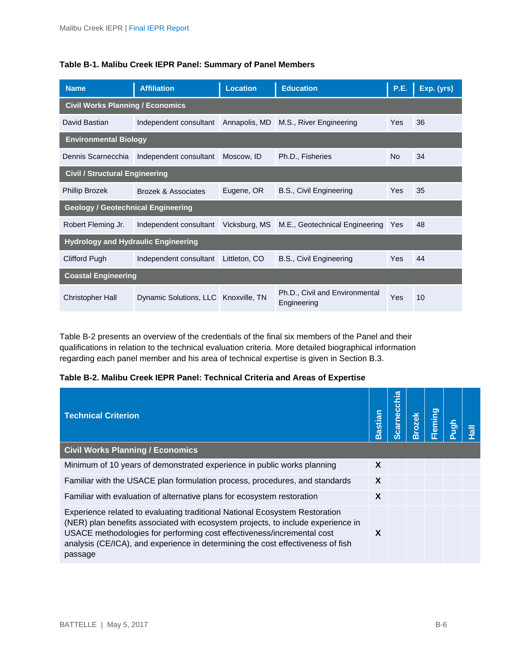| <b>Name</b>                                | <b>Affiliation</b>                      | <b>Location</b> | <b>Education</b>                              | <b>P.E.</b> | Exp. (yrs) |  |  |  |
|--------------------------------------------|-----------------------------------------|-----------------|-----------------------------------------------|-------------|------------|--|--|--|
|                                            | <b>Civil Works Planning / Economics</b> |                 |                                               |             |            |  |  |  |
| David Bastian                              | Independent consultant Annapolis, MD    |                 | M.S., River Engineering                       | Yes         | 36         |  |  |  |
| <b>Environmental Biology</b>               |                                         |                 |                                               |             |            |  |  |  |
| Dennis Scarnecchia                         | Independent consultant                  | Moscow, ID      | Ph.D., Fisheries                              | No.         | 34         |  |  |  |
| <b>Civil / Structural Engineering</b>      |                                         |                 |                                               |             |            |  |  |  |
| <b>Phillip Brozek</b>                      | Brozek & Associates                     | Eugene, OR      | B.S., Civil Engineering                       | Yes         | 35         |  |  |  |
| <b>Geology / Geotechnical Engineering</b>  |                                         |                 |                                               |             |            |  |  |  |
| Robert Fleming Jr.                         | Independent consultant                  | Vicksburg, MS   | M.E., Geotechnical Engineering Yes            |             | 48         |  |  |  |
| <b>Hydrology and Hydraulic Engineering</b> |                                         |                 |                                               |             |            |  |  |  |
| Clifford Pugh                              | Independent consultant                  | Littleton, CO   | B.S., Civil Engineering                       | Yes         | 44         |  |  |  |
| <b>Coastal Engineering</b>                 |                                         |                 |                                               |             |            |  |  |  |
| Christopher Hall                           | Dynamic Solutions, LLC Knoxville, TN    |                 | Ph.D., Civil and Environmental<br>Engineering | Yes         | 10         |  |  |  |

Table B-2 presents an overview of the credentials of the final six members of the Panel and their qualifications in relation to the technical evaluation criteria. More detailed biographical information regarding each panel member and his area of technical expertise is given in Section B.3.

#### **Table B-2. Malibu Creek IEPR Panel: Technical Criteria and Areas of Expertise**

| <b>Technical Criterion</b>                                                                                                                                                                                                                                                                                                              | Bastian                   | carnecchia<br>ഗ | <b>rozek</b><br>m | <b>Eleming</b> | digu | 忌 |
|-----------------------------------------------------------------------------------------------------------------------------------------------------------------------------------------------------------------------------------------------------------------------------------------------------------------------------------------|---------------------------|-----------------|-------------------|----------------|------|---|
| <b>Civil Works Planning / Economics</b>                                                                                                                                                                                                                                                                                                 |                           |                 |                   |                |      |   |
| Minimum of 10 years of demonstrated experience in public works planning                                                                                                                                                                                                                                                                 | $\boldsymbol{\mathsf{x}}$ |                 |                   |                |      |   |
| Familiar with the USACE plan formulation process, procedures, and standards                                                                                                                                                                                                                                                             | $\boldsymbol{\mathsf{X}}$ |                 |                   |                |      |   |
| Familiar with evaluation of alternative plans for ecosystem restoration                                                                                                                                                                                                                                                                 | X                         |                 |                   |                |      |   |
| Experience related to evaluating traditional National Ecosystem Restoration<br>(NER) plan benefits associated with ecosystem projects, to include experience in<br>USACE methodologies for performing cost effectiveness/incremental cost<br>analysis (CE/ICA), and experience in determining the cost effectiveness of fish<br>passage | $\boldsymbol{\mathsf{x}}$ |                 |                   |                |      |   |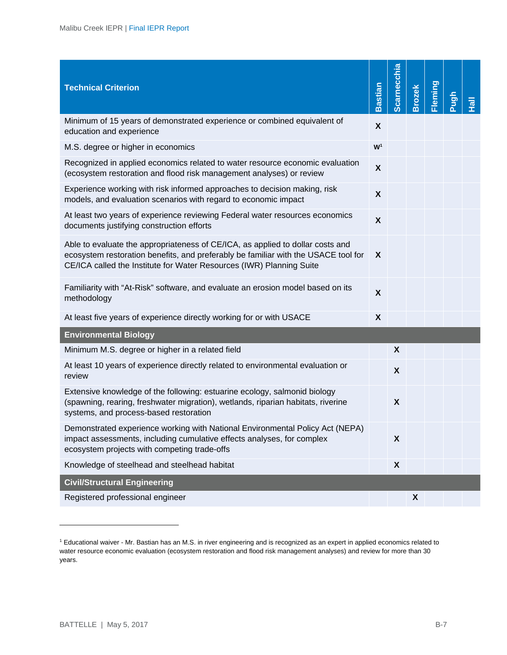| <b>Technical Criterion</b>                                                                                                                                                                                                                   | <b>Bastian</b>            | <b>Scarnecchia</b> | <b>Brozek</b> | <b>Fleming</b> | <b>Pugh</b> | Hall |
|----------------------------------------------------------------------------------------------------------------------------------------------------------------------------------------------------------------------------------------------|---------------------------|--------------------|---------------|----------------|-------------|------|
| Minimum of 15 years of demonstrated experience or combined equivalent of<br>education and experience                                                                                                                                         | $\boldsymbol{\mathsf{X}}$ |                    |               |                |             |      |
| M.S. degree or higher in economics                                                                                                                                                                                                           | W <sup>1</sup>            |                    |               |                |             |      |
| Recognized in applied economics related to water resource economic evaluation<br>(ecosystem restoration and flood risk management analyses) or review                                                                                        | $\boldsymbol{\mathsf{X}}$ |                    |               |                |             |      |
| Experience working with risk informed approaches to decision making, risk<br>models, and evaluation scenarios with regard to economic impact                                                                                                 | X                         |                    |               |                |             |      |
| At least two years of experience reviewing Federal water resources economics<br>documents justifying construction efforts                                                                                                                    | $\boldsymbol{\mathsf{X}}$ |                    |               |                |             |      |
| Able to evaluate the appropriateness of CE/ICA, as applied to dollar costs and<br>ecosystem restoration benefits, and preferably be familiar with the USACE tool for<br>CE/ICA called the Institute for Water Resources (IWR) Planning Suite | X                         |                    |               |                |             |      |
| Familiarity with "At-Risk" software, and evaluate an erosion model based on its<br>methodology                                                                                                                                               | $\boldsymbol{\mathsf{X}}$ |                    |               |                |             |      |
| At least five years of experience directly working for or with USACE                                                                                                                                                                         | X                         |                    |               |                |             |      |
| <b>Environmental Biology</b>                                                                                                                                                                                                                 |                           |                    |               |                |             |      |
| Minimum M.S. degree or higher in a related field                                                                                                                                                                                             |                           | X                  |               |                |             |      |
| At least 10 years of experience directly related to environmental evaluation or<br>review                                                                                                                                                    |                           | X                  |               |                |             |      |
| Extensive knowledge of the following: estuarine ecology, salmonid biology<br>(spawning, rearing, freshwater migration), wetlands, riparian habitats, riverine<br>systems, and process-based restoration                                      |                           | X                  |               |                |             |      |
| Demonstrated experience working with National Environmental Policy Act (NEPA)<br>impact assessments, including cumulative effects analyses, for complex<br>ecosystem projects with competing trade-offs                                      |                           | X                  |               |                |             |      |
| Knowledge of steelhead and steelhead habitat                                                                                                                                                                                                 |                           |                    |               |                |             |      |
| <b>Civil/Structural Engineering</b>                                                                                                                                                                                                          |                           |                    |               |                |             |      |
| Registered professional engineer                                                                                                                                                                                                             |                           |                    | X             |                |             |      |

<sup>1</sup> Educational waiver - Mr. Bastian has an M.S. in river engineering and is recognized as an expert in applied economics related to water resource economic evaluation (ecosystem restoration and flood risk management analyses) and review for more than 30 years.

l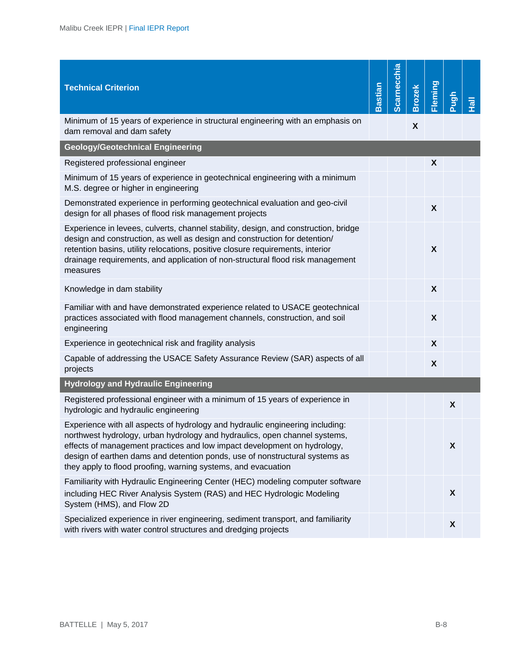| <b>Technical Criterion</b>                                                                                                                                                                                                                                                                                                                                                              | Bastian | Scarnecchia |               | Fleming                   |             |               |
|-----------------------------------------------------------------------------------------------------------------------------------------------------------------------------------------------------------------------------------------------------------------------------------------------------------------------------------------------------------------------------------------|---------|-------------|---------------|---------------------------|-------------|---------------|
|                                                                                                                                                                                                                                                                                                                                                                                         |         |             | <b>Brozek</b> |                           | <b>Hone</b> | $\frac{1}{2}$ |
| Minimum of 15 years of experience in structural engineering with an emphasis on<br>dam removal and dam safety                                                                                                                                                                                                                                                                           |         |             | X             |                           |             |               |
| <b>Geology/Geotechnical Engineering</b>                                                                                                                                                                                                                                                                                                                                                 |         |             |               |                           |             |               |
| Registered professional engineer                                                                                                                                                                                                                                                                                                                                                        |         |             |               | X                         |             |               |
| Minimum of 15 years of experience in geotechnical engineering with a minimum<br>M.S. degree or higher in engineering                                                                                                                                                                                                                                                                    |         |             |               |                           |             |               |
| Demonstrated experience in performing geotechnical evaluation and geo-civil<br>design for all phases of flood risk management projects                                                                                                                                                                                                                                                  |         |             |               | $\boldsymbol{\mathsf{X}}$ |             |               |
| Experience in levees, culverts, channel stability, design, and construction, bridge<br>design and construction, as well as design and construction for detention/<br>retention basins, utility relocations, positive closure requirements, interior<br>drainage requirements, and application of non-structural flood risk management<br>measures                                       |         |             |               | $\boldsymbol{X}$          |             |               |
| Knowledge in dam stability                                                                                                                                                                                                                                                                                                                                                              |         |             |               | $\boldsymbol{X}$          |             |               |
| Familiar with and have demonstrated experience related to USACE geotechnical<br>practices associated with flood management channels, construction, and soil<br>engineering                                                                                                                                                                                                              |         |             |               | $\pmb{\mathsf{X}}$        |             |               |
| Experience in geotechnical risk and fragility analysis                                                                                                                                                                                                                                                                                                                                  |         |             |               | X                         |             |               |
| Capable of addressing the USACE Safety Assurance Review (SAR) aspects of all<br>projects                                                                                                                                                                                                                                                                                                |         |             |               | X                         |             |               |
| <b>Hydrology and Hydraulic Engineering</b>                                                                                                                                                                                                                                                                                                                                              |         |             |               |                           |             |               |
| Registered professional engineer with a minimum of 15 years of experience in<br>hydrologic and hydraulic engineering                                                                                                                                                                                                                                                                    |         |             |               |                           | X           |               |
| Experience with all aspects of hydrology and hydraulic engineering including:<br>northwest hydrology, urban hydrology and hydraulics, open channel systems,<br>effects of management practices and low impact development on hydrology,<br>design of earthen dams and detention ponds, use of nonstructural systems as<br>they apply to flood proofing, warning systems, and evacuation |         |             |               |                           | X           |               |
| Familiarity with Hydraulic Engineering Center (HEC) modeling computer software<br>including HEC River Analysis System (RAS) and HEC Hydrologic Modeling<br>System (HMS), and Flow 2D                                                                                                                                                                                                    |         |             |               |                           | X           |               |
| Specialized experience in river engineering, sediment transport, and familiarity<br>with rivers with water control structures and dredging projects                                                                                                                                                                                                                                     |         |             |               |                           | X           |               |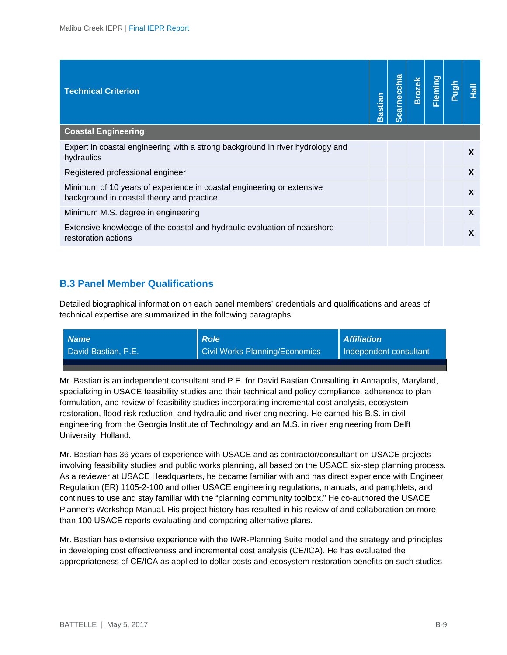| <b>Technical Criterion</b>                                                                                         | Bastian | Scarnecchia | <b>Brozek</b> | <b>Fleming</b> | Pugh | $\frac{1}{2}$ |
|--------------------------------------------------------------------------------------------------------------------|---------|-------------|---------------|----------------|------|---------------|
| <b>Coastal Engineering</b>                                                                                         |         |             |               |                |      |               |
| Expert in coastal engineering with a strong background in river hydrology and<br>hydraulics                        |         |             |               |                |      | X             |
| Registered professional engineer                                                                                   |         |             |               |                |      | X             |
| Minimum of 10 years of experience in coastal engineering or extensive<br>background in coastal theory and practice |         |             |               |                |      | X             |
| Minimum M.S. degree in engineering                                                                                 |         |             |               |                |      | X             |
| Extensive knowledge of the coastal and hydraulic evaluation of nearshore<br>restoration actions                    |         |             |               |                |      | X             |

# **B.3 Panel Member Qualifications**

Detailed biographical information on each panel members' credentials and qualifications and areas of technical expertise are summarized in the following paragraphs.

| <b>Name</b>         | <b>Role</b>                    | <b>Affiliation</b>     |
|---------------------|--------------------------------|------------------------|
| David Bastian, P.E. | Civil Works Planning/Economics | Independent consultant |
|                     |                                |                        |

Mr. Bastian is an independent consultant and P.E. for David Bastian Consulting in Annapolis, Maryland, specializing in USACE feasibility studies and their technical and policy compliance, adherence to plan formulation, and review of feasibility studies incorporating incremental cost analysis, ecosystem restoration, flood risk reduction, and hydraulic and river engineering. He earned his B.S. in civil engineering from the Georgia Institute of Technology and an M.S. in river engineering from Delft University, Holland.

Mr. Bastian has 36 years of experience with USACE and as contractor/consultant on USACE projects involving feasibility studies and public works planning, all based on the USACE six-step planning process. As a reviewer at USACE Headquarters, he became familiar with and has direct experience with Engineer Regulation (ER) 1105-2-100 and other USACE engineering regulations, manuals, and pamphlets, and continues to use and stay familiar with the "planning community toolbox." He co-authored the USACE Planner's Workshop Manual. His project history has resulted in his review of and collaboration on more than 100 USACE reports evaluating and comparing alternative plans.

Mr. Bastian has extensive experience with the IWR-Planning Suite model and the strategy and principles in developing cost effectiveness and incremental cost analysis (CE/ICA). He has evaluated the appropriateness of CE/ICA as applied to dollar costs and ecosystem restoration benefits on such studies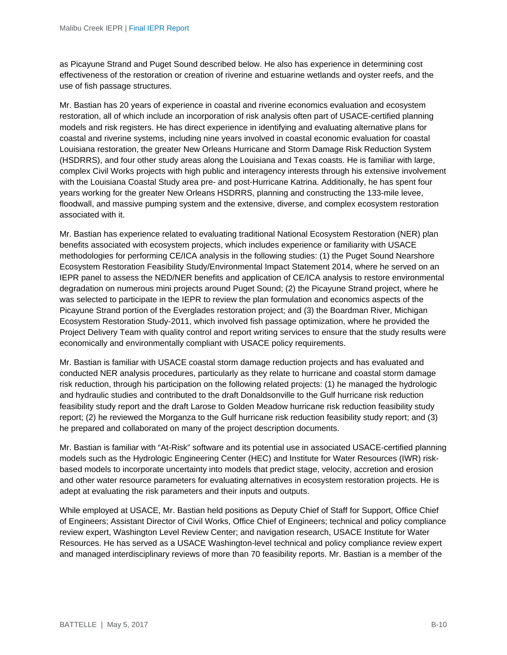as Picayune Strand and Puget Sound described below. He also has experience in determining cost effectiveness of the restoration or creation of riverine and estuarine wetlands and oyster reefs, and the use of fish passage structures.

Mr. Bastian has 20 years of experience in coastal and riverine economics evaluation and ecosystem restoration, all of which include an incorporation of risk analysis often part of USACE-certified planning models and risk registers. He has direct experience in identifying and evaluating alternative plans for coastal and riverine systems, including nine years involved in coastal economic evaluation for coastal Louisiana restoration, the greater New Orleans Hurricane and Storm Damage Risk Reduction System (HSDRRS), and four other study areas along the Louisiana and Texas coasts. He is familiar with large, complex Civil Works projects with high public and interagency interests through his extensive involvement with the Louisiana Coastal Study area pre- and post-Hurricane Katrina. Additionally, he has spent four years working for the greater New Orleans HSDRRS, planning and constructing the 133-mile levee, floodwall, and massive pumping system and the extensive, diverse, and complex ecosystem restoration associated with it.

Mr. Bastian has experience related to evaluating traditional National Ecosystem Restoration (NER) plan benefits associated with ecosystem projects, which includes experience or familiarity with USACE methodologies for performing CE/ICA analysis in the following studies: (1) the Puget Sound Nearshore Ecosystem Restoration Feasibility Study/Environmental Impact Statement 2014, where he served on an IEPR panel to assess the NED/NER benefits and application of CE/ICA analysis to restore environmental degradation on numerous mini projects around Puget Sound; (2) the Picayune Strand project, where he was selected to participate in the IEPR to review the plan formulation and economics aspects of the Picayune Strand portion of the Everglades restoration project; and (3) the Boardman River, Michigan Ecosystem Restoration Study-2011, which involved fish passage optimization, where he provided the Project Delivery Team with quality control and report writing services to ensure that the study results were economically and environmentally compliant with USACE policy requirements.

Mr. Bastian is familiar with USACE coastal storm damage reduction projects and has evaluated and conducted NER analysis procedures, particularly as they relate to hurricane and coastal storm damage risk reduction, through his participation on the following related projects: (1) he managed the hydrologic and hydraulic studies and contributed to the draft Donaldsonville to the Gulf hurricane risk reduction feasibility study report and the draft Larose to Golden Meadow hurricane risk reduction feasibility study report; (2) he reviewed the Morganza to the Gulf hurricane risk reduction feasibility study report; and (3) he prepared and collaborated on many of the project description documents.

Mr. Bastian is familiar with "At-Risk" software and its potential use in associated USACE-certified planning models such as the Hydrologic Engineering Center (HEC) and Institute for Water Resources (IWR) riskbased models to incorporate uncertainty into models that predict stage, velocity, accretion and erosion and other water resource parameters for evaluating alternatives in ecosystem restoration projects. He is adept at evaluating the risk parameters and their inputs and outputs.

While employed at USACE, Mr. Bastian held positions as Deputy Chief of Staff for Support, Office Chief of Engineers; Assistant Director of Civil Works, Office Chief of Engineers; technical and policy compliance review expert, Washington Level Review Center; and navigation research, USACE Institute for Water Resources. He has served as a USACE Washington-level technical and policy compliance review expert and managed interdisciplinary reviews of more than 70 feasibility reports. Mr. Bastian is a member of the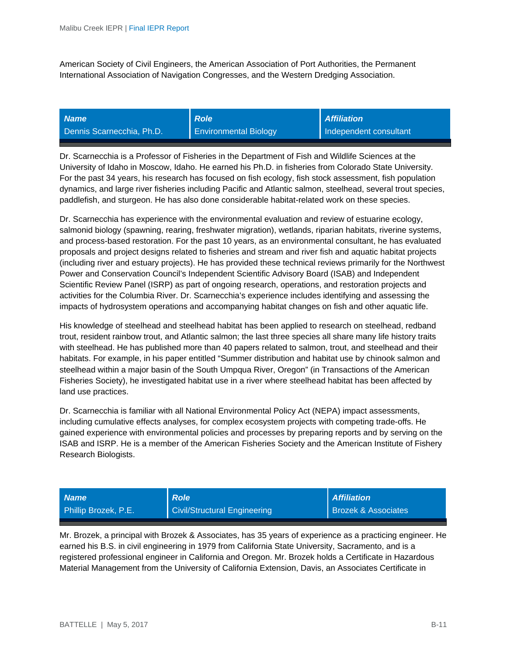American Society of Civil Engineers, the American Association of Port Authorities, the Permanent International Association of Navigation Congresses, and the Western Dredging Association.

| <b>Name</b>               | <b>Role</b>                  | Affiliation            |
|---------------------------|------------------------------|------------------------|
| Dennis Scarnecchia, Ph.D. | <b>Environmental Biology</b> | Independent consultant |

Dr. Scarnecchia is a Professor of Fisheries in the Department of Fish and Wildlife Sciences at the University of Idaho in Moscow, Idaho. He earned his Ph.D. in fisheries from Colorado State University. For the past 34 years, his research has focused on fish ecology, fish stock assessment, fish population dynamics, and large river fisheries including Pacific and Atlantic salmon, steelhead, several trout species, paddlefish, and sturgeon. He has also done considerable habitat-related work on these species.

Dr. Scarnecchia has experience with the environmental evaluation and review of estuarine ecology, salmonid biology (spawning, rearing, freshwater migration), wetlands, riparian habitats, riverine systems, and process-based restoration. For the past 10 years, as an environmental consultant, he has evaluated proposals and project designs related to fisheries and stream and river fish and aquatic habitat projects (including river and estuary projects). He has provided these technical reviews primarily for the Northwest Power and Conservation Council's Independent Scientific Advisory Board (ISAB) and Independent Scientific Review Panel (ISRP) as part of ongoing research, operations, and restoration projects and activities for the Columbia River. Dr. Scarnecchia's experience includes identifying and assessing the impacts of hydrosystem operations and accompanying habitat changes on fish and other aquatic life.

His knowledge of steelhead and steelhead habitat has been applied to research on steelhead, redband trout, resident rainbow trout, and Atlantic salmon; the last three species all share many life history traits with steelhead. He has published more than 40 papers related to salmon, trout, and steelhead and their habitats. For example, in his paper entitled "Summer distribution and habitat use by chinook salmon and steelhead within a major basin of the South Umpqua River, Oregon" (in Transactions of the American Fisheries Society), he investigated habitat use in a river where steelhead habitat has been affected by land use practices.

Dr. Scarnecchia is familiar with all National Environmental Policy Act (NEPA) impact assessments, including cumulative effects analyses, for complex ecosystem projects with competing trade-offs. He gained experience with environmental policies and processes by preparing reports and by serving on the ISAB and ISRP. He is a member of the American Fisheries Society and the American Institute of Fishery Research Biologists.

| <b>Name</b>          | <b>Role</b>                         | <b>Affiliation</b>             |
|----------------------|-------------------------------------|--------------------------------|
| Phillip Brozek, P.E. | <b>Civil/Structural Engineering</b> | <b>Brozek &amp; Associates</b> |

Mr. Brozek, a principal with Brozek & Associates, has 35 years of experience as a practicing engineer. He earned his B.S. in civil engineering in 1979 from California State University, Sacramento, and is a registered professional engineer in California and Oregon. Mr. Brozek holds a Certificate in Hazardous Material Management from the University of California Extension, Davis, an Associates Certificate in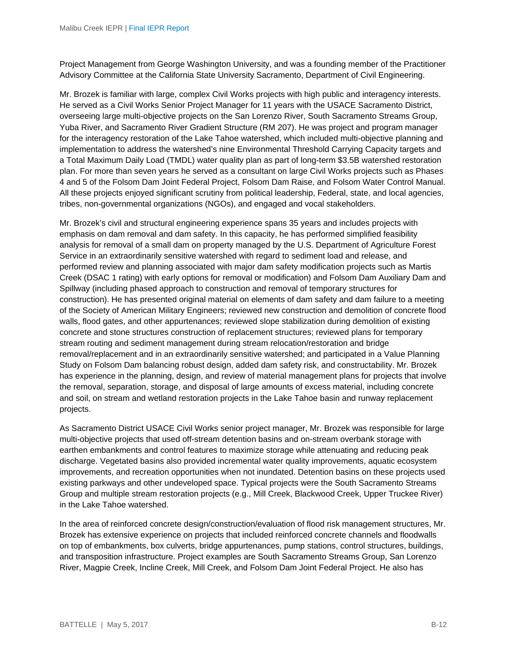Project Management from George Washington University, and was a founding member of the Practitioner Advisory Committee at the California State University Sacramento, Department of Civil Engineering.

Mr. Brozek is familiar with large, complex Civil Works projects with high public and interagency interests. He served as a Civil Works Senior Project Manager for 11 years with the USACE Sacramento District, overseeing large multi-objective projects on the San Lorenzo River, South Sacramento Streams Group, Yuba River, and Sacramento River Gradient Structure (RM 207). He was project and program manager for the interagency restoration of the Lake Tahoe watershed, which included multi-objective planning and implementation to address the watershed's nine Environmental Threshold Carrying Capacity targets and a Total Maximum Daily Load (TMDL) water quality plan as part of long-term \$3.5B watershed restoration plan. For more than seven years he served as a consultant on large Civil Works projects such as Phases 4 and 5 of the Folsom Dam Joint Federal Project, Folsom Dam Raise, and Folsom Water Control Manual. All these projects enjoyed significant scrutiny from political leadership, Federal, state, and local agencies, tribes, non-governmental organizations (NGOs), and engaged and vocal stakeholders.

Mr. Brozek's civil and structural engineering experience spans 35 years and includes projects with emphasis on dam removal and dam safety. In this capacity, he has performed simplified feasibility analysis for removal of a small dam on property managed by the U.S. Department of Agriculture Forest Service in an extraordinarily sensitive watershed with regard to sediment load and release, and performed review and planning associated with major dam safety modification projects such as Martis Creek (DSAC 1 rating) with early options for removal or modification) and Folsom Dam Auxiliary Dam and Spillway (including phased approach to construction and removal of temporary structures for construction). He has presented original material on elements of dam safety and dam failure to a meeting of the Society of American Military Engineers; reviewed new construction and demolition of concrete flood walls, flood gates, and other appurtenances; reviewed slope stabilization during demolition of existing concrete and stone structures construction of replacement structures; reviewed plans for temporary stream routing and sediment management during stream relocation/restoration and bridge removal/replacement and in an extraordinarily sensitive watershed; and participated in a Value Planning Study on Folsom Dam balancing robust design, added dam safety risk, and constructability. Mr. Brozek has experience in the planning, design, and review of material management plans for projects that involve the removal, separation, storage, and disposal of large amounts of excess material, including concrete and soil, on stream and wetland restoration projects in the Lake Tahoe basin and runway replacement projects.

As Sacramento District USACE Civil Works senior project manager, Mr. Brozek was responsible for large multi-objective projects that used off-stream detention basins and on-stream overbank storage with earthen embankments and control features to maximize storage while attenuating and reducing peak discharge. Vegetated basins also provided incremental water quality improvements, aquatic ecosystem improvements, and recreation opportunities when not inundated. Detention basins on these projects used existing parkways and other undeveloped space. Typical projects were the South Sacramento Streams Group and multiple stream restoration projects (e.g., Mill Creek, Blackwood Creek, Upper Truckee River) in the Lake Tahoe watershed.

In the area of reinforced concrete design/construction/evaluation of flood risk management structures, Mr. Brozek has extensive experience on projects that included reinforced concrete channels and floodwalls on top of embankments, box culverts, bridge appurtenances, pump stations, control structures, buildings, and transposition infrastructure. Project examples are South Sacramento Streams Group, San Lorenzo River, Magpie Creek, Incline Creek, Mill Creek, and Folsom Dam Joint Federal Project. He also has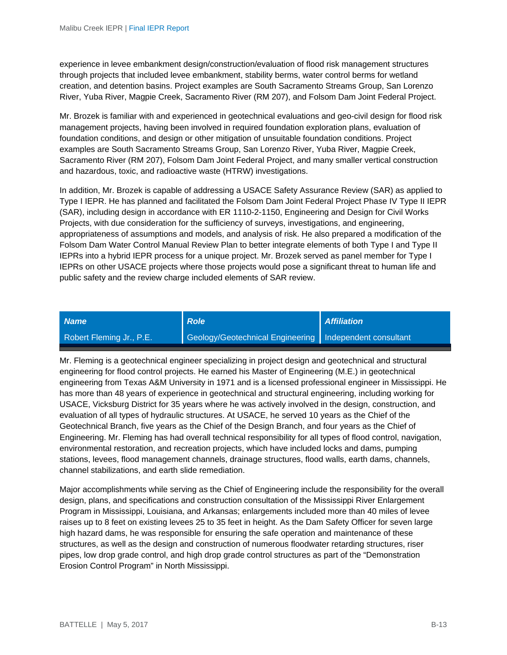experience in levee embankment design/construction/evaluation of flood risk management structures through projects that included levee embankment, stability berms, water control berms for wetland creation, and detention basins. Project examples are South Sacramento Streams Group, San Lorenzo River, Yuba River, Magpie Creek, Sacramento River (RM 207), and Folsom Dam Joint Federal Project.

Mr. Brozek is familiar with and experienced in geotechnical evaluations and geo-civil design for flood risk management projects, having been involved in required foundation exploration plans, evaluation of foundation conditions, and design or other mitigation of unsuitable foundation conditions. Project examples are South Sacramento Streams Group, San Lorenzo River, Yuba River, Magpie Creek, Sacramento River (RM 207), Folsom Dam Joint Federal Project, and many smaller vertical construction and hazardous, toxic, and radioactive waste (HTRW) investigations.

In addition, Mr. Brozek is capable of addressing a USACE Safety Assurance Review (SAR) as applied to Type I IEPR. He has planned and facilitated the Folsom Dam Joint Federal Project Phase IV Type II IEPR (SAR), including design in accordance with ER 1110-2-1150, Engineering and Design for Civil Works Projects, with due consideration for the sufficiency of surveys, investigations, and engineering, appropriateness of assumptions and models, and analysis of risk. He also prepared a modification of the Folsom Dam Water Control Manual Review Plan to better integrate elements of both Type I and Type II IEPRs into a hybrid IEPR process for a unique project. Mr. Brozek served as panel member for Type I IEPRs on other USACE projects where those projects would pose a significant threat to human life and public safety and the review charge included elements of SAR review.

| <b>Name</b>              | <b>Role</b>                                               | <b>Affiliation</b> |
|--------------------------|-----------------------------------------------------------|--------------------|
| Robert Fleming Jr., P.E. | Geology/Geotechnical Engineering   Independent consultant |                    |

Mr. Fleming is a geotechnical engineer specializing in project design and geotechnical and structural engineering for flood control projects. He earned his Master of Engineering (M.E.) in geotechnical engineering from Texas A&M University in 1971 and is a licensed professional engineer in Mississippi. He has more than 48 years of experience in geotechnical and structural engineering, including working for USACE, Vicksburg District for 35 years where he was actively involved in the design, construction, and evaluation of all types of hydraulic structures. At USACE, he served 10 years as the Chief of the Geotechnical Branch, five years as the Chief of the Design Branch, and four years as the Chief of Engineering. Mr. Fleming has had overall technical responsibility for all types of flood control, navigation, environmental restoration, and recreation projects, which have included locks and dams, pumping stations, levees, flood management channels, drainage structures, flood walls, earth dams, channels, channel stabilizations, and earth slide remediation.

Major accomplishments while serving as the Chief of Engineering include the responsibility for the overall design, plans, and specifications and construction consultation of the Mississippi River Enlargement Program in Mississippi, Louisiana, and Arkansas; enlargements included more than 40 miles of levee raises up to 8 feet on existing levees 25 to 35 feet in height. As the Dam Safety Officer for seven large high hazard dams, he was responsible for ensuring the safe operation and maintenance of these structures, as well as the design and construction of numerous floodwater retarding structures, riser pipes, low drop grade control, and high drop grade control structures as part of the "Demonstration Erosion Control Program" in North Mississippi.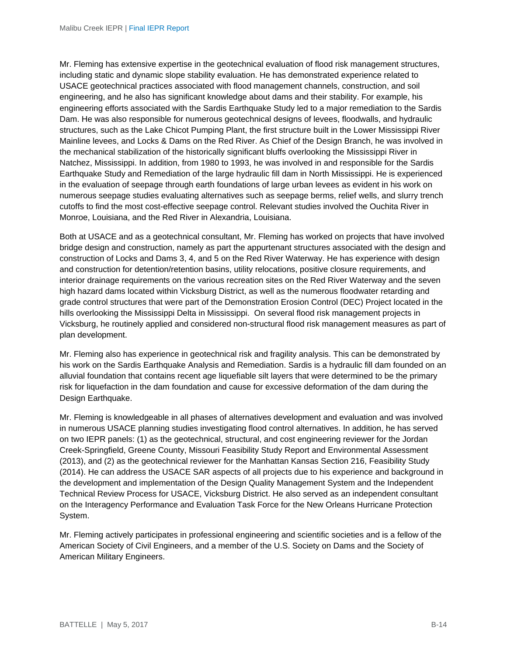Mr. Fleming has extensive expertise in the geotechnical evaluation of flood risk management structures, including static and dynamic slope stability evaluation. He has demonstrated experience related to USACE geotechnical practices associated with flood management channels, construction, and soil engineering, and he also has significant knowledge about dams and their stability. For example, his engineering efforts associated with the Sardis Earthquake Study led to a major remediation to the Sardis Dam. He was also responsible for numerous geotechnical designs of levees, floodwalls, and hydraulic structures, such as the Lake Chicot Pumping Plant, the first structure built in the Lower Mississippi River Mainline levees, and Locks & Dams on the Red River. As Chief of the Design Branch, he was involved in the mechanical stabilization of the historically significant bluffs overlooking the Mississippi River in Natchez, Mississippi. In addition, from 1980 to 1993, he was involved in and responsible for the Sardis Earthquake Study and Remediation of the large hydraulic fill dam in North Mississippi. He is experienced in the evaluation of seepage through earth foundations of large urban levees as evident in his work on numerous seepage studies evaluating alternatives such as seepage berms, relief wells, and slurry trench cutoffs to find the most cost-effective seepage control. Relevant studies involved the Ouchita River in Monroe, Louisiana, and the Red River in Alexandria, Louisiana.

Both at USACE and as a geotechnical consultant, Mr. Fleming has worked on projects that have involved bridge design and construction, namely as part the appurtenant structures associated with the design and construction of Locks and Dams 3, 4, and 5 on the Red River Waterway. He has experience with design and construction for detention/retention basins, utility relocations, positive closure requirements, and interior drainage requirements on the various recreation sites on the Red River Waterway and the seven high hazard dams located within Vicksburg District, as well as the numerous floodwater retarding and grade control structures that were part of the Demonstration Erosion Control (DEC) Project located in the hills overlooking the Mississippi Delta in Mississippi. On several flood risk management projects in Vicksburg, he routinely applied and considered non-structural flood risk management measures as part of plan development.

Mr. Fleming also has experience in geotechnical risk and fragility analysis. This can be demonstrated by his work on the Sardis Earthquake Analysis and Remediation. Sardis is a hydraulic fill dam founded on an alluvial foundation that contains recent age liquefiable silt layers that were determined to be the primary risk for liquefaction in the dam foundation and cause for excessive deformation of the dam during the Design Earthquake.

Mr. Fleming is knowledgeable in all phases of alternatives development and evaluation and was involved in numerous USACE planning studies investigating flood control alternatives. In addition, he has served on two IEPR panels: (1) as the geotechnical, structural, and cost engineering reviewer for the Jordan Creek-Springfield, Greene County, Missouri Feasibility Study Report and Environmental Assessment (2013), and (2) as the geotechnical reviewer for the Manhattan Kansas Section 216, Feasibility Study (2014). He can address the USACE SAR aspects of all projects due to his experience and background in the development and implementation of the Design Quality Management System and the Independent Technical Review Process for USACE, Vicksburg District. He also served as an independent consultant on the Interagency Performance and Evaluation Task Force for the New Orleans Hurricane Protection System.

Mr. Fleming actively participates in professional engineering and scientific societies and is a fellow of the American Society of Civil Engineers, and a member of the U.S. Society on Dams and the Society of American Military Engineers.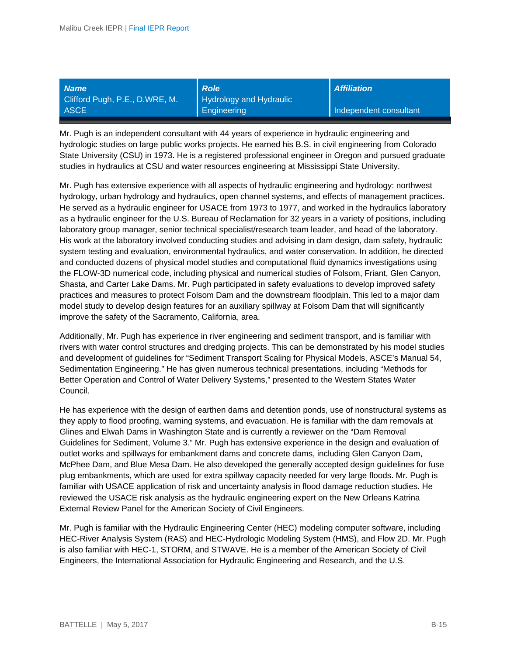| <b>Name</b>                    | <b>Role</b>             | <b>Affiliation</b>     |
|--------------------------------|-------------------------|------------------------|
| Clifford Pugh, P.E., D.WRE, M. | Hydrology and Hydraulic |                        |
| <b>ASCE</b>                    | <b>Engineering</b>      | Independent consultant |

Mr. Pugh is an independent consultant with 44 years of experience in hydraulic engineering and hydrologic studies on large public works projects. He earned his B.S. in civil engineering from Colorado State University (CSU) in 1973. He is a registered professional engineer in Oregon and pursued graduate studies in hydraulics at CSU and water resources engineering at Mississippi State University.

Mr. Pugh has extensive experience with all aspects of hydraulic engineering and hydrology: northwest hydrology, urban hydrology and hydraulics, open channel systems, and effects of management practices. He served as a hydraulic engineer for USACE from 1973 to 1977, and worked in the hydraulics laboratory as a hydraulic engineer for the U.S. Bureau of Reclamation for 32 years in a variety of positions, including laboratory group manager, senior technical specialist/research team leader, and head of the laboratory. His work at the laboratory involved conducting studies and advising in dam design, dam safety, hydraulic system testing and evaluation, environmental hydraulics, and water conservation. In addition, he directed and conducted dozens of physical model studies and computational fluid dynamics investigations using the FLOW-3D numerical code, including physical and numerical studies of Folsom, Friant, Glen Canyon, Shasta, and Carter Lake Dams. Mr. Pugh participated in safety evaluations to develop improved safety practices and measures to protect Folsom Dam and the downstream floodplain. This led to a major dam model study to develop design features for an auxiliary spillway at Folsom Dam that will significantly improve the safety of the Sacramento, California, area.

Additionally, Mr. Pugh has experience in river engineering and sediment transport, and is familiar with rivers with water control structures and dredging projects. This can be demonstrated by his model studies and development of guidelines for "Sediment Transport Scaling for Physical Models, ASCE's Manual 54, Sedimentation Engineering." He has given numerous technical presentations, including "Methods for Better Operation and Control of Water Delivery Systems," presented to the Western States Water Council.

He has experience with the design of earthen dams and detention ponds, use of nonstructural systems as they apply to flood proofing, warning systems, and evacuation. He is familiar with the dam removals at Glines and Elwah Dams in Washington State and is currently a reviewer on the "Dam Removal Guidelines for Sediment, Volume 3." Mr. Pugh has extensive experience in the design and evaluation of outlet works and spillways for embankment dams and concrete dams, including Glen Canyon Dam, McPhee Dam, and Blue Mesa Dam. He also developed the generally accepted design guidelines for fuse plug embankments, which are used for extra spillway capacity needed for very large floods. Mr. Pugh is familiar with USACE application of risk and uncertainty analysis in flood damage reduction studies. He reviewed the USACE risk analysis as the hydraulic engineering expert on the New Orleans Katrina External Review Panel for the American Society of Civil Engineers.

Mr. Pugh is familiar with the Hydraulic Engineering Center (HEC) modeling computer software, including HEC-River Analysis System (RAS) and HEC-Hydrologic Modeling System (HMS), and Flow 2D. Mr. Pugh is also familiar with HEC-1, STORM, and STWAVE. He is a member of the American Society of Civil Engineers, the International Association for Hydraulic Engineering and Research, and the U.S.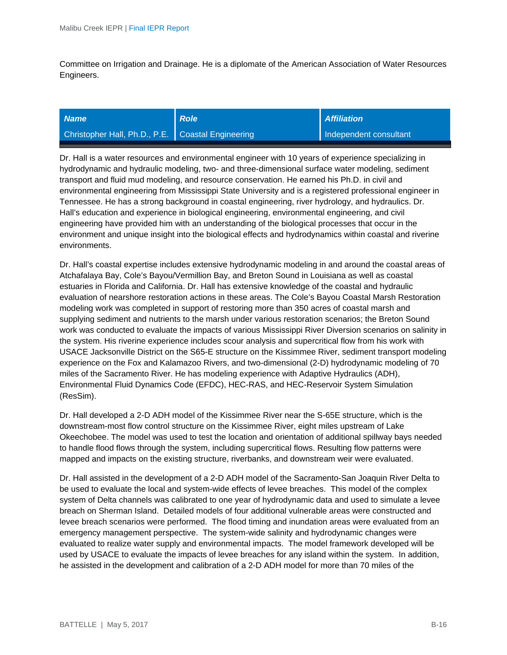Committee on Irrigation and Drainage. He is a diplomate of the American Association of Water Resources Engineers.

| <b>Name</b>                                       | <b>Role</b> | <b>Affiliation</b>     |
|---------------------------------------------------|-------------|------------------------|
| Christopher Hall, Ph.D., P.E. Coastal Engineering |             | Independent consultant |

Dr. Hall is a water resources and environmental engineer with 10 years of experience specializing in hydrodynamic and hydraulic modeling, two- and three-dimensional surface water modeling, sediment transport and fluid mud modeling, and resource conservation. He earned his Ph.D. in civil and environmental engineering from Mississippi State University and is a registered professional engineer in Tennessee. He has a strong background in coastal engineering, river hydrology, and hydraulics. Dr. Hall's education and experience in biological engineering, environmental engineering, and civil engineering have provided him with an understanding of the biological processes that occur in the environment and unique insight into the biological effects and hydrodynamics within coastal and riverine environments.

Dr. Hall's coastal expertise includes extensive hydrodynamic modeling in and around the coastal areas of Atchafalaya Bay, Cole's Bayou/Vermillion Bay, and Breton Sound in Louisiana as well as coastal estuaries in Florida and California. Dr. Hall has extensive knowledge of the coastal and hydraulic evaluation of nearshore restoration actions in these areas. The Cole's Bayou Coastal Marsh Restoration modeling work was completed in support of restoring more than 350 acres of coastal marsh and supplying sediment and nutrients to the marsh under various restoration scenarios; the Breton Sound work was conducted to evaluate the impacts of various Mississippi River Diversion scenarios on salinity in the system. His riverine experience includes scour analysis and supercritical flow from his work with USACE Jacksonville District on the S65-E structure on the Kissimmee River, sediment transport modeling experience on the Fox and Kalamazoo Rivers, and two-dimensional (2-D) hydrodynamic modeling of 70 miles of the Sacramento River. He has modeling experience with Adaptive Hydraulics (ADH), Environmental Fluid Dynamics Code (EFDC), HEC-RAS, and HEC-Reservoir System Simulation (ResSim).

Dr. Hall developed a 2-D ADH model of the Kissimmee River near the S-65E structure, which is the downstream-most flow control structure on the Kissimmee River, eight miles upstream of Lake Okeechobee. The model was used to test the location and orientation of additional spillway bays needed to handle flood flows through the system, including supercritical flows. Resulting flow patterns were mapped and impacts on the existing structure, riverbanks, and downstream weir were evaluated.

Dr. Hall assisted in the development of a 2-D ADH model of the Sacramento-San Joaquin River Delta to be used to evaluate the local and system-wide effects of levee breaches. This model of the complex system of Delta channels was calibrated to one year of hydrodynamic data and used to simulate a levee breach on Sherman Island. Detailed models of four additional vulnerable areas were constructed and levee breach scenarios were performed. The flood timing and inundation areas were evaluated from an emergency management perspective. The system-wide salinity and hydrodynamic changes were evaluated to realize water supply and environmental impacts. The model framework developed will be used by USACE to evaluate the impacts of levee breaches for any island within the system. In addition, he assisted in the development and calibration of a 2-D ADH model for more than 70 miles of the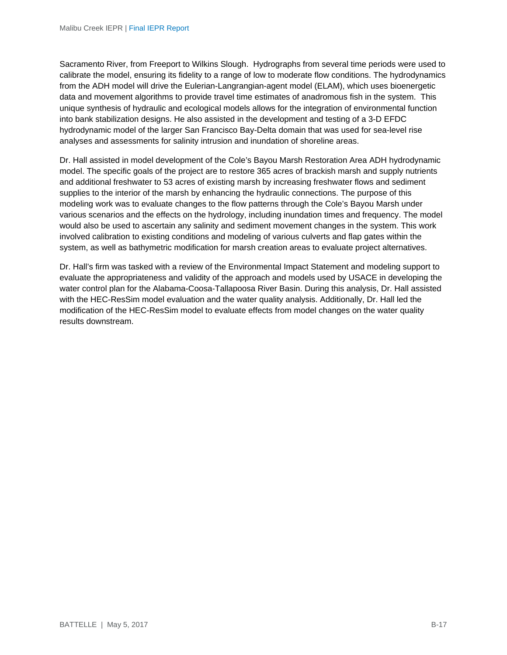Sacramento River, from Freeport to Wilkins Slough. Hydrographs from several time periods were used to calibrate the model, ensuring its fidelity to a range of low to moderate flow conditions. The hydrodynamics from the ADH model will drive the Eulerian-Langrangian-agent model (ELAM), which uses bioenergetic data and movement algorithms to provide travel time estimates of anadromous fish in the system. This unique synthesis of hydraulic and ecological models allows for the integration of environmental function into bank stabilization designs. He also assisted in the development and testing of a 3-D EFDC hydrodynamic model of the larger San Francisco Bay-Delta domain that was used for sea-level rise analyses and assessments for salinity intrusion and inundation of shoreline areas.

Dr. Hall assisted in model development of the Cole's Bayou Marsh Restoration Area ADH hydrodynamic model. The specific goals of the project are to restore 365 acres of brackish marsh and supply nutrients and additional freshwater to 53 acres of existing marsh by increasing freshwater flows and sediment supplies to the interior of the marsh by enhancing the hydraulic connections. The purpose of this modeling work was to evaluate changes to the flow patterns through the Cole's Bayou Marsh under various scenarios and the effects on the hydrology, including inundation times and frequency. The model would also be used to ascertain any salinity and sediment movement changes in the system. This work involved calibration to existing conditions and modeling of various culverts and flap gates within the system, as well as bathymetric modification for marsh creation areas to evaluate project alternatives.

Dr. Hall's firm was tasked with a review of the Environmental Impact Statement and modeling support to evaluate the appropriateness and validity of the approach and models used by USACE in developing the water control plan for the Alabama-Coosa-Tallapoosa River Basin. During this analysis, Dr. Hall assisted with the HEC-ResSim model evaluation and the water quality analysis. Additionally, Dr. Hall led the modification of the HEC-ResSim model to evaluate effects from model changes on the water quality results downstream.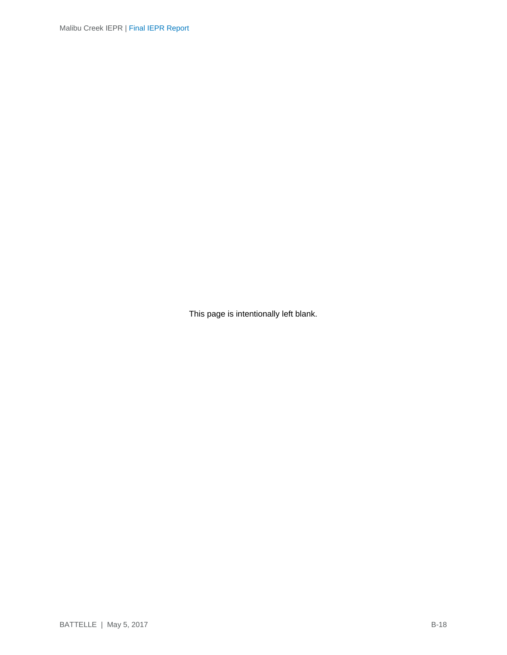This page is intentionally left blank.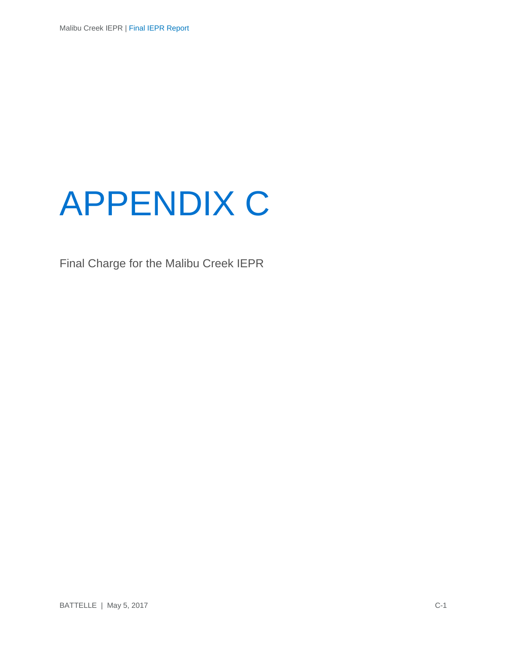# APPENDIX C

Final Charge for the Malibu Creek IEPR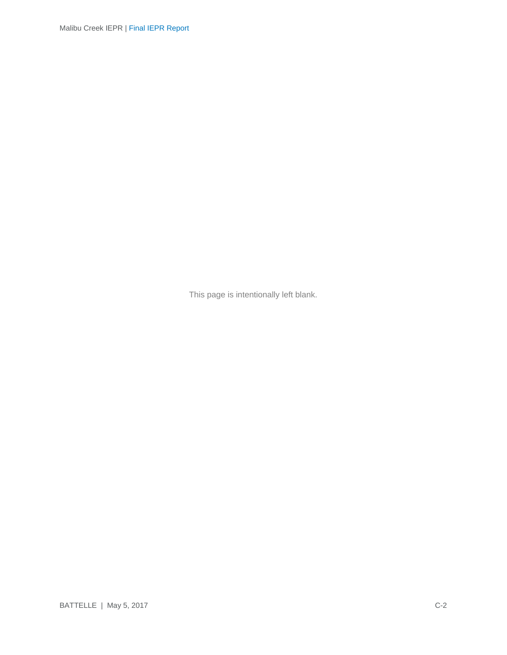This page is intentionally left blank.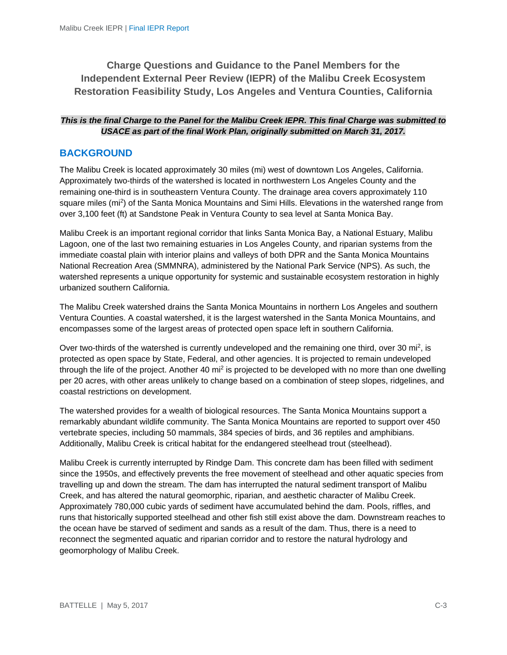**Charge Questions and Guidance to the Panel Members for the Independent External Peer Review (IEPR) of the Malibu Creek Ecosystem Restoration Feasibility Study, Los Angeles and Ventura Counties, California** 

#### *This is the final Charge to the Panel for the Malibu Creek IEPR. This final Charge was submitted to USACE as part of the final Work Plan, originally submitted on March 31, 2017.*

#### **BACKGROUND**

The Malibu Creek is located approximately 30 miles (mi) west of downtown Los Angeles, California. Approximately two-thirds of the watershed is located in northwestern Los Angeles County and the remaining one-third is in southeastern Ventura County. The drainage area covers approximately 110 square miles (mi<sup>2</sup>) of the Santa Monica Mountains and Simi Hills. Elevations in the watershed range from over 3,100 feet (ft) at Sandstone Peak in Ventura County to sea level at Santa Monica Bay.

Malibu Creek is an important regional corridor that links Santa Monica Bay, a National Estuary, Malibu Lagoon, one of the last two remaining estuaries in Los Angeles County, and riparian systems from the immediate coastal plain with interior plains and valleys of both DPR and the Santa Monica Mountains National Recreation Area (SMMNRA), administered by the National Park Service (NPS). As such, the watershed represents a unique opportunity for systemic and sustainable ecosystem restoration in highly urbanized southern California.

The Malibu Creek watershed drains the Santa Monica Mountains in northern Los Angeles and southern Ventura Counties. A coastal watershed, it is the largest watershed in the Santa Monica Mountains, and encompasses some of the largest areas of protected open space left in southern California.

Over two-thirds of the watershed is currently undeveloped and the remaining one third, over 30 mi<sup>2</sup>, is protected as open space by State, Federal, and other agencies. It is projected to remain undeveloped through the life of the project. Another 40 mi<sup>2</sup> is projected to be developed with no more than one dwelling per 20 acres, with other areas unlikely to change based on a combination of steep slopes, ridgelines, and coastal restrictions on development.

The watershed provides for a wealth of biological resources. The Santa Monica Mountains support a remarkably abundant wildlife community. The Santa Monica Mountains are reported to support over 450 vertebrate species, including 50 mammals, 384 species of birds, and 36 reptiles and amphibians. Additionally, Malibu Creek is critical habitat for the endangered steelhead trout (steelhead).

Malibu Creek is currently interrupted by Rindge Dam. This concrete dam has been filled with sediment since the 1950s, and effectively prevents the free movement of steelhead and other aquatic species from travelling up and down the stream. The dam has interrupted the natural sediment transport of Malibu Creek, and has altered the natural geomorphic, riparian, and aesthetic character of Malibu Creek. Approximately 780,000 cubic yards of sediment have accumulated behind the dam. Pools, riffles, and runs that historically supported steelhead and other fish still exist above the dam. Downstream reaches to the ocean have be starved of sediment and sands as a result of the dam. Thus, there is a need to reconnect the segmented aquatic and riparian corridor and to restore the natural hydrology and geomorphology of Malibu Creek.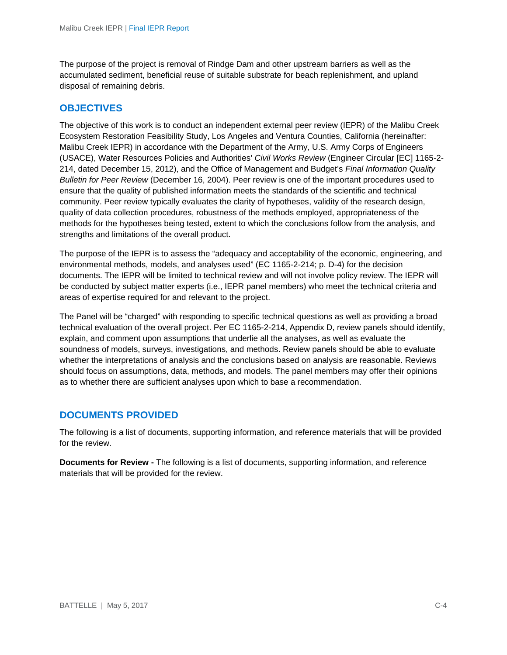The purpose of the project is removal of Rindge Dam and other upstream barriers as well as the accumulated sediment, beneficial reuse of suitable substrate for beach replenishment, and upland disposal of remaining debris.

#### **OBJECTIVES**

The objective of this work is to conduct an independent external peer review (IEPR) of the Malibu Creek Ecosystem Restoration Feasibility Study, Los Angeles and Ventura Counties, California (hereinafter: Malibu Creek IEPR) in accordance with the Department of the Army, U.S. Army Corps of Engineers (USACE), Water Resources Policies and Authorities' *Civil Works Review* (Engineer Circular [EC] 1165-2- 214, dated December 15, 2012), and the Office of Management and Budget's *Final Information Quality Bulletin for Peer Review* (December 16, 2004). Peer review is one of the important procedures used to ensure that the quality of published information meets the standards of the scientific and technical community. Peer review typically evaluates the clarity of hypotheses, validity of the research design, quality of data collection procedures, robustness of the methods employed, appropriateness of the methods for the hypotheses being tested, extent to which the conclusions follow from the analysis, and strengths and limitations of the overall product.

The purpose of the IEPR is to assess the "adequacy and acceptability of the economic, engineering, and environmental methods, models, and analyses used" (EC 1165-2-214; p. D-4) for the decision documents. The IEPR will be limited to technical review and will not involve policy review. The IEPR will be conducted by subject matter experts (i.e., IEPR panel members) who meet the technical criteria and areas of expertise required for and relevant to the project.

The Panel will be "charged" with responding to specific technical questions as well as providing a broad technical evaluation of the overall project. Per EC 1165-2-214, Appendix D, review panels should identify, explain, and comment upon assumptions that underlie all the analyses, as well as evaluate the soundness of models, surveys, investigations, and methods. Review panels should be able to evaluate whether the interpretations of analysis and the conclusions based on analysis are reasonable. Reviews should focus on assumptions, data, methods, and models. The panel members may offer their opinions as to whether there are sufficient analyses upon which to base a recommendation.

## **DOCUMENTS PROVIDED**

The following is a list of documents, supporting information, and reference materials that will be provided for the review.

**Documents for Review -** The following is a list of documents, supporting information, and reference materials that will be provided for the review.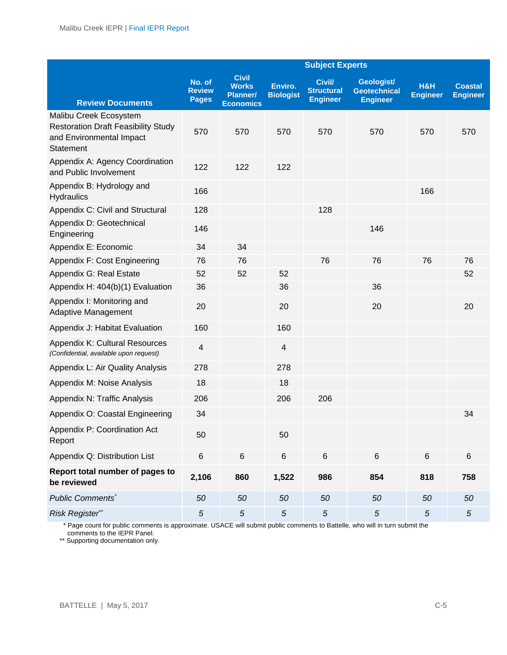|                                                                                                                      | <b>Subject Experts</b>                  |                                                                     |                             |                                                       |                                                      |                                   |                                   |
|----------------------------------------------------------------------------------------------------------------------|-----------------------------------------|---------------------------------------------------------------------|-----------------------------|-------------------------------------------------------|------------------------------------------------------|-----------------------------------|-----------------------------------|
| <b>Review Documents</b>                                                                                              | No. of<br><b>Review</b><br><b>Pages</b> | <b>Civil</b><br><b>Works</b><br><b>Planner/</b><br><b>Economics</b> | Enviro.<br><b>Biologist</b> | <b>Civil/</b><br><b>Structural</b><br><b>Engineer</b> | Geologist/<br><b>Geotechnical</b><br><b>Engineer</b> | <b>H&amp;H</b><br><b>Engineer</b> | <b>Coastal</b><br><b>Engineer</b> |
| Malibu Creek Ecosystem<br><b>Restoration Draft Feasibility Study</b><br>and Environmental Impact<br><b>Statement</b> | 570                                     | 570                                                                 | 570                         | 570                                                   | 570                                                  | 570                               | 570                               |
| Appendix A: Agency Coordination<br>and Public Involvement                                                            | 122                                     | 122                                                                 | 122                         |                                                       |                                                      |                                   |                                   |
| Appendix B: Hydrology and<br><b>Hydraulics</b>                                                                       | 166                                     |                                                                     |                             |                                                       |                                                      | 166                               |                                   |
| Appendix C: Civil and Structural                                                                                     | 128                                     |                                                                     |                             | 128                                                   |                                                      |                                   |                                   |
| Appendix D: Geotechnical<br>Engineering                                                                              | 146                                     |                                                                     |                             |                                                       | 146                                                  |                                   |                                   |
| Appendix E: Economic                                                                                                 | 34                                      | 34                                                                  |                             |                                                       |                                                      |                                   |                                   |
| Appendix F: Cost Engineering                                                                                         | 76                                      | 76                                                                  |                             | 76                                                    | 76                                                   | 76                                | 76                                |
| Appendix G: Real Estate                                                                                              | 52                                      | 52                                                                  | 52                          |                                                       |                                                      |                                   | 52                                |
| Appendix H: 404(b)(1) Evaluation                                                                                     | 36                                      |                                                                     | 36                          |                                                       | 36                                                   |                                   |                                   |
| Appendix I: Monitoring and<br><b>Adaptive Management</b>                                                             | 20                                      |                                                                     | 20                          |                                                       | 20                                                   |                                   | 20                                |
| Appendix J: Habitat Evaluation                                                                                       | 160                                     |                                                                     | 160                         |                                                       |                                                      |                                   |                                   |
| Appendix K: Cultural Resources<br>(Confidential, available upon request)                                             | $\overline{\mathbf{4}}$                 |                                                                     | 4                           |                                                       |                                                      |                                   |                                   |
| Appendix L: Air Quality Analysis                                                                                     | 278                                     |                                                                     | 278                         |                                                       |                                                      |                                   |                                   |
| Appendix M: Noise Analysis                                                                                           | 18                                      |                                                                     | 18                          |                                                       |                                                      |                                   |                                   |
| Appendix N: Traffic Analysis                                                                                         | 206                                     |                                                                     | 206                         | 206                                                   |                                                      |                                   |                                   |
| Appendix O: Coastal Engineering                                                                                      | 34                                      |                                                                     |                             |                                                       |                                                      |                                   | 34                                |
| Appendix P: Coordination Act<br>Report                                                                               | 50                                      |                                                                     | 50                          |                                                       |                                                      |                                   |                                   |
| Appendix Q: Distribution List                                                                                        | 6                                       | $\,6\,$                                                             | 6                           | $\,6\,$                                               | $\,6\,$                                              | $\,6$                             | $\,6\,$                           |
| Report total number of pages to<br>be reviewed                                                                       | 2,106                                   | 860                                                                 | 1,522                       | 986                                                   | 854                                                  | 818                               | 758                               |
| Public Comments <sup>*</sup>                                                                                         | 50                                      | 50                                                                  | 50                          | 50                                                    | 50                                                   | 50                                | 50                                |
| <b>Risk Register**</b>                                                                                               | $\sqrt{5}$                              | $\sqrt{5}$                                                          | $\sqrt{5}$                  | $\sqrt{5}$                                            | $\sqrt{5}$                                           | $\sqrt{5}$                        | $\sqrt{5}$                        |

\* Page count for public comments is approximate. USACE will submit public comments to Battelle, who will in turn submit the comments to the IEPR Panel.<br>\*\* Supporting documentation only.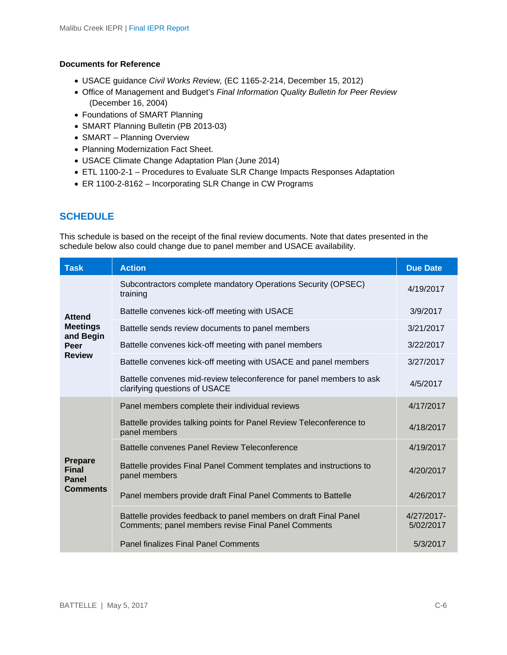#### **Documents for Reference**

- USACE guidance *Civil Works Review,* (EC 1165-2-214, December 15, 2012)
- Office of Management and Budget's *Final Information Quality Bulletin for Peer Review* (December 16, 2004)
- Foundations of SMART Planning
- SMART Planning Bulletin (PB 2013-03)
- SMART Planning Overview
- Planning Modernization Fact Sheet.
- USACE Climate Change Adaptation Plan (June 2014)
- ETL 1100-2-1 Procedures to Evaluate SLR Change Impacts Responses Adaptation
- ER 1100-2-8162 Incorporating SLR Change in CW Programs

#### **SCHEDULE**

This schedule is based on the receipt of the final review documents. Note that dates presented in the schedule below also could change due to panel member and USACE availability.

| <b>Task</b>                                                | <b>Action</b>                                                                                                           | <b>Due Date</b>         |
|------------------------------------------------------------|-------------------------------------------------------------------------------------------------------------------------|-------------------------|
| <b>Attend</b><br><b>Meetings</b><br>and Begin<br>Peer      | Subcontractors complete mandatory Operations Security (OPSEC)<br>training                                               | 4/19/2017               |
|                                                            | Battelle convenes kick-off meeting with USACE                                                                           | 3/9/2017                |
|                                                            | Battelle sends review documents to panel members                                                                        | 3/21/2017               |
|                                                            | Battelle convenes kick-off meeting with panel members                                                                   | 3/22/2017               |
| <b>Review</b>                                              | Battelle convenes kick-off meeting with USACE and panel members                                                         | 3/27/2017               |
|                                                            | Battelle convenes mid-review teleconference for panel members to ask<br>clarifying questions of USACE                   | 4/5/2017                |
|                                                            | Panel members complete their individual reviews                                                                         | 4/17/2017               |
|                                                            | Battelle provides talking points for Panel Review Teleconference to<br>panel members                                    | 4/18/2017               |
|                                                            | Battelle convenes Panel Review Teleconference                                                                           | 4/19/2017               |
| <b>Prepare</b><br><b>Final</b><br>Panel<br><b>Comments</b> | Battelle provides Final Panel Comment templates and instructions to<br>panel members                                    | 4/20/2017               |
|                                                            | Panel members provide draft Final Panel Comments to Battelle                                                            | 4/26/2017               |
|                                                            | Battelle provides feedback to panel members on draft Final Panel<br>Comments; panel members revise Final Panel Comments | 4/27/2017-<br>5/02/2017 |
|                                                            | <b>Panel finalizes Final Panel Comments</b>                                                                             | 5/3/2017                |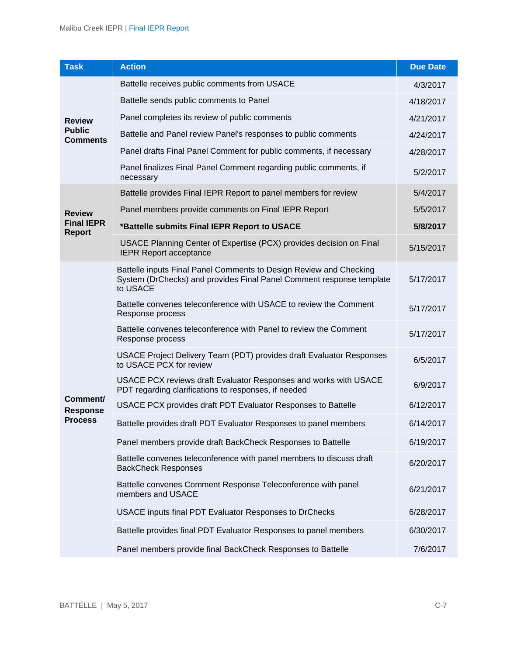| <b>Task</b>                                       | <b>Action</b>                                                                                                                                          | <b>Due Date</b> |
|---------------------------------------------------|--------------------------------------------------------------------------------------------------------------------------------------------------------|-----------------|
| <b>Review</b><br><b>Public</b><br><b>Comments</b> | Battelle receives public comments from USACE                                                                                                           | 4/3/2017        |
|                                                   | Battelle sends public comments to Panel                                                                                                                | 4/18/2017       |
|                                                   | Panel completes its review of public comments                                                                                                          | 4/21/2017       |
|                                                   | Battelle and Panel review Panel's responses to public comments                                                                                         | 4/24/2017       |
|                                                   | Panel drafts Final Panel Comment for public comments, if necessary                                                                                     | 4/28/2017       |
|                                                   | Panel finalizes Final Panel Comment regarding public comments, if<br>necessary                                                                         | 5/2/2017        |
|                                                   | Battelle provides Final IEPR Report to panel members for review                                                                                        | 5/4/2017        |
| <b>Review</b>                                     | Panel members provide comments on Final IEPR Report                                                                                                    | 5/5/2017        |
| <b>Final IEPR</b><br><b>Report</b>                | *Battelle submits Final IEPR Report to USACE                                                                                                           | 5/8/2017        |
|                                                   | USACE Planning Center of Expertise (PCX) provides decision on Final<br><b>IEPR Report acceptance</b>                                                   | 5/15/2017       |
|                                                   | Battelle inputs Final Panel Comments to Design Review and Checking<br>System (DrChecks) and provides Final Panel Comment response template<br>to USACE | 5/17/2017       |
|                                                   | Battelle convenes teleconference with USACE to review the Comment<br>Response process                                                                  | 5/17/2017       |
|                                                   | Battelle convenes teleconference with Panel to review the Comment<br>Response process                                                                  | 5/17/2017       |
|                                                   | USACE Project Delivery Team (PDT) provides draft Evaluator Responses<br>to USACE PCX for review                                                        | 6/5/2017        |
|                                                   | USACE PCX reviews draft Evaluator Responses and works with USACE<br>PDT regarding clarifications to responses, if needed                               | 6/9/2017        |
| Comment/<br><b>Response</b>                       | USACE PCX provides draft PDT Evaluator Responses to Battelle                                                                                           | 6/12/2017       |
| <b>Process</b>                                    | Battelle provides draft PDT Evaluator Responses to panel members                                                                                       | 6/14/2017       |
|                                                   | Panel members provide draft BackCheck Responses to Battelle                                                                                            | 6/19/2017       |
|                                                   | Battelle convenes teleconference with panel members to discuss draft<br><b>BackCheck Responses</b>                                                     | 6/20/2017       |
|                                                   | Battelle convenes Comment Response Teleconference with panel<br>members and USACE                                                                      | 6/21/2017       |
|                                                   | USACE inputs final PDT Evaluator Responses to DrChecks                                                                                                 | 6/28/2017       |
|                                                   | Battelle provides final PDT Evaluator Responses to panel members                                                                                       | 6/30/2017       |
|                                                   | Panel members provide final BackCheck Responses to Battelle                                                                                            | 7/6/2017        |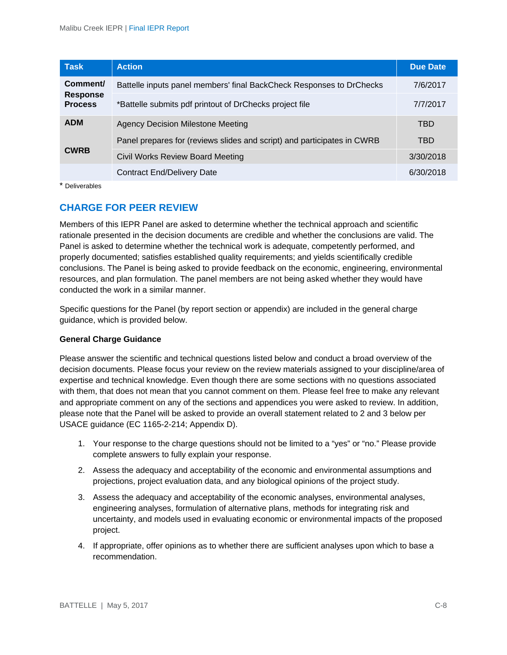| <b>Task</b>                       | <b>Action</b>                                                           | <b>Due Date</b> |
|-----------------------------------|-------------------------------------------------------------------------|-----------------|
| Comment/                          | Battelle inputs panel members' final BackCheck Responses to DrChecks    | 7/6/2017        |
| <b>Response</b><br><b>Process</b> | *Battelle submits pdf printout of DrChecks project file                 | 7/7/2017        |
| <b>ADM</b>                        | <b>Agency Decision Milestone Meeting</b>                                | TBD             |
| <b>CWRB</b>                       | Panel prepares for (reviews slides and script) and participates in CWRB | TBD             |
|                                   | Civil Works Review Board Meeting                                        | 3/30/2018       |
|                                   | <b>Contract End/Delivery Date</b>                                       | 6/30/2018       |

\* Deliverables

## **CHARGE FOR PEER REVIEW**

Members of this IEPR Panel are asked to determine whether the technical approach and scientific rationale presented in the decision documents are credible and whether the conclusions are valid. The Panel is asked to determine whether the technical work is adequate, competently performed, and properly documented; satisfies established quality requirements; and yields scientifically credible conclusions. The Panel is being asked to provide feedback on the economic, engineering, environmental resources, and plan formulation. The panel members are not being asked whether they would have conducted the work in a similar manner.

Specific questions for the Panel (by report section or appendix) are included in the general charge guidance, which is provided below.

#### **General Charge Guidance**

Please answer the scientific and technical questions listed below and conduct a broad overview of the decision documents. Please focus your review on the review materials assigned to your discipline/area of expertise and technical knowledge. Even though there are some sections with no questions associated with them, that does not mean that you cannot comment on them. Please feel free to make any relevant and appropriate comment on any of the sections and appendices you were asked to review. In addition, please note that the Panel will be asked to provide an overall statement related to 2 and 3 below per USACE guidance (EC 1165-2-214; Appendix D).

- 1. Your response to the charge questions should not be limited to a "yes" or "no." Please provide complete answers to fully explain your response.
- 2. Assess the adequacy and acceptability of the economic and environmental assumptions and projections, project evaluation data, and any biological opinions of the project study.
- 3. Assess the adequacy and acceptability of the economic analyses, environmental analyses, engineering analyses, formulation of alternative plans, methods for integrating risk and uncertainty, and models used in evaluating economic or environmental impacts of the proposed project.
- 4. If appropriate, offer opinions as to whether there are sufficient analyses upon which to base a recommendation.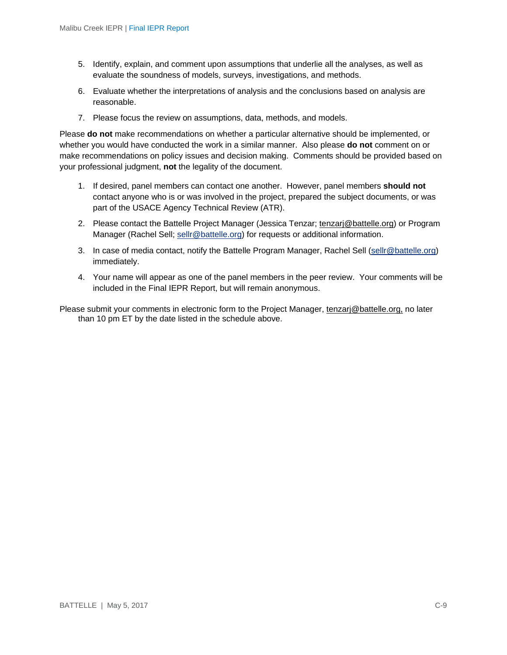- 5. Identify, explain, and comment upon assumptions that underlie all the analyses, as well as evaluate the soundness of models, surveys, investigations, and methods.
- 6. Evaluate whether the interpretations of analysis and the conclusions based on analysis are reasonable.
- 7. Please focus the review on assumptions, data, methods, and models.

Please **do not** make recommendations on whether a particular alternative should be implemented, or whether you would have conducted the work in a similar manner. Also please **do not** comment on or make recommendations on policy issues and decision making. Comments should be provided based on your professional judgment, **not** the legality of the document.

- 1. If desired, panel members can contact one another. However, panel members **should not** contact anyone who is or was involved in the project, prepared the subject documents, or was part of the USACE Agency Technical Review (ATR).
- 2. Please contact the Battelle Project Manager (Jessica Tenzar; tenzarj@battelle.org) or Program Manager (Rachel Sell; sellr@battelle.org) for requests or additional information.
- 3. In case of media contact, notify the Battelle Program Manager, Rachel Sell (sellr@battelle.org) immediately.
- 4. Your name will appear as one of the panel members in the peer review. Your comments will be included in the Final IEPR Report, but will remain anonymous.

Please submit your comments in electronic form to the Project Manager, tenzarj@battelle.org, no later than 10 pm ET by the date listed in the schedule above.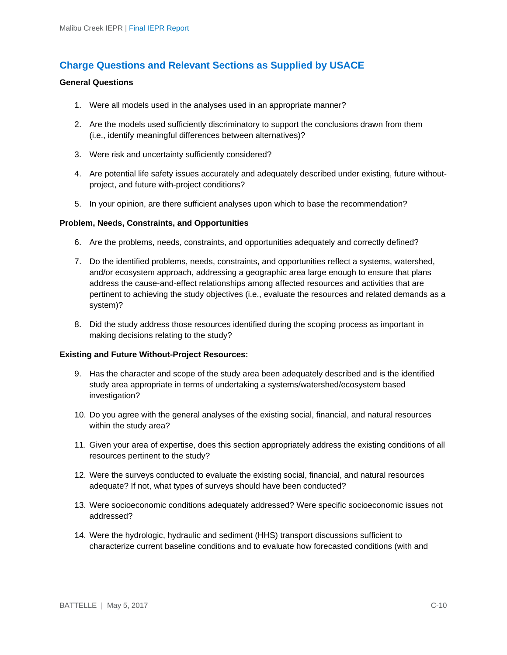# **Charge Questions and Relevant Sections as Supplied by USACE**

## **General Questions**

- 1. Were all models used in the analyses used in an appropriate manner?
- 2. Are the models used sufficiently discriminatory to support the conclusions drawn from them (i.e., identify meaningful differences between alternatives)?
- 3. Were risk and uncertainty sufficiently considered?
- 4. Are potential life safety issues accurately and adequately described under existing, future withoutproject, and future with-project conditions?
- 5. In your opinion, are there sufficient analyses upon which to base the recommendation?

#### **Problem, Needs, Constraints, and Opportunities**

- 6. Are the problems, needs, constraints, and opportunities adequately and correctly defined?
- 7. Do the identified problems, needs, constraints, and opportunities reflect a systems, watershed, and/or ecosystem approach, addressing a geographic area large enough to ensure that plans address the cause-and-effect relationships among affected resources and activities that are pertinent to achieving the study objectives (i.e., evaluate the resources and related demands as a system)?
- 8. Did the study address those resources identified during the scoping process as important in making decisions relating to the study?

#### **Existing and Future Without-Project Resources:**

- 9. Has the character and scope of the study area been adequately described and is the identified study area appropriate in terms of undertaking a systems/watershed/ecosystem based investigation?
- 10. Do you agree with the general analyses of the existing social, financial, and natural resources within the study area?
- 11. Given your area of expertise, does this section appropriately address the existing conditions of all resources pertinent to the study?
- 12. Were the surveys conducted to evaluate the existing social, financial, and natural resources adequate? If not, what types of surveys should have been conducted?
- 13. Were socioeconomic conditions adequately addressed? Were specific socioeconomic issues not addressed?
- 14. Were the hydrologic, hydraulic and sediment (HHS) transport discussions sufficient to characterize current baseline conditions and to evaluate how forecasted conditions (with and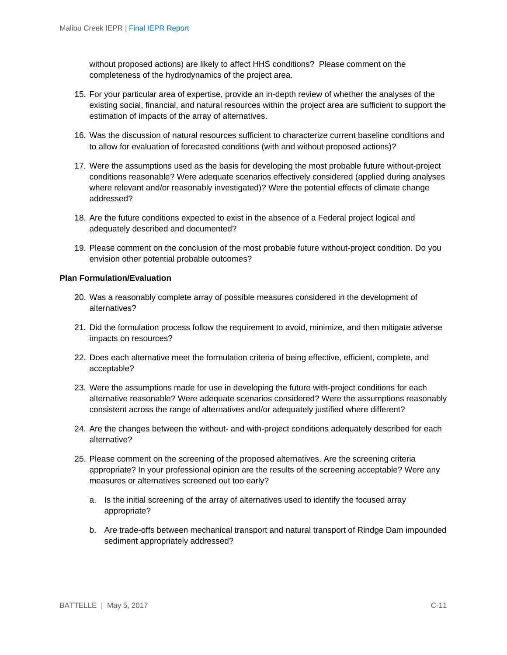without proposed actions) are likely to affect HHS conditions? Please comment on the completeness of the hydrodynamics of the project area.

- 15. For your particular area of expertise, provide an in-depth review of whether the analyses of the existing social, financial, and natural resources within the project area are sufficient to support the estimation of impacts of the array of alternatives.
- 16. Was the discussion of natural resources sufficient to characterize current baseline conditions and to allow for evaluation of forecasted conditions (with and without proposed actions)?
- 17. Were the assumptions used as the basis for developing the most probable future without-project conditions reasonable? Were adequate scenarios effectively considered (applied during analyses where relevant and/or reasonably investigated)? Were the potential effects of climate change addressed?
- 18. Are the future conditions expected to exist in the absence of a Federal project logical and adequately described and documented?
- 19. Please comment on the conclusion of the most probable future without-project condition. Do you envision other potential probable outcomes?

#### **Plan Formulation/Evaluation**

- 20. Was a reasonably complete array of possible measures considered in the development of alternatives?
- 21. Did the formulation process follow the requirement to avoid, minimize, and then mitigate adverse impacts on resources?
- 22. Does each alternative meet the formulation criteria of being effective, efficient, complete, and acceptable?
- 23. Were the assumptions made for use in developing the future with-project conditions for each alternative reasonable? Were adequate scenarios considered? Were the assumptions reasonably consistent across the range of alternatives and/or adequately justified where different?
- 24. Are the changes between the without- and with-project conditions adequately described for each alternative?
- 25. Please comment on the screening of the proposed alternatives. Are the screening criteria appropriate? In your professional opinion are the results of the screening acceptable? Were any measures or alternatives screened out too early?
	- a. Is the initial screening of the array of alternatives used to identify the focused array appropriate?
	- b. Are trade-offs between mechanical transport and natural transport of Rindge Dam impounded sediment appropriately addressed?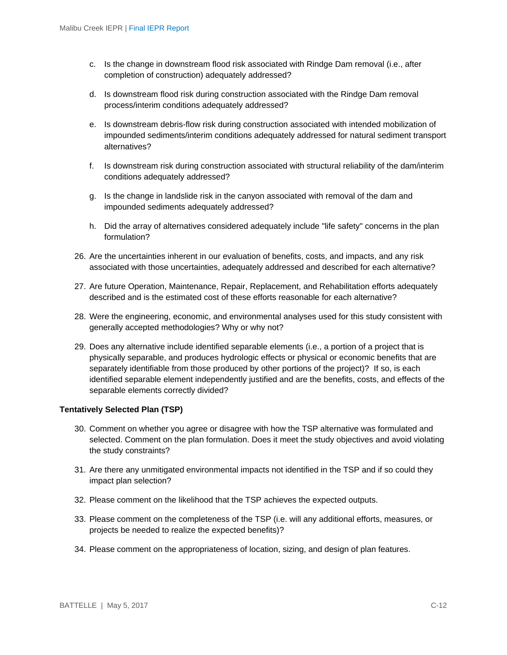- c. Is the change in downstream flood risk associated with Rindge Dam removal (i.e., after completion of construction) adequately addressed?
- d. Is downstream flood risk during construction associated with the Rindge Dam removal process/interim conditions adequately addressed?
- e. Is downstream debris-flow risk during construction associated with intended mobilization of impounded sediments/interim conditions adequately addressed for natural sediment transport alternatives?
- f. Is downstream risk during construction associated with structural reliability of the dam/interim conditions adequately addressed?
- g. Is the change in landslide risk in the canyon associated with removal of the dam and impounded sediments adequately addressed?
- h. Did the array of alternatives considered adequately include "life safety" concerns in the plan formulation?
- 26. Are the uncertainties inherent in our evaluation of benefits, costs, and impacts, and any risk associated with those uncertainties, adequately addressed and described for each alternative?
- 27. Are future Operation, Maintenance, Repair, Replacement, and Rehabilitation efforts adequately described and is the estimated cost of these efforts reasonable for each alternative?
- 28. Were the engineering, economic, and environmental analyses used for this study consistent with generally accepted methodologies? Why or why not?
- 29. Does any alternative include identified separable elements (i.e., a portion of a project that is physically separable, and produces hydrologic effects or physical or economic benefits that are separately identifiable from those produced by other portions of the project)? If so, is each identified separable element independently justified and are the benefits, costs, and effects of the separable elements correctly divided?

## **Tentatively Selected Plan (TSP)**

- 30. Comment on whether you agree or disagree with how the TSP alternative was formulated and selected. Comment on the plan formulation. Does it meet the study objectives and avoid violating the study constraints?
- 31. Are there any unmitigated environmental impacts not identified in the TSP and if so could they impact plan selection?
- 32. Please comment on the likelihood that the TSP achieves the expected outputs.
- 33. Please comment on the completeness of the TSP (i.e. will any additional efforts, measures, or projects be needed to realize the expected benefits)?
- 34. Please comment on the appropriateness of location, sizing, and design of plan features.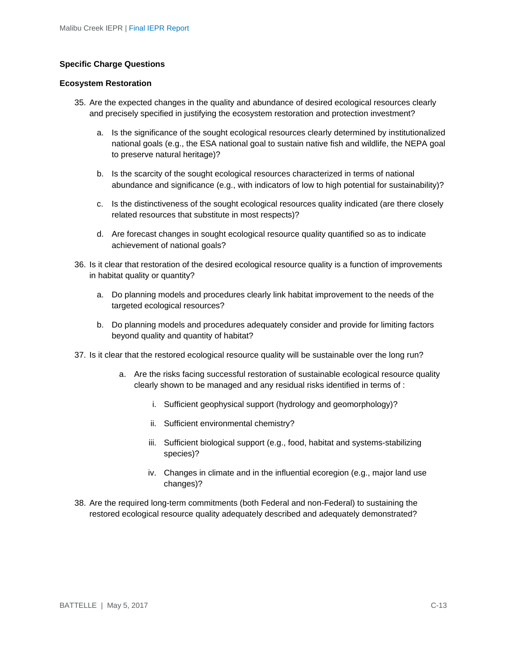### **Specific Charge Questions**

#### **Ecosystem Restoration**

- 35. Are the expected changes in the quality and abundance of desired ecological resources clearly and precisely specified in justifying the ecosystem restoration and protection investment?
	- a. Is the significance of the sought ecological resources clearly determined by institutionalized national goals (e.g., the ESA national goal to sustain native fish and wildlife, the NEPA goal to preserve natural heritage)?
	- b. Is the scarcity of the sought ecological resources characterized in terms of national abundance and significance (e.g., with indicators of low to high potential for sustainability)?
	- c. Is the distinctiveness of the sought ecological resources quality indicated (are there closely related resources that substitute in most respects)?
	- d. Are forecast changes in sought ecological resource quality quantified so as to indicate achievement of national goals?
- 36. Is it clear that restoration of the desired ecological resource quality is a function of improvements in habitat quality or quantity?
	- a. Do planning models and procedures clearly link habitat improvement to the needs of the targeted ecological resources?
	- b. Do planning models and procedures adequately consider and provide for limiting factors beyond quality and quantity of habitat?
- 37. Is it clear that the restored ecological resource quality will be sustainable over the long run?
	- a. Are the risks facing successful restoration of sustainable ecological resource quality clearly shown to be managed and any residual risks identified in terms of :
		- i. Sufficient geophysical support (hydrology and geomorphology)?
		- ii. Sufficient environmental chemistry?
		- iii. Sufficient biological support (e.g., food, habitat and systems-stabilizing species)?
		- iv. Changes in climate and in the influential ecoregion (e.g., major land use changes)?
- 38. Are the required long-term commitments (both Federal and non-Federal) to sustaining the restored ecological resource quality adequately described and adequately demonstrated?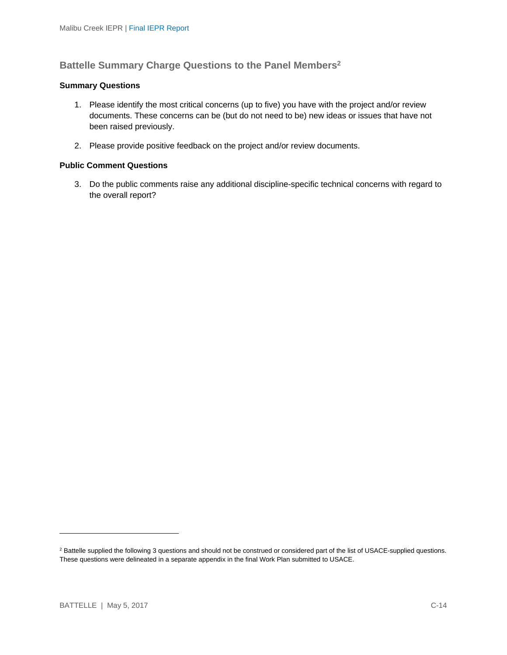# **Battelle Summary Charge Questions to the Panel Members2**

#### **Summary Questions**

- 1. Please identify the most critical concerns (up to five) you have with the project and/or review documents. These concerns can be (but do not need to be) new ideas or issues that have not been raised previously.
- 2. Please provide positive feedback on the project and/or review documents.

## **Public Comment Questions**

3. Do the public comments raise any additional discipline-specific technical concerns with regard to the overall report?

l

<sup>&</sup>lt;sup>2</sup> Battelle supplied the following 3 questions and should not be construed or considered part of the list of USACE-supplied questions. These questions were delineated in a separate appendix in the final Work Plan submitted to USACE.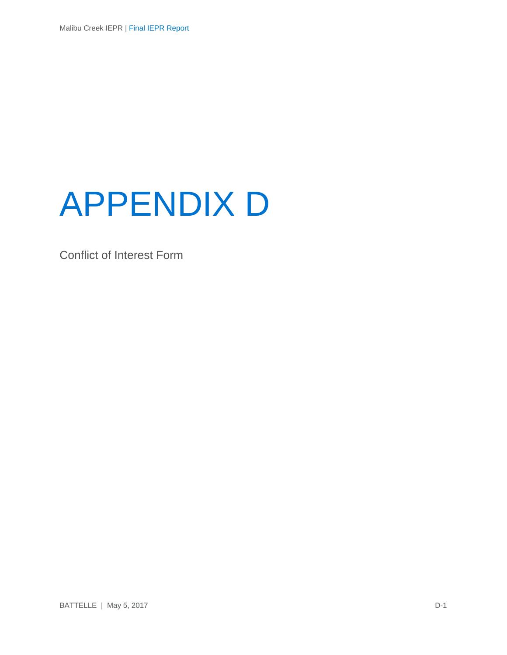# APPENDIX D

Conflict of Interest Form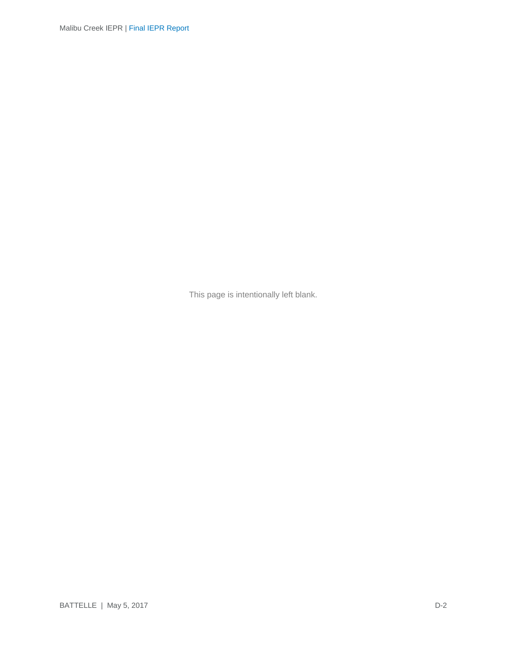This page is intentionally left blank.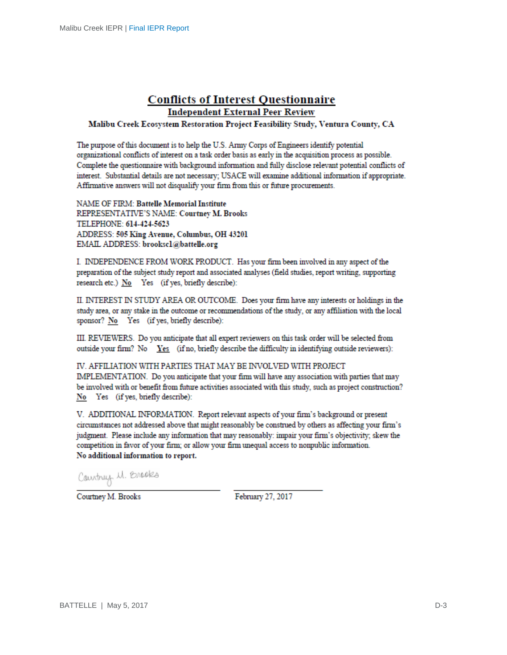# **Conflicts of Interest Questionnaire Independent External Peer Review**

#### Malibu Creek Ecosystem Restoration Project Feasibility Study, Ventura County, CA

The purpose of this document is to help the U.S. Army Corps of Engineers identify potential organizational conflicts of interest on a task order basis as early in the acquisition process as possible. Complete the questionnaire with background information and fully disclose relevant potential conflicts of interest. Substantial details are not necessary: USACE will examine additional information if appropriate. Affirmative answers will not disqualify your firm from this or future procurements.

**NAME OF FIRM: Battelle Memorial Institute** REPRESENTATIVE'S NAME: Courtney M. Brooks TELEPHONE: 614-424-5623 ADDRESS: 505 King Avenue, Columbus, OH 43201 EMAIL ADDRESS: brookscl@battelle.org

I. INDEPENDENCE FROM WORK PRODUCT. Has your firm been involved in any aspect of the preparation of the subject study report and associated analyses (field studies, report writing, supporting research etc.)  $N_0$  Yes (if yes, briefly describe):

II. INTEREST IN STUDY AREA OR OUTCOME. Does your firm have any interests or holdings in the study area, or any stake in the outcome or recommendations of the study, or any affiliation with the local sponsor? No Yes (if yes, briefly describe):

III. REVIEWERS. Do you anticipate that all expert reviewers on this task order will be selected from outside your firm? No  $Y_{es}$  (if no, briefly describe the difficulty in identifying outside reviewers):

IV. AFFILIATION WITH PARTIES THAT MAY BE INVOLVED WITH PROJECT IMPLEMENTATION. Do you anticipate that your firm will have any association with parties that may be involved with or benefit from future activities associated with this study, such as project construction? No Yes (if yes, briefly describe):

V. ADDITIONAL INFORMATION. Report relevant aspects of your firm's background or present circumstances not addressed above that might reasonably be construed by others as affecting your firm's judgment. Please include any information that may reasonably: impair your firm's objectivity; skew the competition in favor of your firm; or allow your firm unequal access to nonpublic information. No additional information to report.

Countruz M. Brooks

Courtney M. Brooks

February 27, 2017